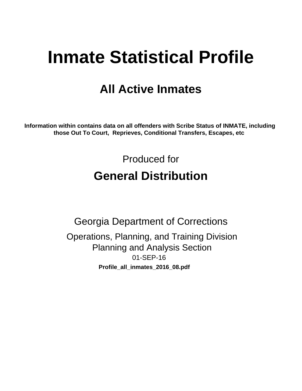# **Inmate Statistical Profile**

## **All Active Inmates**

Information within contains data on all offenders with Scribe Status of INMATE, including those Out To Court, Reprieves, Conditional Transfers, Escapes, etc

> Produced for **General Distribution**

**Georgia Department of Corrections** Operations, Planning, and Training Division **Planning and Analysis Section** 01-SEP-16 Profile\_all\_inmates\_2016\_08.pdf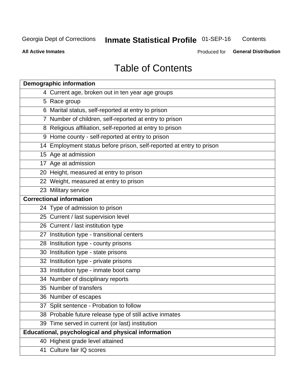#### **Inmate Statistical Profile 01-SEP-16** Contents

**All Active Inmates** 

Produced for General Distribution

## **Table of Contents**

| <b>Demographic information</b>                                       |
|----------------------------------------------------------------------|
| 4 Current age, broken out in ten year age groups                     |
| 5 Race group                                                         |
| 6 Marital status, self-reported at entry to prison                   |
| 7 Number of children, self-reported at entry to prison               |
| 8 Religious affiliation, self-reported at entry to prison            |
| 9 Home county - self-reported at entry to prison                     |
| 14 Employment status before prison, self-reported at entry to prison |
| 15 Age at admission                                                  |
| 17 Age at admission                                                  |
| 20 Height, measured at entry to prison                               |
| 22 Weight, measured at entry to prison                               |
| 23 Military service                                                  |
| <b>Correctional information</b>                                      |
| 24 Type of admission to prison                                       |
| 25 Current / last supervision level                                  |
| 26 Current / last institution type                                   |
| 27 Institution type - transitional centers                           |
| 28 Institution type - county prisons                                 |
| 30 Institution type - state prisons                                  |
| 32 Institution type - private prisons                                |
| 33 Institution type - inmate boot camp                               |
| 34 Number of disciplinary reports                                    |
| 35 Number of transfers                                               |
| 36 Number of escapes                                                 |
| 37 Split sentence - Probation to follow                              |
| 38 Probable future release type of still active inmates              |
| 39 Time served in current (or last) institution                      |
| Educational, psychological and physical information                  |
| 40 Highest grade level attained                                      |
| 41 Culture fair IQ scores                                            |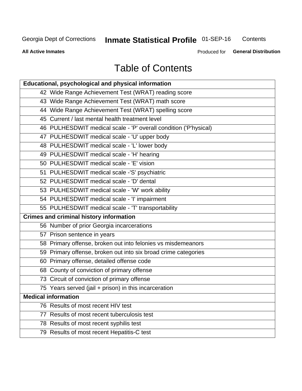## **Inmate Statistical Profile 01-SEP-16**

Contents

**All Active Inmates** 

Produced for General Distribution

## **Table of Contents**

| Educational, psychological and physical information              |
|------------------------------------------------------------------|
| 42 Wide Range Achievement Test (WRAT) reading score              |
| 43 Wide Range Achievement Test (WRAT) math score                 |
| 44 Wide Range Achievement Test (WRAT) spelling score             |
| 45 Current / last mental health treatment level                  |
| 46 PULHESDWIT medical scale - 'P' overall condition ('P'hysical) |
| 47 PULHESDWIT medical scale - 'U' upper body                     |
| 48 PULHESDWIT medical scale - 'L' lower body                     |
| 49 PULHESDWIT medical scale - 'H' hearing                        |
| 50 PULHESDWIT medical scale - 'E' vision                         |
| 51 PULHESDWIT medical scale -'S' psychiatric                     |
| 52 PULHESDWIT medical scale - 'D' dental                         |
| 53 PULHESDWIT medical scale - 'W' work ability                   |
| 54 PULHESDWIT medical scale - 'I' impairment                     |
| 55 PULHESDWIT medical scale - 'T' transportability               |
| <b>Crimes and criminal history information</b>                   |
| 56 Number of prior Georgia incarcerations                        |
| 57 Prison sentence in years                                      |
| 58 Primary offense, broken out into felonies vs misdemeanors     |
| 59 Primary offense, broken out into six broad crime categories   |
| 60 Primary offense, detailed offense code                        |
| 68 County of conviction of primary offense                       |
| 73 Circuit of conviction of primary offense                      |
| 75 Years served (jail + prison) in this incarceration            |
| <b>Medical information</b>                                       |
| 76 Results of most recent HIV test                               |
| 77 Results of most recent tuberculosis test                      |
| 78 Results of most recent syphilis test                          |
| 79 Results of most recent Hepatitis-C test                       |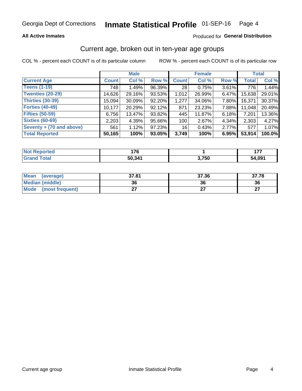#### Inmate Statistical Profile 01-SEP-16 Page 4

## **All Active Inmates**

## Produced for General Distribution

## Current age, broken out in ten-year age groups

COL % - percent each COUNT is of its particular column

|                          | <b>Male</b>  |        |        | <b>Female</b> |        |          | <b>Total</b> |        |
|--------------------------|--------------|--------|--------|---------------|--------|----------|--------------|--------|
| <b>Current Age</b>       | <b>Count</b> | Col %  | Row %  | <b>Count</b>  | Col %  | Row %    | <b>Total</b> | Col %  |
| <b>Teens (1-19)</b>      | 748          | 1.49%  | 96.39% | 28            | 0.75%  | 3.61%    | 776          | 1.44%  |
| <b>Twenties (20-29)</b>  | 14,626       | 29.16% | 93.53% | 1,012         | 26.99% | $6.47\%$ | 15,638       | 29.01% |
| Thirties (30-39)         | 15,094       | 30.09% | 92.20% | 1,277         | 34.06% | 7.80%    | 16,371       | 30.37% |
| <b>Forties (40-49)</b>   | 10,177       | 20.29% | 92.12% | 871           | 23.23% | 7.88%    | 11,048       | 20.49% |
| <b>Fifties (50-59)</b>   | 6,756        | 13.47% | 93.82% | 445           | 11.87% | 6.18%    | 7,201        | 13.36% |
| <b>Sixties (60-69)</b>   | 2,203        | 4.39%  | 95.66% | 100           | 2.67%  | 4.34%    | 2,303        | 4.27%  |
| Seventy + (70 and above) | 561          | 1.12%  | 97.23% | 16            | 0.43%  | 2.77%    | 577          | 1.07%  |
| <b>Total Reported</b>    | 50,165       | 100%   | 93.05% | 3,749         | 100%   | 6.95%    | 53,914       | 100.0% |

| <b>Not Reported</b> | ィラヘ                |       | ---    |
|---------------------|--------------------|-------|--------|
| Total               | 50.34 <sup>4</sup> | 2 75N | 54,091 |

| <b>Mean</b><br>(average)       | 37.81 | 37.36 | 37.78     |
|--------------------------------|-------|-------|-----------|
| Median (middle)                | 36    | 36    | 36        |
| <b>Mode</b><br>(most frequent) |       |       | ^7<br>. . |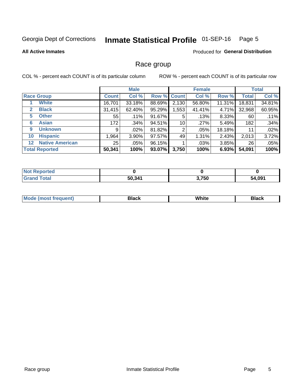#### Inmate Statistical Profile 01-SEP-16 Page 5

### **All Active Inmates**

### Produced for General Distribution

## Race group

COL % - percent each COUNT is of its particular column

|                   |                        | <b>Male</b>  |         |             | <b>Female</b> |         |           | <b>Total</b> |        |
|-------------------|------------------------|--------------|---------|-------------|---------------|---------|-----------|--------------|--------|
| <b>Race Group</b> |                        | <b>Count</b> | Col %   | Row % Count |               | Col %   | Row %     | <b>Total</b> | Col %  |
|                   | <b>White</b>           | 16,701       | 33.18%  | 88.69%      | 2,130         | 56.80%  | $11.31\%$ | 18,831       | 34.81% |
| $\mathbf{2}$      | <b>Black</b>           | 31,415       | 62.40%  | 95.29%      | .553          | 41.41%  | 4.71%     | 32,968       | 60.95% |
| 5                 | <b>Other</b>           | 55           | $.11\%$ | 91.67%      | 5             | .13%    | 8.33%     | 60           | .11%   |
| 6                 | <b>Asian</b>           | 172          | .34%    | 94.51%      | 10            | .27%    | 5.49%     | 182          | .34%   |
| 9                 | <b>Unknown</b>         | 9            | .02%    | 81.82%      | 2             | $.05\%$ | 18.18%    | 11           | .02%   |
| 10                | <b>Hispanic</b>        | 964. ا       | 3.90%   | 97.57%      | 49            | 1.31%   | 2.43%     | 2,013        | 3.72%  |
| $12 \,$           | <b>Native American</b> | 25           | .05%    | 96.15%      |               | $.03\%$ | $3.85\%$  | 26           | .05%   |
|                   | <b>Total Reported</b>  | 50,341       | 100%    | 93.07%      | 3,750         | 100%    | 6.93%     | 54,091       | 100%   |

| <b>Not</b><br>Reported |        |       |        |
|------------------------|--------|-------|--------|
| <b>Total</b>           | 50,341 | 3,750 | 54,091 |

| m | <br>w |  |
|---|-------|--|
|   |       |  |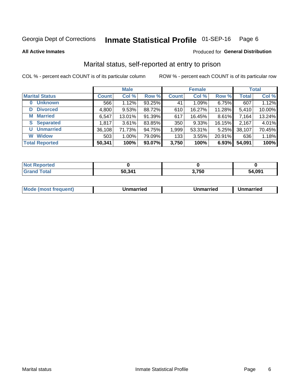#### Inmate Statistical Profile 01-SEP-16 Page 6

**All Active Inmates** 

## **Produced for General Distribution**

## Marital status, self-reported at entry to prison

COL % - percent each COUNT is of its particular column

|                            | <b>Male</b>  |        |        |              | <b>Female</b> | <b>Total</b> |              |        |
|----------------------------|--------------|--------|--------|--------------|---------------|--------------|--------------|--------|
| <b>Marital Status</b>      | <b>Count</b> | Col %  | Row %  | <b>Count</b> | Col %         | Row %        | <b>Total</b> | Col %  |
| <b>Unknown</b><br>$\bf{0}$ | 566          | 1.12%  | 93.25% | 41           | 1.09%         | 6.75%        | 607          | 1.12%  |
| <b>Divorced</b><br>D       | 4,800        | 9.53%  | 88.72% | 610          | 16.27%        | 11.28%       | 5,410        | 10.00% |
| <b>Married</b><br>М        | 6,547        | 13.01% | 91.39% | 617          | 16.45%        | 8.61%        | 7,164        | 13.24% |
| <b>Separated</b><br>S      | 1,817        | 3.61%  | 83.85% | 350          | 9.33%         | 16.15%       | 2,167        | 4.01%  |
| <b>Unmarried</b><br>U      | 36,108       | 71.73% | 94.75% | 1,999        | 53.31%        | 5.25%        | 38,107       | 70.45% |
| <b>Widow</b><br>W          | 503          | 1.00%  | 79.09% | 133          | 3.55%         | 20.91%       | 636          | 1.18%  |
| <b>Total Reported</b>      | 50,341       | 100%   | 93.07% | 3,750        | 100%          | 6.93%        | 54,091       | 100%   |

| ີ orteo<br>" NOT 1- |        |       |        |
|---------------------|--------|-------|--------|
| $T$ stol $T$<br>Gre | 50,341 | 3,750 | 54,091 |

| <b>Mode (most frequent)</b><br>Unmarried<br>Unmarried<br>Jnmarried |
|--------------------------------------------------------------------|
|--------------------------------------------------------------------|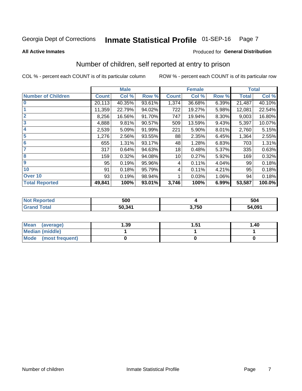#### Inmate Statistical Profile 01-SEP-16 Page 7

**All Active Inmates** 

## **Produced for General Distribution**

## Number of children, self reported at entry to prison

COL % - percent each COUNT is of its particular column

|                           |              | <b>Male</b> |        |              | <b>Female</b> |       |              | <b>Total</b> |
|---------------------------|--------------|-------------|--------|--------------|---------------|-------|--------------|--------------|
| <b>Number of Children</b> | <b>Count</b> | Col %       | Row %  | <b>Count</b> | Col %         | Row % | <b>Total</b> | Col %        |
| $\bf{0}$                  | 20,113       | 40.35%      | 93.61% | 1,374        | 36.68%        | 6.39% | 21,487       | 40.10%       |
|                           | 11,359       | 22.79%      | 94.02% | 722          | 19.27%        | 5.98% | 12,081       | 22.54%       |
| $\overline{2}$            | 8,256        | 16.56%      | 91.70% | 747          | 19.94%        | 8.30% | 9,003        | 16.80%       |
| 3                         | 4,888        | 9.81%       | 90.57% | 509          | 13.59%        | 9.43% | 5,397        | 10.07%       |
| 4                         | 2,539        | 5.09%       | 91.99% | 221          | 5.90%         | 8.01% | 2,760        | 5.15%        |
| 5                         | 1,276        | 2.56%       | 93.55% | 88           | 2.35%         | 6.45% | 1,364        | 2.55%        |
| 6                         | 655          | 1.31%       | 93.17% | 48           | 1.28%         | 6.83% | 703          | 1.31%        |
| 7                         | 317          | 0.64%       | 94.63% | 18           | 0.48%         | 5.37% | 335          | 0.63%        |
| 8                         | 159          | 0.32%       | 94.08% | 10           | 0.27%         | 5.92% | 169          | 0.32%        |
| $\boldsymbol{9}$          | 95           | 0.19%       | 95.96% | 4            | 0.11%         | 4.04% | 99           | 0.18%        |
| 10                        | 91           | 0.18%       | 95.79% | 4            | 0.11%         | 4.21% | 95           | 0.18%        |
| Over 10                   | 93           | 0.19%       | 98.94% |              | 0.03%         | 1.06% | 94           | 0.18%        |
| <b>Total Reported</b>     | 49,841       | 100%        | 93.01% | 3,746        | 100%          | 6.99% | 53,587       | 100.0%       |

| neo | 500    |       | 504    |
|-----|--------|-------|--------|
|     | 50.341 | 3,750 | 54,091 |

| Mean<br>(average)       | 1.39 | 1 51<br>ו ט.ו | 1.40 |
|-------------------------|------|---------------|------|
| <b>Median (middle)</b>  |      |               |      |
| Mode<br>(most frequent) |      |               |      |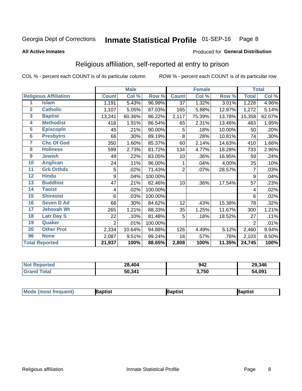#### Inmate Statistical Profile 01-SEP-16 Page 8

### **All Active Inmates**

### Produced for General Distribution

## Religious affiliation, self-reported at entry to prison

COL % - percent each COUNT is of its particular column

|                         |                              |                | <b>Male</b> |         |                | <b>Female</b> |        |                | <b>Total</b> |
|-------------------------|------------------------------|----------------|-------------|---------|----------------|---------------|--------|----------------|--------------|
|                         | <b>Religious Affiliation</b> | <b>Count</b>   | Col %       | Row %   | <b>Count</b>   | Col %         | Row %  | <b>Total</b>   | Col %        |
| 1                       | <b>Islam</b>                 | 1,191          | 5.43%       | 96.99%  | 37             | 1.32%         | 3.01%  | 1,228          | 4.96%        |
| $\overline{2}$          | <b>Catholic</b>              | 1,107          | 5.05%       | 87.03%  | 165            | 5.88%         | 12.97% | 1,272          | 5.14%        |
| $\overline{\mathbf{3}}$ | <b>Baptist</b>               | 13,241         | 60.36%      | 86.22%  | 2,117          | 75.39%        | 13.78% | 15,358         | 62.07%       |
| $\overline{\mathbf{4}}$ | <b>Methodist</b>             | 418            | 1.91%       | 86.54%  | 65             | 2.31%         | 13.46% | 483            | 1.95%        |
| $\overline{5}$          | <b>EpiscopIn</b>             | 45             | .21%        | 90.00%  | 5              | .18%          | 10.00% | 50             | .20%         |
| $6\overline{6}$         | <b>Presbytrn</b>             | 66             | .30%        | 89.19%  | 8              | .28%          | 10.81% | 74             | .30%         |
| 7                       | <b>Chc Of God</b>            | 350            | 1.60%       | 85.37%  | 60             | 2.14%         | 14.63% | 410            | 1.66%        |
| 8                       | <b>Holiness</b>              | 599            | 2.73%       | 81.72%  | 134            | 4.77%         | 18.28% | 733            | 2.96%        |
| $\boldsymbol{9}$        | <b>Jewish</b>                | 49             | .22%        | 83.05%  | 10             | .36%          | 16.95% | 59             | .24%         |
| 10                      | <b>Anglican</b>              | 24             | .11%        | 96.00%  |                | .04%          | 4.00%  | 25             | .10%         |
| 11                      | <b>Grk Orthdx</b>            | 5              | .02%        | 71.43%  | $\overline{2}$ | .07%          | 28.57% | 7              | .03%         |
| 12                      | <b>Hindu</b>                 | 9              | .04%        | 100.00% |                |               |        | 9              | .04%         |
| 13                      | <b>Buddhist</b>              | 47             | .21%        | 82.46%  | 10             | .36%          | 17.54% | 57             | .23%         |
| 14                      | <b>Taoist</b>                | 4              | .02%        | 100.00% |                |               |        | 4              | .02%         |
| 15                      | <b>Shintoist</b>             | 6              | .03%        | 100.00% |                |               |        | 6              | .02%         |
| 16                      | <b>Seven D Ad</b>            | 66             | .30%        | 84.62%  | 12             | .43%          | 15.38% | 78             | .32%         |
| 17                      | <b>Jehovah Wt</b>            | 265            | 1.21%       | 88.33%  | 35             | 1.25%         | 11.67% | 300            | 1.21%        |
| 18                      | <b>Latr Day S</b>            | 22             | .10%        | 81.48%  | 5              | .18%          | 18.52% | 27             | .11%         |
| 19                      | Quaker                       | $\overline{2}$ | .01%        | 100.00% |                |               |        | $\overline{2}$ | .01%         |
| 20                      | <b>Other Prot</b>            | 2,334          | 10.64%      | 94.88%  | 126            | 4.49%         | 5.12%  | 2,460          | 9.94%        |
| 96                      | <b>None</b>                  | 2,087          | 9.51%       | 99.24%  | 16             | .57%          | .76%   | 2,103          | 8.50%        |
|                         | <b>Total Reported</b>        | 21,937         | 100%        | 88.65%  | 2,808          | 100%          | 11.35% | 24,745         | 100%         |

| <b>No</b><br><b>Reported</b> | 28,404 | 942   | 29,346 |
|------------------------------|--------|-------|--------|
| <b>c</b> otal<br><b>Gra</b>  | 50,341 | 3,750 | 54,091 |

|  | $ $ Mod<br>de (most frequent) | aptist | <b>laptist</b> | 3aptist |
|--|-------------------------------|--------|----------------|---------|
|--|-------------------------------|--------|----------------|---------|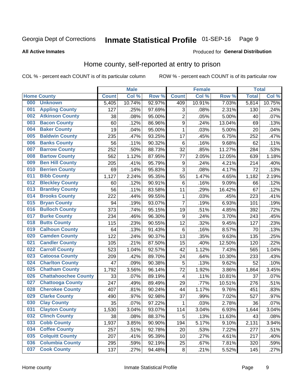#### Inmate Statistical Profile 01-SEP-16 Page 9

### **All Active Inmates**

### Produced for General Distribution

## Home county, self-reported at entry to prison

COL % - percent each COUNT is of its particular column

|     |                             |              | <b>Male</b> |        |                  | <b>Female</b> |        | <b>Total</b> |        |
|-----|-----------------------------|--------------|-------------|--------|------------------|---------------|--------|--------------|--------|
|     | <b>Home County</b>          | <b>Count</b> | Col %       | Row %  | <b>Count</b>     | Col %         | Row %  | <b>Total</b> | Col %  |
| 000 | <b>Unknown</b>              | 5,405        | 10.74%      | 92.97% | 409              | 10.91%        | 7.03%  | 5,814        | 10.75% |
| 001 | <b>Appling County</b>       | 127          | .25%        | 97.69% | 3                | .08%          | 2.31%  | 130          | .24%   |
| 002 | <b>Atkinson County</b>      | 38           | .08%        | 95.00% | $\overline{c}$   | .05%          | 5.00%  | 40           | .07%   |
| 003 | <b>Bacon County</b>         | 60           | .12%        | 86.96% | $\boldsymbol{9}$ | .24%          | 13.04% | 69           | .13%   |
| 004 | <b>Baker County</b>         | 19           | .04%        | 95.00% | $\mathbf{1}$     | .03%          | 5.00%  | 20           | .04%   |
| 005 | <b>Baldwin County</b>       | 235          | .47%        | 93.25% | 17               | .45%          | 6.75%  | 252          | .47%   |
| 006 | <b>Banks County</b>         | 56           | .11%        | 90.32% | $\,6$            | .16%          | 9.68%  | 62           | .11%   |
| 007 | <b>Barrow County</b>        | 252          | .50%        | 88.73% | 32               | .85%          | 11.27% | 284          | .53%   |
| 008 | <b>Bartow County</b>        | 562          | 1.12%       | 87.95% | 77               | 2.05%         | 12.05% | 639          | 1.18%  |
| 009 | <b>Ben Hill County</b>      | 205          | .41%        | 95.79% | 9                | .24%          | 4.21%  | 214          | .40%   |
| 010 | <b>Berrien County</b>       | 69           | .14%        | 95.83% | $\mathbf{3}$     | .08%          | 4.17%  | 72           | .13%   |
| 011 | <b>Bibb County</b>          | 1,127        | 2.24%       | 95.35% | 55               | 1.47%         | 4.65%  | 1,182        | 2.19%  |
| 012 | <b>Bleckley County</b>      | 60           | .12%        | 90.91% | 6                | .16%          | 9.09%  | 66           | .12%   |
| 013 | <b>Brantley County</b>      | 56           | .11%        | 83.58% | 11               | .29%          | 16.42% | 67           | .12%   |
| 014 | <b>Brooks County</b>        | 222          | .44%        | 99.55% | 1                | .03%          | .45%   | 223          | .41%   |
| 015 | <b>Bryan County</b>         | 94           | .19%        | 93.07% | 7                | .19%          | 6.93%  | 101          | .19%   |
| 016 | <b>Bulloch County</b>       | 373          | .74%        | 95.15% | 19               | .51%          | 4.85%  | 392          | .72%   |
| 017 | <b>Burke County</b>         | 234          | .46%        | 96.30% | 9                | .24%          | 3.70%  | 243          | .45%   |
| 018 | <b>Butts County</b>         | 115          | .23%        | 90.55% | 12               | .32%          | 9.45%  | 127          | .23%   |
| 019 | <b>Calhoun County</b>       | 64           | .13%        | 91.43% | $\,6$            | .16%          | 8.57%  | 70           | .13%   |
| 020 | <b>Camden County</b>        | 122          | .24%        | 90.37% | 13               | .35%          | 9.63%  | 135          | .25%   |
| 021 | <b>Candler County</b>       | 105          | .21%        | 87.50% | 15               | .40%          | 12.50% | 120          | .22%   |
| 022 | <b>Carroll County</b>       | 523          | 1.04%       | 92.57% | 42               | 1.12%         | 7.43%  | 565          | 1.04%  |
| 023 | <b>Catoosa County</b>       | 209          | .42%        | 89.70% | 24               | .64%          | 10.30% | 233          | .43%   |
| 024 | <b>Charlton County</b>      | 47           | .09%        | 90.38% | 5                | .13%          | 9.62%  | 52           | .10%   |
| 025 | <b>Chatham County</b>       | 1,792        | 3.56%       | 96.14% | 72               | 1.92%         | 3.86%  | 1,864        | 3.45%  |
| 026 | <b>Chattahoochee County</b> | 33           | .07%        | 89.19% | 4                | .11%          | 10.81% | 37           | .07%   |
| 027 | <b>Chattooga County</b>     | 247          | .49%        | 89.49% | 29               | .77%          | 10.51% | 276          | .51%   |
| 028 | <b>Cherokee County</b>      | 407          | .81%        | 90.24% | 44               | 1.17%         | 9.76%  | 451          | .83%   |
| 029 | <b>Clarke County</b>        | 490          | .97%        | 92.98% | 37               | .99%          | 7.02%  | 527          | .97%   |
| 030 | <b>Clay County</b>          | 35           | .07%        | 97.22% | 1                | .03%          | 2.78%  | 36           | .07%   |
| 031 | <b>Clayton County</b>       | 1,530        | 3.04%       | 93.07% | 114              | 3.04%         | 6.93%  | 1,644        | 3.04%  |
| 032 | <b>Clinch County</b>        | 38           | .08%        | 88.37% | 5                | .13%          | 11.63% | 43           | .08%   |
| 033 | <b>Cobb County</b>          | 1,937        | 3.85%       | 90.90% | 194              | 5.17%         | 9.10%  | 2,131        | 3.94%  |
| 034 | <b>Coffee County</b>        | 257          | .51%        | 92.78% | 20               | .53%          | 7.22%  | 277          | .51%   |
| 035 | <b>Colquitt County</b>      | 207          | .41%        | 95.39% | 10               | .27%          | 4.61%  | 217          | .40%   |
| 036 | <b>Columbia County</b>      | 295          | .59%        | 92.19% | 25               | .67%          | 7.81%  | 320          | .59%   |
| 037 | <b>Cook County</b>          | 137          | .27%        | 94.48% | $\bf 8$          | .21%          | 5.52%  | 145          | .27%   |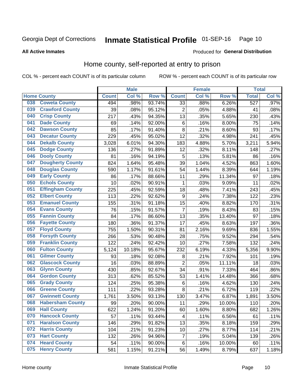## Inmate Statistical Profile 01-SEP-16 Page 10

### **All Active Inmates**

## **Produced for General Distribution**

## Home county, self-reported at entry to prison

COL % - percent each COUNT is of its particular column

|     |                         |              | <b>Male</b> |                  |                  | <b>Female</b>     |        | <b>Total</b> |       |
|-----|-------------------------|--------------|-------------|------------------|------------------|-------------------|--------|--------------|-------|
|     | <b>Home County</b>      | <b>Count</b> | Col%        | Row <sup>%</sup> | <b>Count</b>     | Col %             | Row %  | <b>Total</b> | Col % |
| 038 | <b>Coweta County</b>    | 494          | .98%        | 93.74%           | 33               | .88%              | 6.26%  | 527          | .97%  |
| 039 | <b>Crawford County</b>  | 39           | .08%        | 95.12%           | $\overline{2}$   | .05%              | 4.88%  | 41           | .08%  |
| 040 | <b>Crisp County</b>     | 217          | .43%        | 94.35%           | 13               | .35%              | 5.65%  | 230          | .43%  |
| 041 | <b>Dade County</b>      | 69           | .14%        | 92.00%           | 6                | .16%              | 8.00%  | 75           | .14%  |
| 042 | <b>Dawson County</b>    | 85           | .17%        | 91.40%           | 8                | .21%              | 8.60%  | 93           | .17%  |
| 043 | <b>Decatur County</b>   | 229          | .45%        | 95.02%           | 12               | .32%              | 4.98%  | 241          | .45%  |
| 044 | <b>Dekalb County</b>    | 3,028        | 6.01%       | 94.30%           | 183              | 4.88%             | 5.70%  | 3,211        | 5.94% |
| 045 | <b>Dodge County</b>     | 136          | .27%        | 91.89%           | 12               | .32%              | 8.11%  | 148          | .27%  |
| 046 | <b>Dooly County</b>     | 81           | .16%        | 94.19%           | 5                | .13%              | 5.81%  | 86           | .16%  |
| 047 | <b>Dougherty County</b> | 824          | 1.64%       | 95.48%           | 39               | 1.04%             | 4.52%  | 863          | 1.60% |
| 048 | <b>Douglas County</b>   | 590          | 1.17%       | 91.61%           | 54               | 1.44%             | 8.39%  | 644          | 1.19% |
| 049 | <b>Early County</b>     | 86           | .17%        | 88.66%           | 11               | .29%              | 11.34% | 97           | .18%  |
| 050 | <b>Echols County</b>    | 10           | .02%        | 90.91%           | 1                | .03%              | 9.09%  | 11           | .02%  |
| 051 | <b>Effingham County</b> | 225          | .45%        | 92.59%           | 18               | .48%              | 7.41%  | 243          | .45%  |
| 052 | <b>Elbert County</b>    | 113          | .22%        | 92.62%           | $\boldsymbol{9}$ | .24%              | 7.38%  | 122          | .23%  |
| 053 | <b>Emanuel County</b>   | 155          | .31%        | 91.18%           | 15               | .40%              | 8.82%  | 170          | .31%  |
| 054 | <b>Evans County</b>     | 76           | .15%        | 91.57%           | 7                | .19%              | 8.43%  | 83           | .15%  |
| 055 | <b>Fannin County</b>    | 84           | .17%        | 86.60%           | 13               | .35%              | 13.40% | 97           | .18%  |
| 056 | <b>Fayette County</b>   | 180          | .36%        | 91.37%           | 17               | .45%              | 8.63%  | 197          | .36%  |
| 057 | <b>Floyd County</b>     | 755          | 1.50%       | 90.31%           | 81               | 2.16%             | 9.69%  | 836          | 1.55% |
| 058 | <b>Forsyth County</b>   | 266          | .53%        | 90.48%           | 28               | .75%              | 9.52%  | 294          | .54%  |
| 059 | <b>Franklin County</b>  | 122          | .24%        | 92.42%           | 10               | .27%              | 7.58%  | 132          | .24%  |
| 060 | <b>Fulton County</b>    | 5,124        | 10.18%      | 95.67%           | 232              | 6.19%             | 4.33%  | 5,356        | 9.90% |
| 061 | <b>Gilmer County</b>    | 93           | .18%        | 92.08%           | 8                | .21%              | 7.92%  | 101          | .19%  |
| 062 | <b>Glascock County</b>  | 16           | .03%        | 88.89%           | $\overline{2}$   | .05%              | 11.11% | 18           | .03%  |
| 063 | <b>Glynn County</b>     | 430          | .85%        | 92.67%           | 34               | .91%              | 7.33%  | 464          | .86%  |
| 064 | <b>Gordon County</b>    | 313          | .62%        | 85.52%           | 53               | 1.41%             | 14.48% | 366          | .68%  |
| 065 | <b>Grady County</b>     | 124          | .25%        | 95.38%           | 6                | .16%              | 4.62%  | 130          | .24%  |
| 066 | <b>Greene County</b>    | 111          | .22%        | 93.28%           | 8                | $\overline{.}21%$ | 6.72%  | 119          | .22%  |
| 067 | <b>Gwinnett County</b>  | 1,761        | 3.50%       | 93.13%           | 130              | 3.47%             | 6.87%  | 1,891        | 3.50% |
| 068 | <b>Habersham County</b> | 99           | .20%        | 90.00%           | 11               | .29%              | 10.00% | 110          | .20%  |
| 069 | <b>Hall County</b>      | 622          | 1.24%       | 91.20%           | 60               | 1.60%             | 8.80%  | 682          | 1.26% |
| 070 | <b>Hancock County</b>   | 57           | .11%        | 93.44%           | 4                | .11%              | 6.56%  | 61           | .11%  |
| 071 | <b>Haralson County</b>  | 146          | .29%        | 91.82%           | 13               | .35%              | 8.18%  | 159          | .29%  |
| 072 | <b>Harris County</b>    | 104          | .21%        | 91.23%           | 10               | .27%              | 8.77%  | 114          | .21%  |
| 073 | <b>Hart County</b>      | 132          | .26%        | 94.96%           | $\overline{7}$   | .19%              | 5.04%  | 139          | .26%  |
| 074 | <b>Heard County</b>     | 54           | .11%        | 90.00%           | 6                | .16%              | 10.00% | 60           | .11%  |
| 075 | <b>Henry County</b>     | 581          | 1.15%       | 91.21%           | 56               | 1.49%             | 8.79%  | 637          | 1.18% |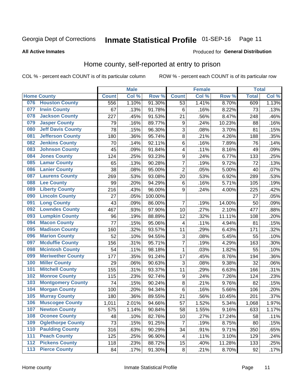## Inmate Statistical Profile 01-SEP-16 Page 11

**All Active Inmates** 

## **Produced for General Distribution**

## Home county, self-reported at entry to prison

COL % - percent each COUNT is of its particular column

|                  |                          |              | <b>Male</b> |                  |                  | <b>Female</b> |        | <b>Total</b> |       |
|------------------|--------------------------|--------------|-------------|------------------|------------------|---------------|--------|--------------|-------|
|                  | <b>Home County</b>       | <b>Count</b> | Col %       | Row <sup>%</sup> | <b>Count</b>     | Col %         | Row %  | <b>Total</b> | Col % |
| 076              | <b>Houston County</b>    | 556          | 1.10%       | 91.30%           | 53               | 1.41%         | 8.70%  | 609          | 1.13% |
| 077              | <b>Irwin County</b>      | 67           | .13%        | 91.78%           | 6                | .16%          | 8.22%  | 73           | .13%  |
| 078              | <b>Jackson County</b>    | 227          | .45%        | 91.53%           | 21               | .56%          | 8.47%  | 248          | .46%  |
| 079              | <b>Jasper County</b>     | 79           | .16%        | 89.77%           | $\boldsymbol{9}$ | .24%          | 10.23% | 88           | .16%  |
| 080              | <b>Jeff Davis County</b> | 78           | .15%        | 96.30%           | 3                | .08%          | 3.70%  | 81           | .15%  |
| 081              | <b>Jefferson County</b>  | 180          | .36%        | 95.74%           | $\overline{8}$   | .21%          | 4.26%  | 188          | .35%  |
| 082              | <b>Jenkins County</b>    | 70           | .14%        | 92.11%           | 6                | .16%          | 7.89%  | 76           | .14%  |
| 083              | <b>Johnson County</b>    | 45           | .09%        | 91.84%           | 4                | .11%          | 8.16%  | 49           | .09%  |
| 084              | <b>Jones County</b>      | 124          | .25%        | 93.23%           | 9                | .24%          | 6.77%  | 133          | .25%  |
| 085              | <b>Lamar County</b>      | 65           | .13%        | 90.28%           | $\overline{7}$   | .19%          | 9.72%  | 72           | .13%  |
| 086              | <b>Lanier County</b>     | 38           | .08%        | 95.00%           | $\overline{2}$   | .05%          | 5.00%  | 40           | .07%  |
| 087              | <b>Laurens County</b>    | 269          | .53%        | 93.08%           | 20               | .53%          | 6.92%  | 289          | .53%  |
| 088              | <b>Lee County</b>        | 99           | .20%        | 94.29%           | 6                | .16%          | 5.71%  | 105          | .19%  |
| 089              | <b>Liberty County</b>    | 216          | .43%        | 96.00%           | 9                | .24%          | 4.00%  | 225          | .42%  |
| 090              | <b>Lincoln County</b>    | 27           | .05%        | 100.00%          |                  |               |        | 27           | .05%  |
| 091              | <b>Long County</b>       | 43           | .09%        | 86.00%           | $\overline{7}$   | .19%          | 14.00% | 50           | .09%  |
| 092              | <b>Lowndes County</b>    | 467          | .93%        | 97.90%           | 10               | .27%          | 2.10%  | 477          | .88%  |
| 093              | <b>Lumpkin County</b>    | 96           | .19%        | 88.89%           | 12               | .32%          | 11.11% | 108          | .20%  |
| 094              | <b>Macon County</b>      | 77           | .15%        | 95.06%           | 4                | .11%          | 4.94%  | 81           | .15%  |
| 095              | <b>Madison County</b>    | 160          | .32%        | 93.57%           | 11               | .29%          | 6.43%  | 171          | .32%  |
| 096              | <b>Marion County</b>     | 52           | .10%        | 94.55%           | 3                | .08%          | 5.45%  | 55           | .10%  |
| 097              | <b>Mcduffie County</b>   | 156          | .31%        | 95.71%           | 7                | .19%          | 4.29%  | 163          | .30%  |
| 098              | <b>Mcintosh County</b>   | 54           | .11%        | 98.18%           | $\mathbf{1}$     | .03%          | 1.82%  | 55           | .10%  |
| 099              | <b>Meriwether County</b> | 177          | .35%        | 91.24%           | 17               | .45%          | 8.76%  | 194          | .36%  |
| 100              | <b>Miller County</b>     | 29           | .06%        | 90.63%           | 3                | .08%          | 9.38%  | 32           | .06%  |
| 101              | <b>Mitchell County</b>   | 155          | .31%        | 93.37%           | 11               | .29%          | 6.63%  | 166          | .31%  |
| 102              | <b>Monroe County</b>     | 115          | .23%        | 92.74%           | $\boldsymbol{9}$ | .24%          | 7.26%  | 124          | .23%  |
| 103              | <b>Montgomery County</b> | 74           | .15%        | 90.24%           | 8                | .21%          | 9.76%  | 82           | .15%  |
| 104              | <b>Morgan County</b>     | 100          | .20%        | 94.34%           | 6                | .16%          | 5.66%  | 106          | .20%  |
| 105              | <b>Murray County</b>     | 180          | .36%        | 89.55%           | 21               | .56%          | 10.45% | 201          | .37%  |
| 106              | <b>Muscogee County</b>   | 1,011        | 2.01%       | 94.66%           | 57               | 1.52%         | 5.34%  | 1,068        | 1.97% |
| 107              | <b>Newton County</b>     | 575          | 1.14%       | 90.84%           | 58               | 1.55%         | 9.16%  | 633          | 1.17% |
| 108              | <b>Oconee County</b>     | 48           | .10%        | 82.76%           | 10               | .27%          | 17.24% | 58           | .11%  |
| 109              | <b>Oglethorpe County</b> | 73           | .15%        | 91.25%           | $\overline{7}$   | .19%          | 8.75%  | 80           | .15%  |
| 110              | <b>Paulding County</b>   | 316          | .63%        | 90.29%           | 34               | .91%          | 9.71%  | 350          | .65%  |
| 111              | <b>Peach County</b>      | 125          | .25%        | 96.90%           | 4                | .11%          | 3.10%  | 129          | .24%  |
| $\overline{112}$ | <b>Pickens County</b>    | 118          | .23%        | 88.72%           | 15               | .40%          | 11.28% | 133          | .25%  |
| 113              | <b>Pierce County</b>     | 84           | .17%        | 91.30%           | $\bf 8$          | .21%          | 8.70%  | 92           | .17%  |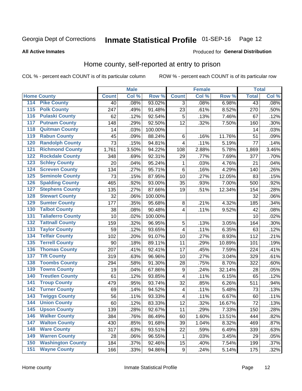#### Inmate Statistical Profile 01-SEP-16 Page 12

Produced for General Distribution

### **All Active Inmates**

## Home county, self-reported at entry to prison

COL % - percent each COUNT is of its particular column

|     |                          |              | <b>Male</b> |                  |                         | <b>Female</b> |        | <b>Total</b> |       |
|-----|--------------------------|--------------|-------------|------------------|-------------------------|---------------|--------|--------------|-------|
|     | <b>Home County</b>       | <b>Count</b> | Col%        | Row <sup>%</sup> | <b>Count</b>            | Col %         | Row %  | <b>Total</b> | Col % |
| 114 | <b>Pike County</b>       | 40           | .08%        | 93.02%           | 3                       | .08%          | 6.98%  | 43           | .08%  |
| 115 | <b>Polk County</b>       | 247          | .49%        | 91.48%           | 23                      | .61%          | 8.52%  | 270          | .50%  |
| 116 | <b>Pulaski County</b>    | 62           | .12%        | 92.54%           | 5                       | .13%          | 7.46%  | 67           | .12%  |
| 117 | <b>Putnam County</b>     | 148          | .29%        | 92.50%           | 12                      | .32%          | 7.50%  | 160          | .30%  |
| 118 | <b>Quitman County</b>    | 14           | .03%        | 100.00%          |                         |               |        | 14           | .03%  |
| 119 | <b>Rabun County</b>      | 45           | .09%        | 88.24%           | 6                       | .16%          | 11.76% | 51           | .09%  |
| 120 | <b>Randolph County</b>   | 73           | .15%        | 94.81%           | 4                       | .11%          | 5.19%  | 77           | .14%  |
| 121 | <b>Richmond County</b>   | 1,761        | 3.50%       | 94.22%           | 108                     | 2.88%         | 5.78%  | 1,869        | 3.46% |
| 122 | <b>Rockdale County</b>   | 348          | .69%        | 92.31%           | 29                      | .77%          | 7.69%  | 377          | .70%  |
| 123 | <b>Schley County</b>     | 20           | .04%        | 95.24%           | 1                       | .03%          | 4.76%  | 21           | .04%  |
| 124 | <b>Screven County</b>    | 134          | .27%        | 95.71%           | $\,6$                   | .16%          | 4.29%  | 140          | .26%  |
| 125 | <b>Seminole County</b>   | 73           | .15%        | 87.95%           | 10                      | .27%          | 12.05% | 83           | .15%  |
| 126 | <b>Spalding County</b>   | 465          | .92%        | 93.00%           | 35                      | .93%          | 7.00%  | 500          | .92%  |
| 127 | <b>Stephens County</b>   | 135          | .27%        | 87.66%           | 19                      | .51%          | 12.34% | 154          | .28%  |
| 128 | <b>Stewart County</b>    | 32           | .06%        | 100.00%          |                         |               |        | 32           | .06%  |
| 129 | <b>Sumter County</b>     | 177          | .35%        | 95.68%           | 8                       | .21%          | 4.32%  | 185          | .34%  |
| 130 | <b>Talbot County</b>     | 38           | .08%        | 90.48%           | $\overline{\mathbf{4}}$ | .11%          | 9.52%  | 42           | .08%  |
| 131 | <b>Taliaferro County</b> | 10           | .02%        | 100.00%          |                         |               |        | 10           | .02%  |
| 132 | <b>Tattnall County</b>   | 159          | .32%        | 96.95%           | 5                       | .13%          | 3.05%  | 164          | .30%  |
| 133 | <b>Taylor County</b>     | 59           | .12%        | 93.65%           | $\overline{\mathbf{4}}$ | .11%          | 6.35%  | 63           | .12%  |
| 134 | <b>Telfair County</b>    | 102          | .20%        | 91.07%           | 10                      | .27%          | 8.93%  | 112          | .21%  |
| 135 | <b>Terrell County</b>    | 90           | .18%        | 89.11%           | 11                      | .29%          | 10.89% | 101          | .19%  |
| 136 | <b>Thomas County</b>     | 207          | .41%        | 92.41%           | 17                      | .45%          | 7.59%  | 224          | .41%  |
| 137 | <b>Tift County</b>       | 319          | .63%        | 96.96%           | 10                      | .27%          | 3.04%  | 329          | .61%  |
| 138 | <b>Toombs County</b>     | 294          | .58%        | 91.30%           | 28                      | .75%          | 8.70%  | 322          | .60%  |
| 139 | <b>Towns County</b>      | 19           | .04%        | 67.86%           | $\boldsymbol{9}$        | .24%          | 32.14% | 28           | .05%  |
| 140 | <b>Treutlen County</b>   | 61           | .12%        | 93.85%           | 4                       | .11%          | 6.15%  | 65           | .12%  |
| 141 | <b>Troup County</b>      | 479          | .95%        | 93.74%           | 32                      | .85%          | 6.26%  | 511          | .94%  |
| 142 | <b>Turner County</b>     | 69           | .14%        | 94.52%           | 4                       | .11%          | 5.48%  | 73           | .13%  |
| 143 | <b>Twiggs County</b>     | 56           | .11%        | 93.33%           | $\overline{\mathbf{4}}$ | .11%          | 6.67%  | 60           | .11%  |
| 144 | <b>Union County</b>      | 60           | .12%        | 83.33%           | 12                      | .32%          | 16.67% | 72           | .13%  |
| 145 | <b>Upson County</b>      | 139          | .28%        | 92.67%           | 11                      | .29%          | 7.33%  | 150          | .28%  |
| 146 | <b>Walker County</b>     | 384          | .76%        | 86.49%           | 60                      | 1.60%         | 13.51% | 444          | .82%  |
| 147 | <b>Walton County</b>     | 430          | .85%        | 91.68%           | 39                      | 1.04%         | 8.32%  | 469          | .87%  |
| 148 | <b>Ware County</b>       | 317          | .63%        | 93.51%           | 22                      | .59%          | 6.49%  | 339          | .63%  |
| 149 | <b>Warren County</b>     | 28           | .06%        | 96.55%           | 1                       | .03%          | 3.45%  | 29           | .05%  |
| 150 | <b>Washington County</b> | 184          | .37%        | 92.46%           | 15                      | .40%          | 7.54%  | 199          | .37%  |
| 151 | <b>Wayne County</b>      | 166          | .33%        | 94.86%           | $\boldsymbol{9}$        | .24%          | 5.14%  | 175          | .32%  |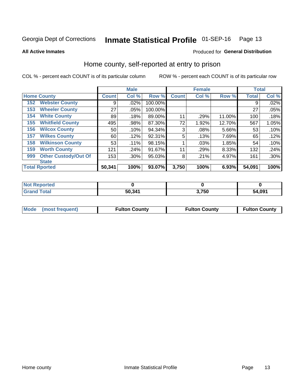## Inmate Statistical Profile 01-SEP-16 Page 13

**All Active Inmates** 

### Produced for General Distribution

## Home county, self-reported at entry to prison

COL % - percent each COUNT is of its particular column

|     |                             |              | <b>Male</b> |         |              | <b>Female</b> |        | <b>Total</b> |         |
|-----|-----------------------------|--------------|-------------|---------|--------------|---------------|--------|--------------|---------|
|     | <b>Home County</b>          | <b>Count</b> | Col %       | Row %   | <b>Count</b> | Col %         | Row %  | <b>Total</b> | Col %   |
| 152 | <b>Webster County</b>       | 9            | .02%        | 100.00% |              |               |        | 9            | .02%    |
| 153 | <b>Wheeler County</b>       | 27           | $.05\%$     | 100.00% |              |               |        | 27           | .05%    |
| 154 | <b>White County</b>         | 89           | .18%        | 89.00%  | 11           | .29%          | 11.00% | 100          | .18%    |
| 155 | <b>Whitfield County</b>     | 495          | .98%        | 87.30%  | 72           | 1.92%         | 12.70% | 567          | 1.05%   |
| 156 | <b>Wilcox County</b>        | 50           | .10%        | 94.34%  | 3            | .08%          | 5.66%  | 53           | .10%    |
| 157 | <b>Wilkes County</b>        | 60           | .12%        | 92.31%  | 5            | .13%          | 7.69%  | 65           | .12%    |
| 158 | <b>Wilkinson County</b>     | 53           | $.11\%$     | 98.15%  |              | .03%          | 1.85%  | 54           | .10%    |
| 159 | <b>Worth County</b>         | 121          | .24%        | 91.67%  | 11           | .29%          | 8.33%  | 132          | .24%    |
| 999 | <b>Other Custody/Out Of</b> | 153          | .30%        | 95.03%  | 8            | .21%          | 4.97%  | 161          | $.30\%$ |
|     | <b>State</b>                |              |             |         |              |               |        |              |         |
|     | <b>Total Rported</b>        | 50,341       | 100%        | 93.07%  | 3,750        | 100%          | 6.93%  | 54,091       | 100%    |

| <b>NO</b><br>τeα |        |       |        |
|------------------|--------|-------|--------|
|                  | 50.341 | 3,750 | 54,091 |

|  | Mode (most frequent) | <b>Fulton County</b> | <b>Fulton County</b> | <b>Fulton County</b> |
|--|----------------------|----------------------|----------------------|----------------------|
|--|----------------------|----------------------|----------------------|----------------------|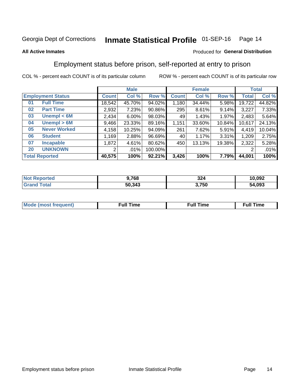#### Inmate Statistical Profile 01-SEP-16 Page 14

## **All Active Inmates**

### Produced for General Distribution

## Employment status before prison, self-reported at entry to prison

COL % - percent each COUNT is of its particular column

|                             | <b>Male</b>           |          |         | <b>Female</b> |        |        | <b>Total</b> |        |
|-----------------------------|-----------------------|----------|---------|---------------|--------|--------|--------------|--------|
| <b>Employment Status</b>    | <b>Count</b>          | Col %    | Row %   | <b>Count</b>  | Col %  | Row %  | <b>Total</b> | Col %  |
| <b>Full Time</b><br>01      | 18,542                | 45.70%   | 94.02%  | 1,180         | 34.44% | 5.98%  | 19,722       | 44.82% |
| <b>Part Time</b><br>02      | 2,932                 | 7.23%    | 90.86%  | 295           | 8.61%  | 9.14%  | 3,227        | 7.33%  |
| Unempl $<$ 6M<br>03         | 2,434                 | $6.00\%$ | 98.03%  | 49            | 1.43%  | 1.97%  | 2,483        | 5.64%  |
| Unempl > 6M<br>04           | 9,466                 | 23.33%   | 89.16%  | 1,151         | 33.60% | 10.84% | 10,617       | 24.13% |
| <b>Never Worked</b><br>05   | 4,158                 | 10.25%   | 94.09%  | 261           | 7.62%  | 5.91%  | 4,419        | 10.04% |
| <b>Student</b><br>06        | .169                  | 2.88%    | 96.69%  | 40            | 1.17%  | 3.31%  | 1,209        | 2.75%  |
| 07<br><b>Incapable</b>      | 1,872                 | 4.61%    | 80.62%  | 450           | 13.13% | 19.38% | 2,322        | 5.28%  |
| <b>UNKNOWN</b><br><b>20</b> | $\mathbf{2}^{\prime}$ | .01%     | 100.00% |               |        |        | 2            | .01%   |
| <b>Total Reported</b>       | 40,575                | 100%     | 92.21%  | 3,426         | 100%   | 7.79%  | 44,001       | 100%   |

| <b>Not Reported</b> | 9,768  | 324   | 10,092 |
|---------------------|--------|-------|--------|
| <b>Grand Total</b>  | 50,343 | 3,750 | 54,093 |

| <b>Mode (most frequent)</b> | $^{\prime\prime}$ Time | <b>Time</b><br>rull i |
|-----------------------------|------------------------|-----------------------|
|                             |                        |                       |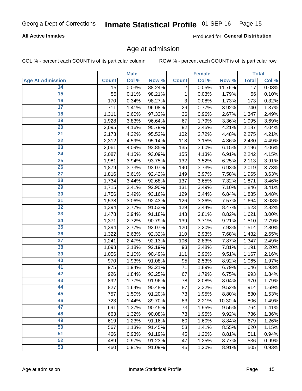## Inmate Statistical Profile 01-SEP-16 Page 15

## **All Active Inmates**

Produced for General Distribution

## Age at admission

COL % - percent each COUNT is of its particular column

|                         |              | <b>Male</b> |        |                | <b>Female</b> |        |                 | <b>Total</b> |
|-------------------------|--------------|-------------|--------|----------------|---------------|--------|-----------------|--------------|
| <b>Age At Admission</b> | <b>Count</b> | Col %       | Row %  | <b>Count</b>   | Col %         | Row %  | <b>Total</b>    | Col %        |
| 14                      | 15           | 0.03%       | 88.24% | $\overline{2}$ | 0.05%         | 11.76% | $\overline{17}$ | 0.03%        |
| $\overline{15}$         | 55           | 0.11%       | 98.21% | 1              | 0.03%         | 1.79%  | 56              | 0.10%        |
| 16                      | 170          | 0.34%       | 98.27% | 3              | 0.08%         | 1.73%  | 173             | 0.32%        |
| $\overline{17}$         | 711          | 1.41%       | 96.08% | 29             | 0.77%         | 3.92%  | 740             | 1.37%        |
| $\overline{18}$         | 1,311        | 2.60%       | 97.33% | 36             | 0.96%         | 2.67%  | 1,347           | 2.49%        |
| 19                      | 1,928        | 3.83%       | 96.64% | 67             | 1.79%         | 3.36%  | 1,995           | 3.69%        |
| 20                      | 2,095        | 4.16%       | 95.79% | 92             | 2.45%         | 4.21%  | 2,187           | 4.04%        |
| $\overline{21}$         | 2,173        | 4.32%       | 95.52% | 102            | 2.72%         | 4.48%  | 2,275           | 4.21%        |
| $\overline{22}$         | 2,312        | 4.59%       | 95.14% | 118            | 3.15%         | 4.86%  | 2,430           | 4.49%        |
| $\overline{23}$         | 2,061        | 4.09%       | 93.85% | 135            | 3.60%         | 6.15%  | 2,196           | 4.06%        |
| 24                      | 2,087        | 4.15%       | 93.09% | 155            | 4.13%         | 6.91%  | 2,242           | 4.15%        |
| $\overline{25}$         | 1,981        | 3.94%       | 93.75% | 132            | 3.52%         | 6.25%  | 2,113           | 3.91%        |
| $\overline{26}$         | 1,879        | 3.73%       | 93.07% | 140            | 3.73%         | 6.93%  | 2,019           | 3.73%        |
| $\overline{27}$         | 1,816        | 3.61%       | 92.42% | 149            | 3.97%         | 7.58%  | 1,965           | 3.63%        |
| 28                      | 1,734        | 3.44%       | 92.68% | 137            | 3.65%         | 7.32%  | 1,871           | 3.46%        |
| 29                      | 1,715        | 3.41%       | 92.90% | 131            | 3.49%         | 7.10%  | 1,846           | 3.41%        |
| 30                      | 1,756        | 3.49%       | 93.16% | 129            | 3.44%         | 6.84%  | 1,885           | 3.48%        |
| 31                      | 1,538        | 3.06%       | 92.43% | 126            | 3.36%         | 7.57%  | 1,664           | 3.08%        |
| 32                      | 1,394        | 2.77%       | 91.53% | 129            | 3.44%         | 8.47%  | 1,523           | 2.82%        |
| 33                      | 1,478        | 2.94%       | 91.18% | 143            | 3.81%         | 8.82%  | 1,621           | 3.00%        |
| 34                      | 1,371        | 2.72%       | 90.79% | 139            | 3.71%         | 9.21%  | 1,510           | 2.79%        |
| 35                      | 1,394        | 2.77%       | 92.07% | 120            | 3.20%         | 7.93%  | 1,514           | 2.80%        |
| 36                      | 1,322        | 2.63%       | 92.32% | 110            | 2.93%         | 7.68%  | 1,432           | 2.65%        |
| $\overline{37}$         | 1,241        | 2.47%       | 92.13% | 106            | 2.83%         | 7.87%  | 1,347           | 2.49%        |
| 38                      | 1,098        | 2.18%       | 92.19% | 93             | 2.48%         | 7.81%  | 1,191           | 2.20%        |
| 39                      | 1,056        | 2.10%       | 90.49% | 111            | 2.96%         | 9.51%  | 1,167           | 2.16%        |
| 40                      | 970          | 1.93%       | 91.08% | 95             | 2.53%         | 8.92%  | 1,065           | 1.97%        |
| 41                      | 975          | 1.94%       | 93.21% | 71             | 1.89%         | 6.79%  | 1,046           | 1.93%        |
| 42                      | 926          | 1.84%       | 93.25% | 67             | 1.79%         | 6.75%  | 993             | 1.84%        |
| 43                      | 892          | 1.77%       | 91.96% | 78             | 2.08%         | 8.04%  | 970             | 1.79%        |
| 44                      | 827          | 1.64%       | 90.48% | 87             | 2.32%         | 9.52%  | 914             | 1.69%        |
| 45                      | 757          | 1.50%       | 91.20% | 73             | 1.95%         | 8.80%  | 830             | 1.53%        |
| 46                      | 723          | 1.44%       | 89.70% | 83             | 2.21%         | 10.30% | 806             | 1.49%        |
| 47                      | 691          | 1.37%       | 90.45% | 73             | 1.95%         | 9.55%  | 764             | 1.41%        |
| 48                      | 663          | 1.32%       | 90.08% | 73             | 1.95%         | 9.92%  | 736             | 1.36%        |
| 49                      | 619          | 1.23%       | 91.16% | 60             | 1.60%         | 8.84%  | 679             | 1.26%        |
| 50                      | 567          | 1.13%       | 91.45% | 53             | 1.41%         | 8.55%  | 620             | 1.15%        |
| 51                      | 466          | 0.93%       | 91.19% | 45             | 1.20%         | 8.81%  | 511             | 0.94%        |
| 52                      | 489          | 0.97%       | 91.23% | 47             | 1.25%         | 8.77%  | 536             | 0.99%        |
| 53                      | 460          | 0.91%       | 91.09% | 45             | 1.20%         | 8.91%  | 505             | 0.93%        |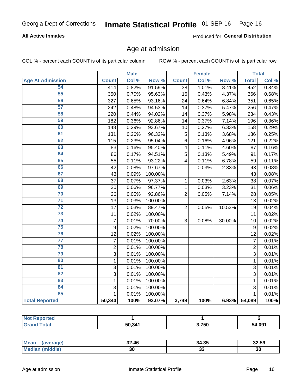#### Inmate Statistical Profile 01-SEP-16 Page 16

## **All Active Inmates**

Produced for General Distribution

## Age at admission

COL % - percent each COUNT is of its particular column

|                         |                | <b>Male</b> |         |                         | <b>Female</b> |        |                | <b>Total</b> |
|-------------------------|----------------|-------------|---------|-------------------------|---------------|--------|----------------|--------------|
| <b>Age At Admission</b> | <b>Count</b>   | Col %       | Row %   | <b>Count</b>            | Col %         | Row %  | <b>Total</b>   | Col %        |
| 54                      | 414            | 0.82%       | 91.59%  | $\overline{38}$         | 1.01%         | 8.41%  | 452            | 0.84%        |
| 55                      | 350            | 0.70%       | 95.63%  | 16                      | 0.43%         | 4.37%  | 366            | 0.68%        |
| 56                      | 327            | 0.65%       | 93.16%  | 24                      | 0.64%         | 6.84%  | 351            | 0.65%        |
| 57                      | 242            | 0.48%       | 94.53%  | 14                      | 0.37%         | 5.47%  | 256            | 0.47%        |
| 58                      | 220            | 0.44%       | 94.02%  | 14                      | 0.37%         | 5.98%  | 234            | 0.43%        |
| 59                      | 182            | 0.36%       | 92.86%  | 14                      | 0.37%         | 7.14%  | 196            | 0.36%        |
| 60                      | 148            | 0.29%       | 93.67%  | 10                      | 0.27%         | 6.33%  | 158            | 0.29%        |
| 61                      | 131            | 0.26%       | 96.32%  | 5                       | 0.13%         | 3.68%  | 136            | 0.25%        |
| 62                      | 115            | 0.23%       | 95.04%  | 6                       | 0.16%         | 4.96%  | 121            | 0.22%        |
| 63                      | 83             | 0.16%       | 95.40%  | $\overline{\mathbf{4}}$ | 0.11%         | 4.60%  | 87             | 0.16%        |
| 64                      | 86             | 0.17%       | 94.51%  | 5                       | 0.13%         | 5.49%  | 91             | 0.17%        |
| 65                      | 55             | 0.11%       | 93.22%  | $\overline{\mathbf{4}}$ | 0.11%         | 6.78%  | 59             | 0.11%        |
| 66                      | 42             | 0.08%       | 97.67%  | $\mathbf 1$             | 0.03%         | 2.33%  | 43             | 0.08%        |
| 67                      | 43             | 0.09%       | 100.00% |                         |               |        | 43             | 0.08%        |
| 68                      | 37             | 0.07%       | 97.37%  | 1                       | 0.03%         | 2.63%  | 38             | 0.07%        |
| 69                      | 30             | 0.06%       | 96.77%  | 1                       | 0.03%         | 3.23%  | 31             | 0.06%        |
| 70                      | 26             | 0.05%       | 92.86%  | $\overline{2}$          | 0.05%         | 7.14%  | 28             | 0.05%        |
| $\overline{71}$         | 13             | 0.03%       | 100.00% |                         |               |        | 13             | 0.02%        |
| $\overline{72}$         | 17             | 0.03%       | 89.47%  | $\overline{2}$          | 0.05%         | 10.53% | 19             | 0.04%        |
| $\overline{73}$         | 11             | 0.02%       | 100.00% |                         |               |        | 11             | 0.02%        |
| $\overline{74}$         | $\overline{7}$ | 0.01%       | 70.00%  | 3                       | 0.08%         | 30.00% | 10             | 0.02%        |
| 75                      | 9              | 0.02%       | 100.00% |                         |               |        | 9              | 0.02%        |
| 76                      | 12             | 0.02%       | 100.00% |                         |               |        | 12             | 0.02%        |
| $\overline{77}$         | $\overline{7}$ | 0.01%       | 100.00% |                         |               |        | $\overline{7}$ | 0.01%        |
| 78                      | $\overline{2}$ | 0.01%       | 100.00% |                         |               |        | $\overline{2}$ | 0.01%        |
| 79                      | $\overline{3}$ | 0.01%       | 100.00% |                         |               |        | $\overline{3}$ | 0.01%        |
| 80                      | $\mathbf{1}$   | 0.01%       | 100.00% |                         |               |        | $\mathbf{1}$   | 0.01%        |
| 81                      | $\overline{3}$ | 0.01%       | 100.00% |                         |               |        | $\overline{3}$ | 0.01%        |
| $\overline{82}$         | $\overline{3}$ | 0.01%       | 100.00% |                         |               |        | $\overline{3}$ | 0.01%        |
| 83                      | 1              | 0.01%       | 100.00% |                         |               |        | 1              | 0.01%        |
| 84                      | 3              | 0.01%       | 100.00% |                         |               |        | 3              | 0.01%        |
| 85                      | $\mathbf{1}$   | 0.01%       | 100.00% |                         |               |        | $\mathbf{1}$   | 0.01%        |
| <b>Total Reported</b>   | 50,340         | 100%        | 93.07%  | 3,749                   | 100%          | 6.93%  | 54,089         | 100%         |

| <b>Not Reported</b> |        |       |        |
|---------------------|--------|-------|--------|
| Tota'               | 50.341 | 3,750 | 54,091 |

| <b>Mean</b><br>averager | 32.46 | 34.35    | 32.59     |
|-------------------------|-------|----------|-----------|
| Me                      | 3U    | n,<br>აა | . .<br>ડા |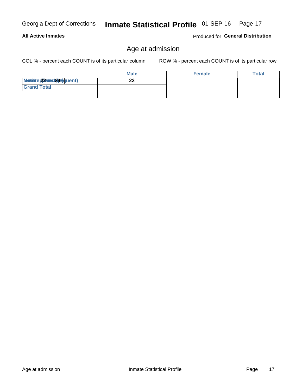#### Georgia Dept of Corrections Inmate Statistical Profile 01-SEP-16 Page 17

## **All Active Inmates**

Produced for General Distribution

## Age at admission

COL % - percent each COUNT is of its particular column

|                           | <b>Male</b> | <b>Female</b> | <b>Total</b> |
|---------------------------|-------------|---------------|--------------|
| Modiae 22 Mest2020 quent) | ົ<br>←∠     |               |              |
| <b>Grand Total</b>        |             |               |              |
|                           |             |               |              |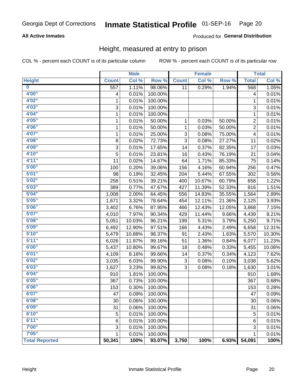#### Inmate Statistical Profile 01-SEP-16 Page 20

## **All Active Inmates**

## Produced for General Distribution

## Height, measured at entry to prison

COL % - percent each COUNT is of its particular column

|                         |                  | <b>Male</b> |         |              | <b>Female</b> |        |                           | <b>Total</b> |
|-------------------------|------------------|-------------|---------|--------------|---------------|--------|---------------------------|--------------|
| <b>Height</b>           | <b>Count</b>     | Col %       | Row %   | <b>Count</b> | Col %         | Row %  | <b>Total</b>              | Col %        |
| $\overline{\mathbf{0}}$ | $\overline{557}$ | 1.11%       | 98.06%  | 11           | 0.29%         | 1.94%  | 568                       | 1.05%        |
| 4'00"                   | 4                | 0.01%       | 100.00% |              |               |        | 4                         | 0.01%        |
| 4'02''                  | 1                | 0.01%       | 100.00% |              |               |        | 1                         | 0.01%        |
| 4'03''                  | 3                | 0.01%       | 100.00% |              |               |        | $\ensuremath{\mathsf{3}}$ | 0.01%        |
| 4'04"                   | 1                | 0.01%       | 100.00% |              |               |        | 1                         | 0.01%        |
| 4'05"                   | 1                | 0.01%       | 50.00%  | 1            | 0.03%         | 50.00% | $\overline{2}$            | 0.01%        |
| 4'06"                   | 1                | 0.01%       | 50.00%  | 1            | 0.03%         | 50.00% | $\overline{c}$            | 0.01%        |
| 4'07"                   | 1                | 0.01%       | 25.00%  | 3            | 0.08%         | 75.00% | 4                         | 0.01%        |
| 4'08"                   | 8                | 0.02%       | 72.73%  | 3            | 0.08%         | 27.27% | 11                        | 0.02%        |
| 4'09"                   | 3                | 0.01%       | 17.65%  | 14           | 0.37%         | 82.35% | 17                        | 0.03%        |
| 4'10''                  | 5                | 0.01%       | 23.81%  | 16           | 0.43%         | 76.19% | 21                        | 0.04%        |
| 4'11''                  | 11               | 0.02%       | 14.67%  | 64           | 1.71%         | 85.33% | 75                        | 0.14%        |
| 5'00''                  | 100              | 0.20%       | 39.06%  | 156          | 4.16%         | 60.94% | 256                       | 0.47%        |
| 5'01"                   | 98               | 0.19%       | 32.45%  | 204          | 5.44%         | 67.55% | 302                       | 0.56%        |
| 5'02"                   | 258              | 0.51%       | 39.21%  | 400          | 10.67%        | 60.79% | 658                       | 1.22%        |
| 5'03''                  | 389              | 0.77%       | 47.67%  | 427          | 11.39%        | 52.33% | 816                       | 1.51%        |
| 5'04"                   | 1,008            | 2.00%       | 64.45%  | 556          | 14.83%        | 35.55% | 1,564                     | 2.89%        |
| 5'05"                   | 1,671            | 3.32%       | 78.64%  | 454          | 12.11%        | 21.36% | 2,125                     | 3.93%        |
| 5'06''                  | 3,402            | 6.76%       | 87.95%  | 466          | 12.43%        | 12.05% | 3,868                     | 7.15%        |
| 5'07''                  | 4,010            | 7.97%       | 90.34%  | 429          | 11.44%        | 9.66%  | 4,439                     | 8.21%        |
| 5'08''                  | 5,051            | 10.03%      | 96.21%  | 199          | 5.31%         | 3.79%  | 5,250                     | 9.71%        |
| 5'09''                  | 6,492            | 12.90%      | 97.51%  | 166          | 4.43%         | 2.49%  | 6,658                     | 12.31%       |
| 5'10''                  | 5,479            | 10.88%      | 98.37%  | 91           | 2.43%         | 1.63%  | 5,570                     | 10.30%       |
| 5'11"                   | 6,026            | 11.97%      | 99.16%  | 51           | 1.36%         | 0.84%  | 6,077                     | 11.23%       |
| 6'00''                  | 5,437            | 10.80%      | 99.67%  | 18           | 0.48%         | 0.33%  | 5,455                     | 10.08%       |
| 6'01''                  | 4,109            | 8.16%       | 99.66%  | 14           | 0.37%         | 0.34%  | 4,123                     | 7.62%        |
| 6'02"                   | 3,035            | 6.03%       | 99.90%  | 3            | 0.08%         | 0.10%  | 3,038                     | 5.62%        |
| 6'03''                  | 1,627            | 3.23%       | 99.82%  | 3            | 0.08%         | 0.18%  | 1,630                     | 3.01%        |
| 6'04"                   | 910              | 1.81%       | 100.00% |              |               |        | 910                       | 1.68%        |
| 6'05"                   | 367              | 0.73%       | 100.00% |              |               |        | 367                       | 0.68%        |
| 6'06''                  | 153              | 0.30%       | 100.00% |              |               |        | 153                       | 0.28%        |
| 6'07"                   | 47               | $0.09\%$    | 100.00% |              |               |        | 47                        | 0.09%        |
| 6'08"                   | 30               | 0.06%       | 100.00% |              |               |        | 30                        | 0.06%        |
| 6'09''                  | 31               | 0.06%       | 100.00% |              |               |        | 31                        | 0.06%        |
| 6'10''                  | 5                | 0.01%       | 100.00% |              |               |        | 5                         | 0.01%        |
| 6'11''                  | 6                | 0.01%       | 100.00% |              |               |        | 6                         | 0.01%        |
| 7'00"                   | 3                | 0.01%       | 100.00% |              |               |        | 3                         | 0.01%        |
| 7'05"                   | $\mathbf{1}$     | 0.01%       | 100.00% |              |               |        | 1                         | 0.01%        |
| <b>Total Reported</b>   | 50,341           | 100%        | 93.07%  | 3,750        | 100%          | 6.93%  | 54,091                    | 100%         |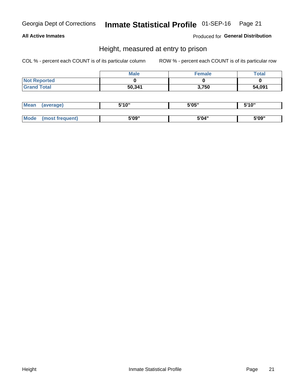## Inmate Statistical Profile 01-SEP-16 Page 21

## **All Active Inmates**

Produced for General Distribution

## Height, measured at entry to prison

COL % - percent each COUNT is of its particular column

|                     | <b>Male</b> | Female | Total  |
|---------------------|-------------|--------|--------|
| <b>Not Reported</b> |             |        |        |
| <b>Grand Total</b>  | 50,341      | 3,750  | 54,091 |

| <b>Mean</b> | erage) | 5'10" | 5'05" | <b>CIA AIL</b><br>. . |
|-------------|--------|-------|-------|-----------------------|
|             |        |       |       |                       |
| <b>Mode</b> |        | 5'09" | 5'04" | 5'09"                 |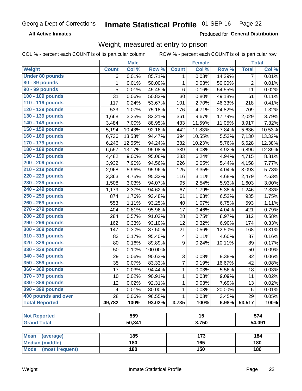#### Inmate Statistical Profile 01-SEP-16 Page 22

**All Active Inmates** 

Produced for General Distribution

## Weight, measured at entry to prison

COL % - percent each COUNT is of its particular column

|                          |              | <b>Male</b> |         |                  | <b>Female</b> |        |                | <b>Total</b> |
|--------------------------|--------------|-------------|---------|------------------|---------------|--------|----------------|--------------|
| Weight                   | <b>Count</b> | Col %       | Row %   | <b>Count</b>     | Col %         | Row %  | <b>Total</b>   | Col %        |
| <b>Under 80 pounds</b>   | 6            | 0.01%       | 85.71%  | 1                | 0.03%         | 14.29% | $\overline{7}$ | 0.01%        |
| 80 - 89 pounds           | 1            | 0.01%       | 50.00%  | 1                | 0.03%         | 50.00% | $\overline{c}$ | 0.01%        |
| 90 - 99 pounds           | 5            | 0.01%       | 45.45%  | 6                | 0.16%         | 54.55% | 11             | 0.02%        |
| 100 - 109 pounds         | 31           | 0.06%       | 50.82%  | 30               | 0.80%         | 49.18% | 61             | 0.11%        |
| 110 - 119 pounds         | 117          | 0.24%       | 53.67%  | 101              | 2.70%         | 46.33% | 218            | 0.41%        |
| 120 - 129 pounds         | 533          | 1.07%       | 75.18%  | 176              | 4.71%         | 24.82% | 709            | 1.32%        |
| 130 - 139 pounds         | 1,668        | 3.35%       | 82.21%  | 361              | 9.67%         | 17.79% | 2,029          | 3.79%        |
| 140 - 149 pounds         | 3,484        | 7.00%       | 88.95%  | 433              | 11.59%        | 11.05% | 3,917          | 7.32%        |
| 150 - 159 pounds         | 5,194        | 10.43%      | 92.16%  | 442              | 11.83%        | 7.84%  | 5,636          | 10.53%       |
| 160 - 169 pounds         | 6,736        | 13.53%      | 94.47%  | 394              | 10.55%        | 5.53%  | 7,130          | 13.32%       |
| 170 - 179 pounds         | 6,246        | 12.55%      | 94.24%  | 382              | 10.23%        | 5.76%  | 6,628          | 12.38%       |
| 180 - 189 pounds         | 6,557        | 13.17%      | 95.08%  | 339              | 9.08%         | 4.92%  | 6,896          | 12.89%       |
| 190 - 199 pounds         | 4,482        | 9.00%       | 95.06%  | 233              | 6.24%         | 4.94%  | 4,715          | 8.81%        |
| 200 - 209 pounds         | 3,932        | 7.90%       | 94.56%  | 226              | 6.05%         | 5.44%  | 4,158          | 7.77%        |
| 210 - 219 pounds         | 2,968        | 5.96%       | 95.96%  | 125              | 3.35%         | 4.04%  | 3,093          | 5.78%        |
| 220 - 229 pounds         | 2,363        | 4.75%       | 95.32%  | 116              | 3.11%         | 4.68%  | 2,479          | 4.63%        |
| 230 - 239 pounds         | 1,508        | 3.03%       | 94.07%  | 95               | 2.54%         | 5.93%  | 1,603          | 3.00%        |
| 240 - 249 pounds         | 1,179        | 2.37%       | 94.62%  | 67               | 1.79%         | 5.38%  | 1,246          | 2.33%        |
| 250 - 259 pounds         | 874          | 1.76%       | 93.48%  | 61               | 1.63%         | 6.52%  | 935            | 1.75%        |
| 260 - 269 pounds         | 553          | 1.11%       | 93.25%  | 40               | 1.07%         | 6.75%  | 593            | 1.11%        |
| 270 - 279 pounds         | 404          | 0.81%       | 95.96%  | 17               | 0.46%         | 4.04%  | 421            | 0.79%        |
| 280 - 289 pounds         | 284          | 0.57%       | 91.03%  | 28               | 0.75%         | 8.97%  | 312            | 0.58%        |
| 290 - 299 pounds         | 162          | 0.33%       | 93.10%  | 12               | 0.32%         | 6.90%  | 174            | 0.33%        |
| 300 - 309 pounds         | 147          | 0.30%       | 87.50%  | 21               | 0.56%         | 12.50% | 168            | 0.31%        |
| 310 - 319 pounds         | 83           | 0.17%       | 95.40%  | 4                | 0.11%         | 4.60%  | 87             | 0.16%        |
| 320 - 329 pounds         | 80           | 0.16%       | 89.89%  | $\boldsymbol{9}$ | 0.24%         | 10.11% | 89             | 0.17%        |
| 330 - 339 pounds         | 50           | 0.10%       | 100.00% |                  |               |        | 50             | 0.09%        |
| 340 - 349 pounds         | 29           | 0.06%       | 90.63%  | 3                | 0.08%         | 9.38%  | 32             | 0.06%        |
| 350 - 359 pounds         | 35           | 0.07%       | 83.33%  | 7                | 0.19%         | 16.67% | 42             | 0.08%        |
| 360 - 369 pounds         | 17           | 0.03%       | 94.44%  | 1                | 0.03%         | 5.56%  | 18             | 0.03%        |
| 370 - 379 pounds         | 10           | 0.02%       | 90.91%  | $\mathbf{1}$     | 0.03%         | 9.09%  | 11             | 0.02%        |
| 380 - 389 pounds         | 12           | 0.02%       | 92.31%  | 1                | 0.03%         | 7.69%  | 13             | 0.02%        |
| 390 - 399 pounds         | 4            | 0.01%       | 80.00%  | 1                | 0.03%         | 20.00% | 5              | 0.01%        |
| 400 pounds and over      | 28           | 0.06%       | 96.55%  | 1                | 0.03%         | 3.45%  | 29             | 0.05%        |
| <b>Total Reported</b>    | 49,782       | 100%        | 93.02%  | 3,735            | 100%          | 6.98%  | 53,517         | 100%         |
|                          |              |             |         |                  |               |        |                |              |
| <b>Not Reported</b>      |              | 559         |         | $\overline{15}$  |               |        |                | 574          |
| <b>Grand Total</b>       |              | 50,341      |         | 3,750            |               |        |                | 54,091       |
|                          |              |             |         |                  |               |        |                |              |
| <b>Mean</b><br>(average) |              | 185         |         |                  | 173           |        |                | 184          |
| <b>Median (middle)</b>   |              | 180         |         |                  | 165           |        |                | 180          |
| Mode (most frequent)     |              | 180         |         |                  | 150           |        |                | 180          |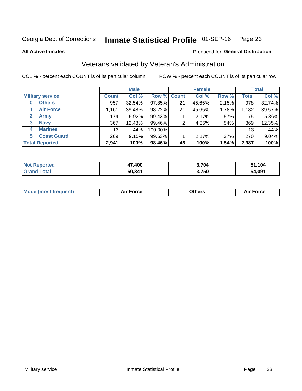#### Inmate Statistical Profile 01-SEP-16 Page 23

**All Active Inmates** 

### Produced for General Distribution

## Veterans validated by Veteran's Administration

COL % - percent each COUNT is of its particular column

|                             |                 | <b>Male</b> |             |    | <b>Female</b> |         |              | <b>Total</b> |
|-----------------------------|-----------------|-------------|-------------|----|---------------|---------|--------------|--------------|
| <b>Military service</b>     | <b>Count</b>    | Col %       | Row % Count |    | Col %         | Row %   | <b>Total</b> | Col %        |
| <b>Others</b><br>0          | 957             | 32.54%      | 97.85%      | 21 | 45.65%        | 2.15%   | 978          | 32.74%       |
| <b>Air Force</b>            | 1,161           | 39.48%      | 98.22%      | 21 | 45.65%        | 1.78%   | 1,182        | 39.57%       |
| <b>Army</b><br>$\mathbf{2}$ | 174             | 5.92%       | 99.43%      |    | 2.17%         | .57%    | 175          | 5.86%        |
| <b>Navy</b><br>3            | 367             | 12.48%      | 99.46%      | 2  | 4.35%         | .54%    | 369          | 12.35%       |
| <b>Marines</b><br>4         | 13 <sub>1</sub> | .44%        | 100.00%     |    |               |         | 13           | .44%         |
| <b>Coast Guard</b><br>5.    | 269             | 9.15%       | 99.63%      |    | 2.17%         | $.37\%$ | 270          | 9.04%        |
| <b>Total Reported</b>       | 2,941           | 100%        | 98.46%      | 46 | 100%          | 1.54%   | 2,987        | 100%         |

| <b>norted</b>      | ,400   | 3,704 | ,104   |
|--------------------|--------|-------|--------|
| 'NO.               | .,     |       | -51    |
| <b>otal</b><br>Gr: | 50,341 | 3,750 | 54,091 |

|  |  | <b>Mode (most frequent)</b> | <b>Force</b><br>Aır | วthers | orce |
|--|--|-----------------------------|---------------------|--------|------|
|--|--|-----------------------------|---------------------|--------|------|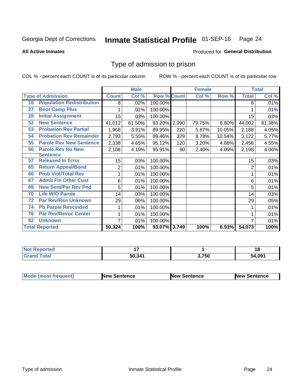#### Inmate Statistical Profile 01-SEP-16 Page 24

**All Active Inmates** 

### Produced for General Distribution

## Type of admission to prison

COL % - percent each COUNT is of its particular column

|    |                                  |              | <b>Male</b> |                    |     | <b>Female</b> |        |                | <b>Total</b> |
|----|----------------------------------|--------------|-------------|--------------------|-----|---------------|--------|----------------|--------------|
|    | <b>Type of Admission</b>         | <b>Count</b> | Col %       | <b>Row % Count</b> |     | Col %         | Row %  | <b>Total</b>   | Col %        |
| 16 | <b>Population Redistribution</b> | 8            | .02%        | 100.00%            |     |               |        | 8              | .01%         |
| 27 | <b>Boot Camp Plus</b>            |              | .01%        | 100.00%            |     |               |        |                | .01%         |
| 28 | <b>Initial Assignment</b>        | 15           | .03%        | 100.00%            |     |               |        | 15             | .03%         |
| 52 | <b>New Sentence</b>              | 41,012       | 81.50%      | 93.20% 2,990       |     | 79.75%        | 6.80%  | 44,002         | 81.38%       |
| 53 | <b>Probation Rev Partial</b>     | 1,968        | 3.91%       | 89.95%             | 220 | 5.87%         | 10.05% | 2,188          | 4.05%        |
| 54 | <b>Probation Rev Remainder</b>   | 2,793        | 5.55%       | 89.46%             | 329 | 8.78%         | 10.54% | 3,122          | 5.77%        |
| 55 | <b>Parole Rev New Sentence</b>   | 2,338        | 4.65%       | 95.12%             | 120 | 3.20%         | 4.88%  | 2,458          | 4.55%        |
| 56 | <b>Parole Rev No New</b>         | 2,108        | 4.19%       | 95.91%             | 90  | 2.40%         | 4.09%  | 2,198          | 4.06%        |
|    | <b>Sentence</b>                  |              |             |                    |     |               |        |                |              |
| 57 | <b>Released In Error</b>         | 15           | .03%        | 100.00%            |     |               |        | 15             | .03%         |
| 65 | <b>Return Appeal/Bond</b>        | 2            | .01%        | 100.00%            |     |               |        | $\overline{2}$ | .01%         |
| 66 | <b>Prob Viol/Total Rev</b>       | 1            | .01%        | 100.00%            |     |               |        |                | .01%         |
| 67 | <b>Admit Fm Other Cust</b>       | 6            | .01%        | 100.00%            |     |               |        | 6              | .01%         |
| 69 | <b>New Sent/Par Rev Pnd</b>      | 5            | .01%        | 100.00%            |     |               |        | 5              | .01%         |
| 70 | <b>Life W/O Parole</b>           | 14           | .03%        | 100.00%            |     |               |        | 14             | .03%         |
| 72 | <b>Par Rev/Rsn Unknown</b>       | 29           | .06%        | 100.00%            |     |               |        | 29             | .05%         |
| 74 | <b>Pb Parole Rescinded</b>       |              | .01%        | 100.00%            |     |               |        |                | .01%         |
| 76 | <b>Par Rev/Revoc Center</b>      | 1            | .01%        | 100.00%            |     |               |        |                | .01%         |
| 82 | <b>Unknown</b>                   | 7            | .01%        | 100.00%            |     |               |        |                | .01%         |
|    | <b>Total Reported</b>            | 50,324       | 100%        | 93.07% 3,749       |     | 100%          | 6.93%  | 54,073         | 100%         |

| rteo<br>N   |        |      | 18     |
|-------------|--------|------|--------|
| $C = 4 - 7$ | 50,341 | ,750 | 54.091 |

| Mode (most frequent) | <b>New Sentence</b> | <b>New Sentence</b> | <b>New Sentence</b> |
|----------------------|---------------------|---------------------|---------------------|
|                      |                     |                     |                     |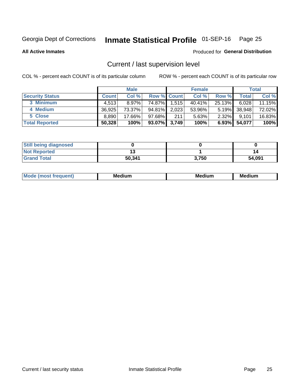## Inmate Statistical Profile 01-SEP-16 Page 25

**All Active Inmates** 

### Produced for General Distribution

## Current / last supervision level

COL % - percent each COUNT is of its particular column

|                        |              | <b>Male</b> |                    |       | <b>Female</b> |          |        | <b>Total</b> |
|------------------------|--------------|-------------|--------------------|-------|---------------|----------|--------|--------------|
| <b>Security Status</b> | <b>Count</b> | Col %       | <b>Row % Count</b> |       | Col %         | Row %    | Total  | Col %        |
| 3 Minimum              | 4.513        | $8.97\%$    | 74.87%             | 1,515 | $40.41\%$     | 25.13%   | 6,028  | 11.15%       |
| 4 Medium               | 36,925       | 73.37%      | 94.81%             | 2,023 | 53.96%        | $5.19\%$ | 38,948 | 72.02%       |
| 5 Close                | 8,890        | 17.66%      | $97.68\%$          | 211   | 5.63%         | $2.32\%$ | 9.101  | 16.83%       |
| <b>Total Reported</b>  | 50,328       | 100%        | 93.07%             | 3,749 | 100%          | $6.93\%$ | 54,077 | 100%         |

| <b>Still being diagnosed</b> |        |       |        |
|------------------------------|--------|-------|--------|
| <b>Not Reported</b>          |        |       | 14     |
| <b>Grand Total</b>           | 50,341 | 3,750 | 54,091 |

| M | . | -- |
|---|---|----|
|   |   |    |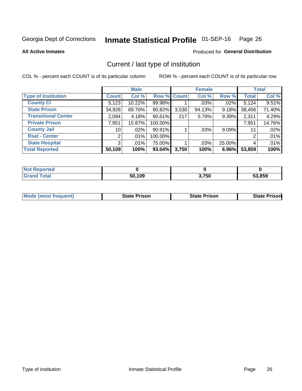#### Inmate Statistical Profile 01-SEP-16 Page 26

**All Active Inmates** 

### Produced for General Distribution

## Current / last type of institution

COL % - percent each COUNT is of its particular column

|                            |                 | <b>Male</b> |             |       | <b>Female</b> |          |              | <b>Total</b> |
|----------------------------|-----------------|-------------|-------------|-------|---------------|----------|--------------|--------------|
| <b>Type of Institution</b> | <b>Count</b>    | Col %       | Row % Count |       | Col %         | Row %    | <b>Total</b> | Col %        |
| <b>County Ci</b>           | 5,123           | 10.22%      | 99.98%      |       | $.03\%$       | .02%     | 5,124        | 9.51%        |
| <b>State Prison</b>        | 34,926          | 69.70%      | $90.82\%$   | 3,530 | 94.13%        | 9.18%    | 38,456       | 71.40%       |
| <b>Transitional Center</b> | 2,094           | 4.18%       | 90.61%      | 217   | 5.79%         | 9.39%    | 2,311        | 4.29%        |
| <b>Private Prison</b>      | 7,951           | 15.87%      | 100.00%     |       |               |          | 7,951        | 14.76%       |
| <b>County Jail</b>         | 10 <sup>1</sup> | $.02\%$     | 90.91%      |       | .03%          | $9.09\%$ | 11           | .02%         |
| <b>Rsat - Center</b>       | 2 <sub>1</sub>  | $.01\%$     | 100.00%     |       |               |          | 2            | .01%         |
| <b>State Hospital</b>      | 3 <sup>1</sup>  | $.01\%$     | 75.00%      |       | .03%          | 25.00%   | 4            | .01%         |
| <b>Total Reported</b>      | 50,109          | 100%        | 93.04%      | 3,750 | 100%          | 6.96%    | 53,859       | 100%         |

| ported<br>NOT |        |       |        |
|---------------|--------|-------|--------|
| $\sim$ $\sim$ | 50,109 | 3,750 | 53,859 |

| <b>Mode (most frequent)</b> | <b>State Prison</b> | <b>State Prison</b> | <b>State Prison</b> |
|-----------------------------|---------------------|---------------------|---------------------|
|                             |                     |                     |                     |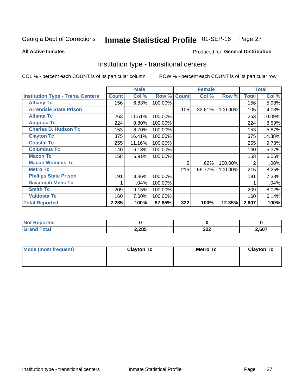#### Inmate Statistical Profile 01-SEP-16 Page 27

Produced for General Distribution

### **All Active Inmates**

## Institution type - transitional centers

COL % - percent each COUNT is of its particular column

|                                          |              | <b>Male</b> |         |              | <b>Female</b> |         |              | <b>Total</b> |
|------------------------------------------|--------------|-------------|---------|--------------|---------------|---------|--------------|--------------|
| <b>Institution Type - Trans. Centers</b> | <b>Count</b> | Col %       | Row %   | <b>Count</b> | Col %         | Row %   | <b>Total</b> | Col %        |
| <b>Albany Tc</b>                         | 156          | 6.83%       | 100.00% |              |               |         | 156          | 5.98%        |
| <b>Arrendale State Prison</b>            |              |             |         | 105          | 32.61%        | 100.00% | 105          | 4.03%        |
| <b>Atlanta Tc</b>                        | 263          | 11.51%      | 100.00% |              |               |         | 263          | 10.09%       |
| <b>Augusta Tc</b>                        | 224          | 9.80%       | 100.00% |              |               |         | 224          | 8.59%        |
| <b>Charles D. Hudson Tc</b>              | 153          | 6.70%       | 100.00% |              |               |         | 153          | 5.87%        |
| <b>Clayton Tc</b>                        | 375          | 16.41%      | 100.00% |              |               |         | 375          | 14.38%       |
| <b>Coastal Tc</b>                        | 255          | 11.16%      | 100.00% |              |               |         | 255          | 9.78%        |
| <b>Columbus Tc</b>                       | 140          | 6.13%       | 100.00% |              |               |         | 140          | 5.37%        |
| <b>Macon Tc</b>                          | 158          | 6.91%       | 100.00% |              |               |         | 158          | 6.06%        |
| <b>Macon Womens Tc</b>                   |              |             |         | 2            | .62%          | 100.00% | 2            | .08%         |
| <b>Metro Tc</b>                          |              |             |         | 215          | 66.77%        | 100.00% | 215          | 8.25%        |
| <b>Phillips State Prison</b>             | 191          | 8.36%       | 100.00% |              |               |         | 191          | 7.33%        |
| <b>Savannah Mens Tc</b>                  |              | .04%        | 100.00% |              |               |         |              | .04%         |
| <b>Smith Tc</b>                          | 209          | 9.15%       | 100.00% |              |               |         | 209          | 8.02%        |
| <b>Valdosta Tc</b>                       | 160          | 7.00%       | 100.00% |              |               |         | 160          | 6.14%        |
| <b>Total Reported</b>                    | 2,285        | 100%        | 87.65%  | 322          | 100%          | 12.35%  | 2,607        | 100%         |

| ortea |       |                         |       |
|-------|-------|-------------------------|-------|
| _____ | 2,285 | $\sim$<br>◡▵▴<br>$\sim$ | .,607 |

| Mode (most frequent) | <b>Clayton Tc</b> | Metro Tc | <b>Clayton Tc</b> |
|----------------------|-------------------|----------|-------------------|
|                      |                   |          |                   |
|                      |                   |          |                   |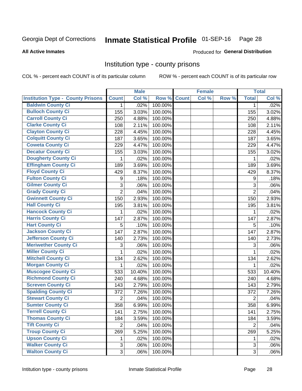## Inmate Statistical Profile 01-SEP-16 Page 28

### **All Active Inmates**

### Produced for General Distribution

## Institution type - county prisons

COL % - percent each COUNT is of its particular column

|                                          |                | <b>Male</b> |         |              | <b>Female</b> |       |                | <b>Total</b> |
|------------------------------------------|----------------|-------------|---------|--------------|---------------|-------|----------------|--------------|
| <b>Institution Type - County Prisons</b> | <b>Count</b>   | Col %       | Row %   | <b>Count</b> | Col %         | Row % | <b>Total</b>   | Col %        |
| <b>Baldwin County Ci</b>                 | $\mathbf{1}$   | .02%        | 100.00% |              |               |       | $\mathbf 1$    | .02%         |
| <b>Bulloch County Ci</b>                 | 155            | 3.03%       | 100.00% |              |               |       | 155            | 3.02%        |
| <b>Carroll County Ci</b>                 | 250            | 4.88%       | 100.00% |              |               |       | 250            | 4.88%        |
| <b>Clarke County Ci</b>                  | 108            | 2.11%       | 100.00% |              |               |       | 108            | 2.11%        |
| <b>Clayton County Ci</b>                 | 228            | 4.45%       | 100.00% |              |               |       | 228            | 4.45%        |
| <b>Colquitt County Ci</b>                | 187            | 3.65%       | 100.00% |              |               |       | 187            | 3.65%        |
| <b>Coweta County Ci</b>                  | 229            | 4.47%       | 100.00% |              |               |       | 229            | 4.47%        |
| <b>Decatur County Ci</b>                 | 155            | 3.03%       | 100.00% |              |               |       | 155            | 3.02%        |
| <b>Dougherty County Ci</b>               | 1              | .02%        | 100.00% |              |               |       | 1              | .02%         |
| <b>Effingham County Ci</b>               | 189            | 3.69%       | 100.00% |              |               |       | 189            | 3.69%        |
| <b>Floyd County Ci</b>                   | 429            | 8.37%       | 100.00% |              |               |       | 429            | 8.37%        |
| <b>Fulton County Ci</b>                  | 9              | .18%        | 100.00% |              |               |       | 9              | .18%         |
| <b>Gilmer County Ci</b>                  | 3              | .06%        | 100.00% |              |               |       | 3              | .06%         |
| <b>Grady County Ci</b>                   | $\overline{2}$ | .04%        | 100.00% |              |               |       | $\overline{2}$ | .04%         |
| <b>Gwinnett County Ci</b>                | 150            | 2.93%       | 100.00% |              |               |       | 150            | 2.93%        |
| <b>Hall County Ci</b>                    | 195            | 3.81%       | 100.00% |              |               |       | 195            | 3.81%        |
| <b>Hancock County Ci</b>                 | 1              | .02%        | 100.00% |              |               |       | 1              | .02%         |
| <b>Harris County Ci</b>                  | 147            | 2.87%       | 100.00% |              |               |       | 147            | 2.87%        |
| <b>Hart County Ci</b>                    | 5              | .10%        | 100.00% |              |               |       | 5              | .10%         |
| <b>Jackson County Ci</b>                 | 147            | 2.87%       | 100.00% |              |               |       | 147            | 2.87%        |
| <b>Jefferson County Ci</b>               | 140            | 2.73%       | 100.00% |              |               |       | 140            | 2.73%        |
| <b>Meriwether County Ci</b>              | 3              | .06%        | 100.00% |              |               |       | 3              | .06%         |
| <b>Miller County Ci</b>                  | 1              | .02%        | 100.00% |              |               |       | 1              | .02%         |
| <b>Mitchell County Ci</b>                | 134            | 2.62%       | 100.00% |              |               |       | 134            | 2.62%        |
| <b>Morgan County Ci</b>                  | 1              | .02%        | 100.00% |              |               |       | 1              | .02%         |
| <b>Muscogee County Ci</b>                | 533            | 10.40%      | 100.00% |              |               |       | 533            | 10.40%       |
| <b>Richmond County Ci</b>                | 240            | 4.68%       | 100.00% |              |               |       | 240            | 4.68%        |
| <b>Screven County Ci</b>                 | 143            | 2.79%       | 100.00% |              |               |       | 143            | 2.79%        |
| <b>Spalding County Ci</b>                | 372            | 7.26%       | 100.00% |              |               |       | 372            | 7.26%        |
| <b>Stewart County Ci</b>                 | $\overline{2}$ | .04%        | 100.00% |              |               |       | $\overline{2}$ | .04%         |
| <b>Sumter County Ci</b>                  | 358            | 6.99%       | 100.00% |              |               |       | 358            | 6.99%        |
| <b>Terrell County Ci</b>                 | 141            | 2.75%       | 100.00% |              |               |       | 141            | 2.75%        |
| <b>Thomas County Ci</b>                  | 184            | 3.59%       | 100.00% |              |               |       | 184            | 3.59%        |
| <b>Tift County Ci</b>                    | $\overline{2}$ | .04%        | 100.00% |              |               |       | $\overline{2}$ | .04%         |
| <b>Troup County Ci</b>                   | 269            | 5.25%       | 100.00% |              |               |       | 269            | 5.25%        |
| <b>Upson County Ci</b>                   | 1              | .02%        | 100.00% |              |               |       | 1              | .02%         |
| <b>Walker County Ci</b>                  | $\mathfrak{S}$ | .06%        | 100.00% |              |               |       | 3              | .06%         |
| <b>Walton County Ci</b>                  | 3              | .06%        | 100.00% |              |               |       | 3              | .06%         |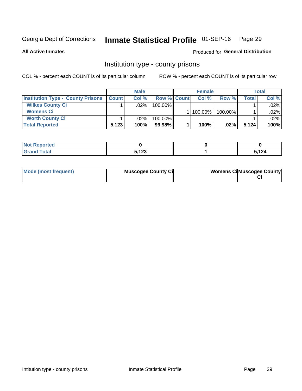## Inmate Statistical Profile 01-SEP-16 Page 29

**All Active Inmates** 

### Produced for General Distribution

## Institution type - county prisons

COL % - percent each COUNT is of its particular column

|                                          |              | <b>Male</b> |                    | <b>Female</b> |         |         | <b>Total</b> |
|------------------------------------------|--------------|-------------|--------------------|---------------|---------|---------|--------------|
| <b>Institution Type - County Prisons</b> | <b>Count</b> | Col%        | <b>Row % Count</b> | Col%          | Row %   | Total i | Col %        |
| <b>Wilkes County Ci</b>                  |              | .02%        | $100.00\%$         |               |         |         | .02%         |
| <b>Womens Ci</b>                         |              |             |                    | 100.00%       | 100.00% |         | .02%         |
| <b>Worth County Ci</b>                   |              | $.02\%$     | 100.00%            |               |         |         | .02%         |
| <b>Total Reported</b>                    | 5,123        | $100\%$     | 99.98%             | 100%          | $.02\%$ | 5,124   | 100%         |

| --<br>portea |                            |      |
|--------------|----------------------------|------|
| $\sim$       | <b>E 499</b><br><b>147</b> | ,124 |

| Mode (most frequent) | <b>Muscogee County Ci</b> | <b>Womens Cil Muscogee County</b> |
|----------------------|---------------------------|-----------------------------------|
|                      |                           |                                   |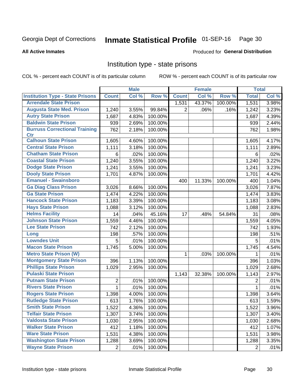#### Inmate Statistical Profile 01-SEP-16 Page 30

### **All Active Inmates**

### Produced for General Distribution

## Institution type - state prisons

COL % - percent each COUNT is of its particular column

|                                         |                | <b>Male</b> |         |              | <b>Female</b> |         | <b>Total</b>   |       |
|-----------------------------------------|----------------|-------------|---------|--------------|---------------|---------|----------------|-------|
| <b>Institution Type - State Prisons</b> | <b>Count</b>   | Col %       | Row %   | <b>Count</b> | Col %         | Row %   | <b>Total</b>   | Col % |
| <b>Arrendale State Prison</b>           |                |             |         | 1,531        | 43.37%        | 100.00% | 1,531          | 3.98% |
| <b>Augusta State Med. Prison</b>        | 1,240          | 3.55%       | 99.84%  | 2            | .06%          | .16%    | 1,242          | 3.23% |
| <b>Autry State Prison</b>               | 1,687          | 4.83%       | 100.00% |              |               |         | 1,687          | 4.39% |
| <b>Baldwin State Prison</b>             | 939            | 2.69%       | 100.00% |              |               |         | 939            | 2.44% |
| <b>Burruss Correctional Training</b>    | 762            | 2.18%       | 100.00% |              |               |         | 762            | 1.98% |
| <b>Ctr</b>                              |                |             |         |              |               |         |                |       |
| <b>Calhoun State Prison</b>             | 1,605          | 4.60%       | 100.00% |              |               |         | 1,605          | 4.17% |
| <b>Central State Prison</b>             | 1,111          | 3.18%       | 100.00% |              |               |         | 1,111          | 2.89% |
| <b>Chatham State Prison</b>             | 6              | .02%        | 100.00% |              |               |         | 6              | .02%  |
| <b>Coastal State Prison</b>             | 1,240          | 3.55%       | 100.00% |              |               |         | 1,240          | 3.22% |
| <b>Dodge State Prison</b>               | 1,241          | 3.55%       | 100.00% |              |               |         | 1,241          | 3.23% |
| <b>Dooly State Prison</b>               | 1,701          | 4.87%       | 100.00% |              |               |         | 1,701          | 4.42% |
| <b>Emanuel - Swainsboro</b>             |                |             |         | 400          | 11.33%        | 100.00% | 400            | 1.04% |
| <b>Ga Diag Class Prison</b>             | 3,026          | 8.66%       | 100.00% |              |               |         | 3,026          | 7.87% |
| <b>Ga State Prison</b>                  | 1,474          | 4.22%       | 100.00% |              |               |         | 1,474          | 3.83% |
| <b>Hancock State Prison</b>             | 1,183          | 3.39%       | 100.00% |              |               |         | 1,183          | 3.08% |
| <b>Hays State Prison</b>                | 1,088          | 3.12%       | 100.00% |              |               |         | 1,088          | 2.83% |
| <b>Helms Facility</b>                   | 14             | .04%        | 45.16%  | 17           | .48%          | 54.84%  | 31             | .08%  |
| <b>Johnson State Prison</b>             | 1,559          | 4.46%       | 100.00% |              |               |         | 1,559          | 4.05% |
| <b>Lee State Prison</b>                 | 742            | 2.12%       | 100.00% |              |               |         | 742            | 1.93% |
| Long                                    | 198            | .57%        | 100.00% |              |               |         | 198            | .51%  |
| <b>Lowndes Unit</b>                     | 5              | .01%        | 100.00% |              |               |         | 5              | .01%  |
| <b>Macon State Prison</b>               | 1,745          | 5.00%       | 100.00% |              |               |         | 1,745          | 4.54% |
| <b>Metro State Prison (W)</b>           |                |             |         | 1            | .03%          | 100.00% | 1              | .01%  |
| <b>Montgomery State Prison</b>          | 396            | 1.13%       | 100.00% |              |               |         | 396            | 1.03% |
| <b>Phillips State Prison</b>            | 1,029          | 2.95%       | 100.00% |              |               |         | 1,029          | 2.68% |
| <b>Pulaski State Prison</b>             |                |             |         | 1,143        | 32.38%        | 100.00% | 1,143          | 2.97% |
| <b>Putnam State Prison</b>              | $\overline{2}$ | .01%        | 100.00% |              |               |         | 2              | .01%  |
| <b>Rivers State Prison</b>              | 1              | .01%        | 100.00% |              |               |         | 1              | .01%  |
| <b>Rogers State Prison</b>              | 1,398          | 4.00%       | 100.00% |              |               |         | 1,398          | 3.64% |
| <b>Rutledge State Prison</b>            | 613            | 1.76%       | 100.00% |              |               |         | 613            | 1.59% |
| <b>Smith State Prison</b>               | 1,522          | 4.36%       | 100.00% |              |               |         | 1,522          | 3.96% |
| <b>Telfair State Prison</b>             | 1,307          | 3.74%       | 100.00% |              |               |         | 1,307          | 3.40% |
| <b>Valdosta State Prison</b>            | 1,030          | 2.95%       | 100.00% |              |               |         | 1,030          | 2.68% |
| <b>Walker State Prison</b>              | 412            | 1.18%       | 100.00% |              |               |         | 412            | 1.07% |
| <b>Ware State Prison</b>                | 1,531          | 4.38%       | 100.00% |              |               |         | 1,531          | 3.98% |
| <b>Washington State Prison</b>          | 1,288          | 3.69%       | 100.00% |              |               |         | 1,288          | 3.35% |
| <b>Wayne State Prison</b>               | $\overline{2}$ | .01%        | 100.00% |              |               |         | $\overline{2}$ | .01%  |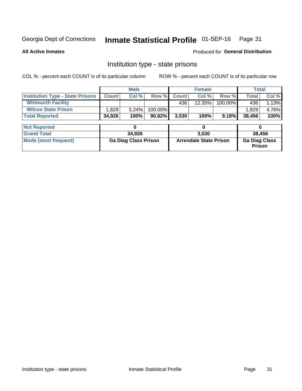## Inmate Statistical Profile 01-SEP-16 Page 31

**All Active Inmates** 

**Produced for General Distribution** 

## Institution type - state prisons

COL % - percent each COUNT is of its particular column ROW % - percent each COUNT is of its particular row

|                                         | <b>Male</b>  |                             | <b>Female</b> |              |                               | <b>Total</b> |                                       |       |
|-----------------------------------------|--------------|-----------------------------|---------------|--------------|-------------------------------|--------------|---------------------------------------|-------|
| <b>Institution Type - State Prisons</b> | <b>Count</b> | Col %                       | Row %         | <b>Count</b> | Col %                         | Row %        | Total                                 | Col % |
| <b>Whitworth Facility</b>               |              |                             |               | 436          | $12.35\%$                     | 100.00%      | 436                                   | 1.13% |
| <b>Wilcox State Prison</b>              | .829         | 5.24%                       | 100.00%       |              |                               |              | 1.829                                 | 4.76% |
| <b>Total Reported</b>                   | 34,926       | 100%                        | 90.82%        | 3,530        | 100%                          | 9.18%        | 38,456                                | 100%  |
| <b>Not Reported</b>                     |              | 0                           |               |              | 0                             |              | 0                                     |       |
| <b>Grand Total</b>                      |              | 34,926                      |               | 3,530        |                               |              | 38,456                                |       |
| <b>Mode (most frequent)</b>             |              | <b>Ga Diag Class Prison</b> |               |              | <b>Arrendale State Prison</b> |              | <b>Ga Diag Class</b><br><b>Prison</b> |       |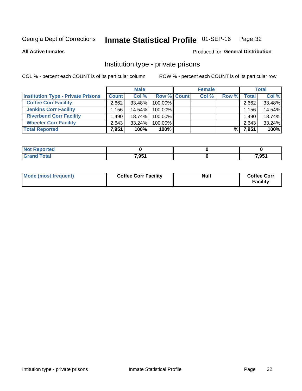## Inmate Statistical Profile 01-SEP-16 Page 32

**All Active Inmates** 

### Produced for General Distribution

## Institution type - private prisons

COL % - percent each COUNT is of its particular column

|                                           |              | <b>Male</b> |                    | <b>Female</b> |       |       | <b>Total</b> |
|-------------------------------------------|--------------|-------------|--------------------|---------------|-------|-------|--------------|
| <b>Institution Type - Private Prisons</b> | <b>Count</b> | Col %       | <b>Row % Count</b> | Col %         | Row % | Total | Col %        |
| <b>Coffee Corr Facility</b>               | 2,662        | 33.48%      | 100.00%            |               |       | 2,662 | 33.48%       |
| <b>Jenkins Corr Facility</b>              | $.156+$      | 14.54%      | 100.00%            |               |       | 1,156 | 14.54%       |
| <b>Riverbend Corr Facility</b>            | ا 490.       | 18.74%      | 100.00%            |               |       | 1,490 | 18.74%       |
| <b>Wheeler Corr Facility</b>              | 2,643        | 33.24%      | 100.00%            |               |       | 2,643 | 33.24%       |
| <b>Total Reported</b>                     | 7,951        | 100%        | $100\%$            |               | %     | 7,951 | 100%         |

| Reported     |       |       |
|--------------|-------|-------|
| <b>cotal</b> | 7,951 | 7,951 |

| Mode (most frequent) | <b>Coffee Corr Facility</b> | <b>Null</b> | <b>Coffee Corr</b><br><b>Facility</b> |
|----------------------|-----------------------------|-------------|---------------------------------------|
|----------------------|-----------------------------|-------------|---------------------------------------|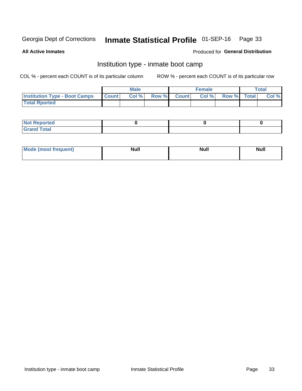#### Inmate Statistical Profile 01-SEP-16 Page 33

**All Active Inmates** 

### Produced for General Distribution

## Institution type - inmate boot camp

COL % - percent each COUNT is of its particular column

|                                      |              | <b>Male</b> |               |              | <b>Female</b> |             | <b>Total</b> |
|--------------------------------------|--------------|-------------|---------------|--------------|---------------|-------------|--------------|
| <b>Institution Type - Boot Camps</b> | <b>Count</b> | Col %       | <b>Row %I</b> | <b>Count</b> | Col %         | Row % Total | Col %        |
| <b>Total Rported</b>                 |              |             |               |              |               |             |              |

| <b>Not Reported</b>            |  |  |
|--------------------------------|--|--|
| <b>Total</b><br>C <sub>r</sub> |  |  |

| Mod<br>uamo | Nul.<br>$- - - - - -$ | <b>Null</b> | . .<br>uu.<br>------ |
|-------------|-----------------------|-------------|----------------------|
|             |                       |             |                      |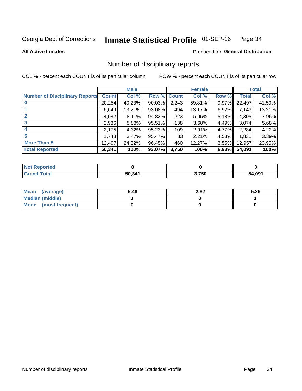## Inmate Statistical Profile 01-SEP-16 Page 34

**All Active Inmates** 

## **Produced for General Distribution**

## Number of disciplinary reports

COL % - percent each COUNT is of its particular column

|                                       |              | <b>Male</b> |             |       | <b>Female</b> |       |        | <b>Total</b> |
|---------------------------------------|--------------|-------------|-------------|-------|---------------|-------|--------|--------------|
| <b>Number of Disciplinary Reports</b> | <b>Count</b> | Col %       | Row % Count |       | Col %         | Row % | Total  | Col %        |
| $\bf{0}$                              | 20,254       | 40.23%      | 90.03%      | 2,243 | 59.81%        | 9.97% | 22,497 | 41.59%       |
|                                       | 6,649        | 13.21%      | 93.08%      | 494   | 13.17%        | 6.92% | 7,143  | 13.21%       |
| $\mathbf{2}$                          | 4,082        | 8.11%       | 94.82%      | 223   | 5.95%         | 5.18% | 4,305  | 7.96%        |
| 3                                     | 2,936        | 5.83%       | 95.51%      | 138   | 3.68%         | 4.49% | 3,074  | 5.68%        |
|                                       | 2,175        | 4.32%       | 95.23%      | 109   | 2.91%         | 4.77% | 2,284  | 4.22%        |
| 5                                     | 1,748        | 3.47%       | 95.47%      | 83    | 2.21%         | 4.53% | 1,831  | 3.39%        |
| <b>More Than 5</b>                    | 12,497       | 24.82%      | 96.45%      | 460   | 12.27%        | 3.55% | 12,957 | 23.95%       |
| <b>Total Reported</b>                 | 50,341       | 100%        | 93.07%      | 3,750 | 100%          | 6.93% | 54,091 | 100%         |

| Reported<br><b>Not</b> |        |       |             |
|------------------------|--------|-------|-------------|
| Total                  | 50.341 | 3,750 | 4,091<br>54 |

| Mean (average)         | 5.48 | 2.82 | 5.29 |
|------------------------|------|------|------|
| <b>Median (middle)</b> |      |      |      |
| Mode (most frequent)   |      |      |      |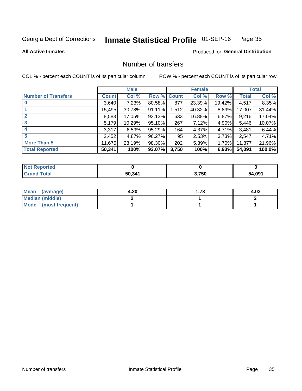## Inmate Statistical Profile 01-SEP-16 Page 35

**Produced for General Distribution** 

### **All Active Inmates**

## Number of transfers

COL % - percent each COUNT is of its particular column

|                            |         | <b>Male</b> |             |       | <b>Female</b> |        |              | <b>Total</b> |
|----------------------------|---------|-------------|-------------|-------|---------------|--------|--------------|--------------|
| <b>Number of Transfers</b> | Count l | Col %       | Row % Count |       | Col %         | Row %  | <b>Total</b> | Col %        |
|                            | 3,640   | 7.23%       | 80.58%      | 877   | 23.39%        | 19.42% | 4,517        | 8.35%        |
|                            | 15,495  | 30.78%      | 91.11%      | 1,512 | 40.32%        | 8.89%  | 17,007       | 31.44%       |
|                            | 8,583   | 17.05%      | 93.13%      | 633   | 16.88%        | 6.87%  | 9,216        | 17.04%       |
| 3                          | 5,179   | 10.29%      | 95.10%      | 267   | 7.12%         | 4.90%  | 5,446        | 10.07%       |
| $\boldsymbol{4}$           | 3,317   | 6.59%       | 95.29%      | 164   | 4.37%         | 4.71%  | 3,481        | 6.44%        |
| 5                          | 2,452   | 4.87%       | 96.27%      | 95    | 2.53%         | 3.73%  | 2,547        | 4.71%        |
| <b>More Than 5</b>         | 11,675  | 23.19%      | 98.30%      | 202   | 5.39%         | 1.70%  | 11,877       | 21.96%       |
| <b>Total Reported</b>      | 50,341  | 100%        | 93.07%      | 3,750 | 100%          | 6.93%  | 54,091       | 100.0%       |

| Reported<br><b>Not</b> |        |       |             |
|------------------------|--------|-------|-------------|
| Total                  | 50.341 | 3,750 | 4,091<br>54 |

| Mean (average)       | 4.20 | 1.73 | 4.03 |
|----------------------|------|------|------|
| Median (middle)      |      |      |      |
| Mode (most frequent) |      |      |      |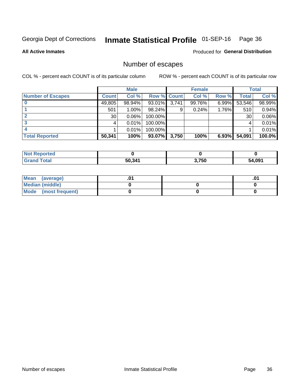## Inmate Statistical Profile 01-SEP-16 Page 36

**All Active Inmates** 

Produced for General Distribution

## Number of escapes

COL % - percent each COUNT is of its particular column

|                          |              | <b>Male</b> |                    |       | <b>Female</b> |          |        | <b>Total</b> |
|--------------------------|--------------|-------------|--------------------|-------|---------------|----------|--------|--------------|
| <b>Number of Escapes</b> | <b>Count</b> | Col %       | <b>Row % Count</b> |       | Col %         | Row %    | Total  | Col %        |
|                          | 49,805       | 98.94%      | $93.01\%$          | 3,741 | 99.76%        | $6.99\%$ | 53,546 | 98.99%       |
|                          | 501          | $1.00\%$    | 98.24%             | 9     | 0.24%         | 1.76%    | 510    | 0.94%        |
|                          | 30           | 0.06%       | 100.00%            |       |               |          | 30     | 0.06%        |
|                          |              | 0.01%       | $100.00\%$         |       |               |          |        | 0.01%        |
|                          |              | 0.01%       | 100.00%            |       |               |          |        | 0.01%        |
| <b>Total Reported</b>    | 50,341       | 100%        | $93.07\%$          | 3,750 | 100%          | 6.93%    | 54,091 | 100.0%       |

| <b>Not Reported</b> |        |       |             |
|---------------------|--------|-------|-------------|
| <b>Grand Total</b>  | 50,341 | 3,750 | 4.091<br>54 |

| Mean (average)         |  | .ט |
|------------------------|--|----|
| <b>Median (middle)</b> |  |    |
| Mode (most frequent)   |  |    |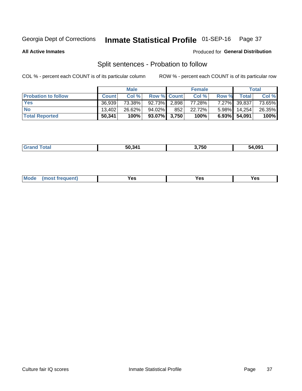#### Inmate Statistical Profile 01-SEP-16 Page 37

**All Active Inmates** 

### Produced for General Distribution

## Split sentences - Probation to follow

COL % - percent each COUNT is of its particular column

|                            |              | <b>Male</b> |                 |     | <b>Female</b> |              |              | <b>Total</b> |
|----------------------------|--------------|-------------|-----------------|-----|---------------|--------------|--------------|--------------|
| <b>Probation to follow</b> | <b>Count</b> | Col%        | Row % Count     |     | Col %         | <b>Row %</b> | <b>Total</b> | Col %        |
| <b>Yes</b>                 | 36.939       | 73.38%      | 92.73% 2.898    |     | 77.28%        |              | 7.27% 39,837 | 73.65%       |
| <b>No</b>                  | 13.402       | 26.62%      | 94.02%          | 852 | 22.72%        | $5.98\%$     | 14.254       | 26.35%       |
| <b>Total Reported</b>      | 50,341       | 100%        | $93.07\%$ 3,750 |     | 100%          |              | 6.93% 54,091 | 100%         |

| 50.341 | 3,750 | 54.09' |
|--------|-------|--------|
|        |       |        |

| <b>Mode</b><br>reauent)<br>Yes<br>v^c<br>0٥<br>.<br>. .<br>$\sim$ |
|-------------------------------------------------------------------|
|-------------------------------------------------------------------|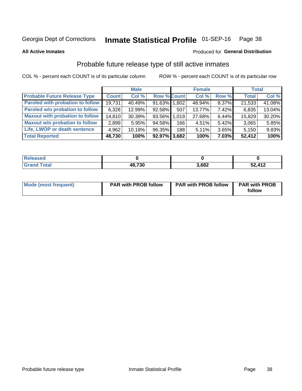## Inmate Statistical Profile 01-SEP-16 Page 38

**All Active Inmates** 

### Produced for General Distribution

## Probable future release type of still active inmates

COL % - percent each COUNT is of its particular column

|                                         |              | <b>Male</b> |                    |     | <b>Female</b> |          | <b>Total</b> |        |
|-----------------------------------------|--------------|-------------|--------------------|-----|---------------|----------|--------------|--------|
| <b>Probable Future Release Type</b>     | <b>Count</b> | Col %       | <b>Row % Count</b> |     | Col %         | Row %    | <b>Total</b> | Col %  |
| <b>Paroled with probation to follow</b> | 19,731       | 40.49%      | 91.63% 1,802       |     | 48.94%        | 8.37%    | 21,533       | 41.08% |
| Paroled w/o probation to follow         | 6,328        | 12.99%      | 92.58%             | 507 | 13.77%        | 7.42%    | 6,835        | 13.04% |
| <b>Maxout with probation to follow</b>  | 14,810       | 30.39%      | 93.56% 1.019       |     | 27.68%        | 6.44%    | 15,829       | 30.20% |
| <b>Maxout w/o probation to follow</b>   | 2,899        | 5.95%       | 94.58%             | 166 | 4.51%         | $5.42\%$ | 3,065        | 5.85%  |
| Life, LWOP or death sentence            | 4,962        | 10.18%      | 96.35%             | 188 | 5.11%         | 3.65%    | 5,150        | 9.83%  |
| <b>Total Reported</b>                   | 48,730       | 100%        | $92.97\%$ 3,682    |     | 100%          | $7.03\%$ | 52,412       | 100%   |

| eleased     |                                 |       |                  |
|-------------|---------------------------------|-------|------------------|
| <b>otal</b> | <b>18730</b><br>10, <i>l</i> JU | 3,682 | ,412<br>-0<br>◡∠ |

| <b>Mode (most frequent)</b> | <b>PAR with PROB follow</b> | <b>PAR with PROB follow</b> | <b>PAR with PROB</b> |
|-----------------------------|-----------------------------|-----------------------------|----------------------|
|                             |                             |                             | follow               |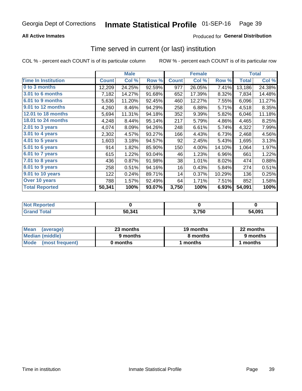### **All Active Inmates**

### Produced for General Distribution

## Time served in current (or last) institution

COL % - percent each COUNT is of its particular column

|                            |              | <b>Male</b> |        |              | <b>Female</b> |        |              | <b>Total</b> |
|----------------------------|--------------|-------------|--------|--------------|---------------|--------|--------------|--------------|
| <b>Time In Institution</b> | <b>Count</b> | Col %       | Row %  | <b>Count</b> | Col %         | Row %  | <b>Total</b> | Col %        |
| 0 to 3 months              | 12,209       | 24.25%      | 92.59% | 977          | 26.05%        | 7.41%  | 13,186       | 24.38%       |
| <b>3.01 to 6 months</b>    | 7,182        | 14.27%      | 91.68% | 652          | 17.39%        | 8.32%  | 7,834        | 14.48%       |
| 6.01 to 9 months           | 5,636        | 11.20%      | 92.45% | 460          | 12.27%        | 7.55%  | 6,096        | 11.27%       |
| 9.01 to 12 months          | 4,260        | 8.46%       | 94.29% | 258          | 6.88%         | 5.71%  | 4,518        | 8.35%        |
| <b>12.01 to 18 months</b>  | 5,694        | 11.31%      | 94.18% | 352          | 9.39%         | 5.82%  | 6,046        | 11.18%       |
| <b>18.01 to 24 months</b>  | 4,248        | 8.44%       | 95.14% | 217          | 5.79%         | 4.86%  | 4,465        | 8.25%        |
| 2.01 to 3 years            | 4,074        | 8.09%       | 94.26% | 248          | 6.61%         | 5.74%  | 4,322        | 7.99%        |
| $3.01$ to 4 years          | 2,302        | 4.57%       | 93.27% | 166          | 4.43%         | 6.73%  | 2,468        | 4.56%        |
| 4.01 to 5 years            | 1,603        | 3.18%       | 94.57% | 92           | 2.45%         | 5.43%  | 1,695        | 3.13%        |
| 5.01 to 6 years            | 914          | 1.82%       | 85.90% | 150          | 4.00%         | 14.10% | 1,064        | 1.97%        |
| 6.01 to 7 years            | 615          | 1.22%       | 93.04% | 46           | 1.23%         | 6.96%  | 661          | 1.22%        |
| 7.01 to 8 years            | 436          | 0.87%       | 91.98% | 38           | 1.01%         | 8.02%  | 474          | 0.88%        |
| $8.01$ to 9 years          | 258          | 0.51%       | 94.16% | 16           | 0.43%         | 5.84%  | 274          | 0.51%        |
| 9.01 to 10 years           | 122          | 0.24%       | 89.71% | 14           | 0.37%         | 10.29% | 136          | 0.25%        |
| Over 10 years              | 788          | 1.57%       | 92.49% | 64           | 1.71%         | 7.51%  | 852          | 1.58%        |
| <b>Total Reported</b>      | 50,341       | 100%        | 93.07% | 3,750        | 100%          | 6.93%  | 54,091       | 100%         |

| <b>Not</b><br>Reported |        |      |        |
|------------------------|--------|------|--------|
| <b>otal</b>            | 50,34' | ,750 | 54.091 |

| <b>Mean</b><br>(average) | 23 months | 19 months | 22 months |
|--------------------------|-----------|-----------|-----------|
| Median (middle)          | 9 months  | 8 months  | 9 months  |
| Mode<br>(most frequent)  | 0 months  | months    | ∖ months  |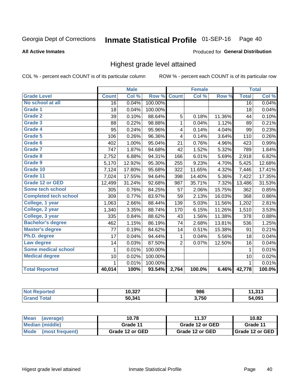#### Inmate Statistical Profile 01-SEP-16 Page 40

#### **All Active Inmates**

#### Produced for General Distribution

## Highest grade level attained

COL % - percent each COUNT is of its particular column

|                              |                 | <b>Male</b> |         |                | <b>Female</b> |        |                 | <b>Total</b> |
|------------------------------|-----------------|-------------|---------|----------------|---------------|--------|-----------------|--------------|
| <b>Grade Level</b>           | <b>Count</b>    | Col %       | Row %   | <b>Count</b>   | Col %         | Row %  | <b>Total</b>    | Col %        |
| No school at all             | $\overline{16}$ | 0.04%       | 100.00% |                |               |        | $\overline{16}$ | 0.04%        |
| <b>Grade 1</b>               | 18              | 0.04%       | 100.00% |                |               |        | 18              | 0.04%        |
| <b>Grade 2</b>               | 39              | 0.10%       | 88.64%  | 5              | 0.18%         | 11.36% | 44              | 0.10%        |
| Grade 3                      | 88              | 0.22%       | 98.88%  | $\mathbf{1}$   | 0.04%         | 1.12%  | 89              | 0.21%        |
| <b>Grade 4</b>               | 95              | 0.24%       | 95.96%  | 4              | 0.14%         | 4.04%  | 99              | 0.23%        |
| Grade 5                      | 106             | 0.26%       | 96.36%  | 4              | 0.14%         | 3.64%  | 110             | 0.26%        |
| Grade 6                      | 402             | 1.00%       | 95.04%  | 21             | 0.76%         | 4.96%  | 423             | 0.99%        |
| <b>Grade 7</b>               | 747             | 1.87%       | 94.68%  | 42             | 1.52%         | 5.32%  | 789             | 1.84%        |
| Grade 8                      | 2,752           | 6.88%       | 94.31%  | 166            | 6.01%         | 5.69%  | 2,918           | 6.82%        |
| Grade 9                      | 5,170           | 12.92%      | 95.30%  | 255            | 9.23%         | 4.70%  | 5,425           | 12.68%       |
| Grade 10                     | 7,124           | 17.80%      | 95.68%  | 322            | 11.65%        | 4.32%  | 7,446           | 17.41%       |
| Grade 11                     | 7,024           | 17.55%      | 94.64%  | 398            | 14.40%        | 5.36%  | 7,422           | 17.35%       |
| <b>Grade 12 or GED</b>       | 12,499          | 31.24%      | 92.68%  | 987            | 35.71%        | 7.32%  | 13,486          | 31.53%       |
| <b>Some tech school</b>      | 305             | 0.76%       | 84.25%  | 57             | 2.06%         | 15.75% | 362             | 0.85%        |
| <b>Completed tech school</b> | 309             | 0.77%       | 83.97%  | 59             | 2.13%         | 16.03% | 368             | 0.86%        |
| College, 1 year              | 1,063           | 2.66%       | 88.44%  | 139            | 5.03%         | 11.56% | 1,202           | 2.81%        |
| College, 2 year              | 1,340           | 3.35%       | 88.74%  | 170            | 6.15%         | 11.26% | 1,510           | 3.53%        |
| College, 3 year              | 335             | 0.84%       | 88.62%  | 43             | 1.56%         | 11.38% | 378             | 0.88%        |
| <b>Bachelor's degree</b>     | 462             | 1.15%       | 86.19%  | 74             | 2.68%         | 13.81% | 536             | 1.25%        |
| <b>Master's degree</b>       | 77              | 0.19%       | 84.62%  | 14             | 0.51%         | 15.38% | 91              | 0.21%        |
| Ph.D. degree                 | 17              | 0.04%       | 94.44%  | 1              | 0.04%         | 5.56%  | 18              | 0.04%        |
| Law degree                   | 14              | 0.03%       | 87.50%  | $\overline{2}$ | 0.07%         | 12.50% | 16              | 0.04%        |
| <b>Some medical school</b>   | 1               | 0.01%       | 100.00% |                |               |        | 1               | 0.01%        |
| <b>Medical degree</b>        | 10              | 0.02%       | 100.00% |                |               |        | 10              | 0.02%        |
|                              | 1.              | 0.01%       | 100.00% |                |               |        | 1               | 0.01%        |
| <b>Total Reported</b>        | 40,014          | 100%        | 93.54%  | 2,764          | 100.0%        | 6.46%  | 42,778          | 100.0%       |

| 10.227<br>0.JZ1 | 986   | 242<br>.   |
|-----------------|-------|------------|
| 50,341          | 3,750 | .091<br>54 |

| Mean<br>(average)       | 10.78           | 11.37           | 10.82           |  |
|-------------------------|-----------------|-----------------|-----------------|--|
| Median (middle)         | Grade 11        | Grade 12 or GED | Grade 11        |  |
| Mode<br>(most frequent) | Grade 12 or GED | Grade 12 or GED | Grade 12 or GED |  |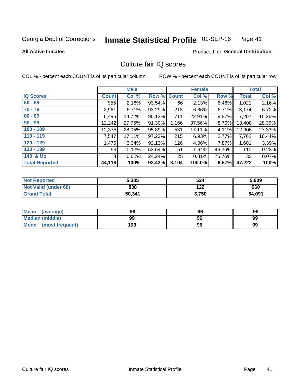# Inmate Statistical Profile 01-SEP-16 Page 41

#### **All Active Inmates**

### **Produced for General Distribution**

# Culture fair IQ scores

COL % - percent each COUNT is of its particular column

|                       |                 | <b>Male</b> |             |       | <b>Female</b> |        |              | <b>Total</b> |
|-----------------------|-----------------|-------------|-------------|-------|---------------|--------|--------------|--------------|
| <b>IQ Scores</b>      | <b>Count</b>    | Col %       | Row % Count |       | Col %         | Row %  | <b>Total</b> | Col %        |
| $60 - 69$             | 955             | 2.16%       | 93.54%      | 66 I  | 2.13%         | 6.46%  | 1,021        | 2.16%        |
| $70 - 79$             | 2,961           | 6.71%       | 93.29%      | 213   | 6.86%         | 6.71%  | 3,174        | 6.72%        |
| $80 - 89$             | 6,496           | 14.72%      | 90.13%      | 711   | 22.91%        | 9.87%  | 7,207        | 15.26%       |
| $90 - 99$             | 12,242          | 27.75%      | 91.30%      | 1,166 | 37.56%        | 8.70%  | 13,408       | 28.39%       |
| $100 - 109$           | 12,375          | 28.05%      | $95.89\%$   | 531   | 17.11%        | 4.11%  | 12,906       | 27.33%       |
| $110 - 119$           | 7,547           | 17.11%      | $97.23\%$   | 215   | 6.93%         | 2.77%  | 7,762        | 16.44%       |
| $120 - 129$           | 1,475           | 3.34%       | 92.13%      | 126   | 4.06%         | 7.87%  | 1,601        | 3.39%        |
| $130 - 139$           | 59 <sub>1</sub> | 0.13%       | 53.64%      | 51    | 1.64%         | 46.36% | 110          | 0.23%        |
| 140 & Up              | 8               | 0.02%       | 24.24%      | 25    | 0.81%         | 75.76% | 33           | 0.07%        |
| <b>Total Reported</b> | 44,118          | 100%        | 93.43%      | 3,104 | 100.0%        | 6.57%  | 47,222       | 100%         |

| <b>Not Reported</b>         | 5,385  | 524   | 5,909  |
|-----------------------------|--------|-------|--------|
| <b>Not Valid (under 60)</b> | 838    | 122   | 960    |
| <b>Grand Total</b>          | 50,341 | 3,750 | 54,091 |

| <b>Mean</b><br>(average)       | 98  | 96 | 98 |
|--------------------------------|-----|----|----|
| Median (middle)                | 99  | 96 | 99 |
| <b>Mode</b><br>(most frequent) | 103 | 96 | 99 |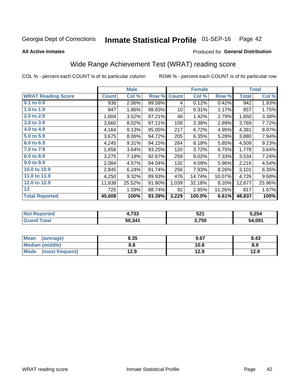#### Inmate Statistical Profile 01-SEP-16 Page 42

**All Active Inmates** 

#### Produced for General Distribution

# Wide Range Achievement Test (WRAT) reading score

COL % - percent each COUNT is of its particular column

|                           |              | <b>Male</b> |        |              | <b>Female</b> |        |              | <b>Total</b> |
|---------------------------|--------------|-------------|--------|--------------|---------------|--------|--------------|--------------|
| <b>WRAT Reading Score</b> | <b>Count</b> | Col %       | Row %  | <b>Count</b> | Col %         | Row %  | <b>Total</b> | Col %        |
| 0.1 to 0.9                | 938          | 2.06%       | 99.58% | 4            | 0.12%         | 0.42%  | 942          | 1.93%        |
| 1.0 to 1.9                | 847          | 1.86%       | 98.83% | 10           | 0.31%         | 1.17%  | 857          | 1.75%        |
| 2.0 to 2.9                | 1,604        | 3.52%       | 97.21% | 46           | 1.42%         | 2.79%  | 1,650        | 3.38%        |
| 3.0 to 3.9                | 3,660        | 8.02%       | 97.11% | 109          | 3.38%         | 2.89%  | 3,769        | 7.72%        |
| 4.0 to 4.9                | 4,164        | 9.13%       | 95.05% | 217          | 6.72%         | 4.95%  | 4,381        | 8.97%        |
| 5.0 to 5.9                | 3,675        | 8.06%       | 94.72% | 205          | 6.35%         | 5.28%  | 3,880        | 7.94%        |
| 6.0 to 6.9                | 4,245        | 9.31%       | 94.15% | 264          | 8.18%         | 5.85%  | 4,509        | 9.23%        |
| 7.0 to 7.9                | 1,658        | 3.64%       | 93.25% | 120          | 3.72%         | 6.75%  | 1,778        | 3.64%        |
| 8.0 to 8.9                | 3,275        | 7.18%       | 92.67% | 259          | 8.02%         | 7.33%  | 3,534        | 7.24%        |
| 9.0 to 9.9                | 2,084        | 4.57%       | 94.04% | 132          | 4.09%         | 5.96%  | 2,216        | 4.54%        |
| 10.0 to 10.9              | 2,845        | 6.24%       | 91.74% | 256          | 7.93%         | 8.26%  | 3,101        | 6.35%        |
| 11.0 to 11.9              | 4,250        | 9.32%       | 89.93% | 476          | 14.74%        | 10.07% | 4,726        | 9.68%        |
| 12.0 to 12.9              | 11,638       | 25.52%      | 91.80% | 1,039        | 32.18%        | 8.20%  | 12,677       | 25.96%       |
| 13                        | 725          | 1.59%       | 88.74% | 92           | 2.85%         | 11.26% | 817          | 1.67%        |
| <b>Total Reported</b>     | 45,608       | 100%        | 93.39% | 3,229        | 100.0%        | 6.61%  | 48,837       | 100%         |

| -тес<br>NO | フクク<br>+,7 აა | 521   | 5,254  |
|------------|---------------|-------|--------|
|            | 50,341        | 3,750 | 54,091 |

| <b>Mean</b><br>(average) | 8.35 | 9.67 | 8.43 |
|--------------------------|------|------|------|
| Median (middle)          | 8.8  | 10.8 | 8.9  |
| Mode<br>(most frequent)  | 12.9 | 12.9 | 12.9 |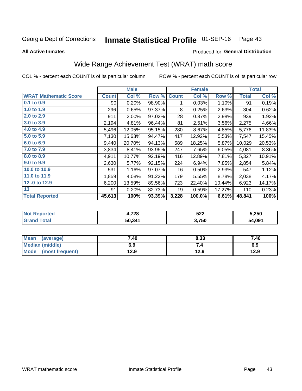#### Inmate Statistical Profile 01-SEP-16 Page 43

**All Active Inmates** 

#### Produced for General Distribution

# Wide Range Achievement Test (WRAT) math score

COL % - percent each COUNT is of its particular column

|                              |              | <b>Male</b> |        |              | <b>Female</b> |        |              | <b>Total</b> |
|------------------------------|--------------|-------------|--------|--------------|---------------|--------|--------------|--------------|
| <b>WRAT Mathematic Score</b> | <b>Count</b> | Col %       | Row %  | <b>Count</b> | Col %         | Row %  | <b>Total</b> | Col %        |
| $0.1$ to $0.9$               | 90           | 0.20%       | 98.90% | 1            | 0.03%         | 1.10%  | 91           | 0.19%        |
| 1.0 to 1.9                   | 296          | 0.65%       | 97.37% | 8            | 0.25%         | 2.63%  | 304          | 0.62%        |
| 2.0 to 2.9                   | 911          | 2.00%       | 97.02% | 28           | 0.87%         | 2.98%  | 939          | 1.92%        |
| 3.0 to 3.9                   | 2,194        | 4.81%       | 96.44% | 81           | 2.51%         | 3.56%  | 2,275        | 4.66%        |
| 4.0 to 4.9                   | 5,496        | 12.05%      | 95.15% | 280          | 8.67%         | 4.85%  | 5,776        | 11.83%       |
| 5.0 to 5.9                   | 7,130        | 15.63%      | 94.47% | 417          | 12.92%        | 5.53%  | 7,547        | 15.45%       |
| 6.0 to 6.9                   | 9,440        | 20.70%      | 94.13% | 589          | 18.25%        | 5.87%  | 10,029       | 20.53%       |
| 7.0 to 7.9                   | 3,834        | 8.41%       | 93.95% | 247          | 7.65%         | 6.05%  | 4,081        | 8.36%        |
| 8.0 to 8.9                   | 4,911        | 10.77%      | 92.19% | 416          | 12.89%        | 7.81%  | 5,327        | 10.91%       |
| 9.0 to 9.9                   | 2,630        | 5.77%       | 92.15% | 224          | 6.94%         | 7.85%  | 2,854        | 5.84%        |
| 10.0 to 10.9                 | 531          | 1.16%       | 97.07% | 16           | 0.50%         | 2.93%  | 547          | 1.12%        |
| 11.0 to 11.9                 | 1,859        | 4.08%       | 91.22% | 179          | 5.55%         | 8.78%  | 2,038        | 4.17%        |
| 12.0 to 12.9                 | 6,200        | 13.59%      | 89.56% | 723          | 22.40%        | 10.44% | 6,923        | 14.17%       |
| 13                           | 91           | 0.20%       | 82.73% | 19           | 0.59%         | 17.27% | 110          | 0.23%        |
| <b>Total Reported</b>        | 45,613       | 100%        | 93.39% | 3,228        | 100.0%        | 6.61%  | 48,841       | 100%         |

| Reported<br>Not I | 4,728  | 522   | 5,250  |
|-------------------|--------|-------|--------|
| Total<br>'Grang   | 50,341 | 3,750 | 54,091 |

| <b>Mean</b><br>(average) | 7.40 | 8.33 | 7.46 |
|--------------------------|------|------|------|
| Median (middle)          | 6.9  | ۰.,  | 6.9  |
| Mode<br>(most frequent)  | 12.9 | 12.9 | 12.9 |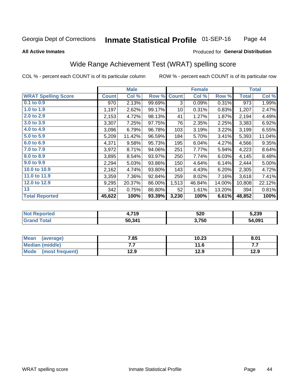#### **Inmate Statistical Profile 01-SEP-16** Page 44

#### **All Active Inmates**

### **Produced for General Distribution**

# Wide Range Achievement Test (WRAT) spelling score

COL % - percent each COUNT is of its particular column

|                            |              | <b>Male</b> |        |              | <b>Female</b> |        |              | <b>Total</b> |
|----------------------------|--------------|-------------|--------|--------------|---------------|--------|--------------|--------------|
| <b>WRAT Spelling Score</b> | <b>Count</b> | Col %       | Row %  | <b>Count</b> | Col %         | Row %  | <b>Total</b> | Col %        |
| 0.1 to 0.9                 | 970          | 2.13%       | 99.69% | 3            | 0.09%         | 0.31%  | 973          | 1.99%        |
| 1.0 to 1.9                 | 1,197        | 2.62%       | 99.17% | 10           | 0.31%         | 0.83%  | 1,207        | 2.47%        |
| 2.0 to 2.9                 | 2,153        | 4.72%       | 98.13% | 41           | 1.27%         | 1.87%  | 2,194        | 4.49%        |
| 3.0 to 3.9                 | 3,307        | 7.25%       | 97.75% | 76           | 2.35%         | 2.25%  | 3,383        | 6.92%        |
| 4.0 to 4.9                 | 3,096        | 6.79%       | 96.78% | 103          | 3.19%         | 3.22%  | 3,199        | 6.55%        |
| 5.0 to 5.9                 | 5,209        | 11.42%      | 96.59% | 184          | 5.70%         | 3.41%  | 5,393        | 11.04%       |
| 6.0 to 6.9                 | 4,371        | 9.58%       | 95.73% | 195          | 6.04%         | 4.27%  | 4,566        | 9.35%        |
| 7.0 to 7.9                 | 3,972        | 8.71%       | 94.06% | 251          | 7.77%         | 5.94%  | 4,223        | 8.64%        |
| 8.0 to 8.9                 | 3,895        | 8.54%       | 93.97% | 250          | 7.74%         | 6.03%  | 4,145        | 8.48%        |
| 9.0 to 9.9                 | 2,294        | 5.03%       | 93.86% | 150          | 4.64%         | 6.14%  | 2,444        | 5.00%        |
| 10.0 to 10.9               | 2,162        | 4.74%       | 93.80% | 143          | 4.43%         | 6.20%  | 2,305        | 4.72%        |
| 11.0 to 11.9               | 3,359        | 7.36%       | 92.84% | 259          | 8.02%         | 7.16%  | 3,618        | 7.41%        |
| 12.0 to 12.9               | 9,295        | 20.37%      | 86.00% | 1,513        | 46.84%        | 14.00% | 10,808       | 22.12%       |
| 13                         | 342          | 0.75%       | 86.80% | 52           | 1.61%         | 13.20% | 394          | 0.81%        |
| <b>Total Reported</b>      | 45,622       | 100%        | 93.39% | 3,230        | 100%          | 6.61%  | 48,852       | 100%         |

| <b>nted</b><br>NO | 719<br>. . | 520   | 5,239  |
|-------------------|------------|-------|--------|
| $T$ otol $T$      | 50,341     | 3,750 | 54,091 |

| <b>Mean</b><br>(average) | 7.85 | 10.23 | 8.01 |
|--------------------------|------|-------|------|
| Median (middle)          | .    | 11.6  | .    |
| Mode (most frequent)     | 12.9 | 12.9  | 12.9 |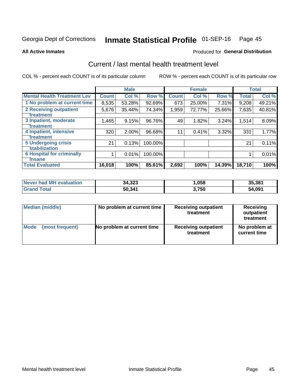# Inmate Statistical Profile 01-SEP-16 Page 45

**All Active Inmates** 

### **Produced for General Distribution**

# Current / last mental health treatment level

COL % - percent each COUNT is of its particular column

|                                    |              | <b>Male</b> |         |              | <b>Female</b> |        |              | <b>Total</b> |
|------------------------------------|--------------|-------------|---------|--------------|---------------|--------|--------------|--------------|
| <b>Mental Health Treatment Lev</b> | <b>Count</b> | Col %       | Row %   | <b>Count</b> | Col %         | Row %  | <b>Total</b> | Col %        |
| 1 No problem at current time       | 8,535        | 53.28%      | 92.69%  | 673          | 25.00%        | 7.31%  | 9,208        | 49.21%       |
| 2 Receiving outpatient             | 5,676        | 35.44%      | 74.34%  | 1,959        | 72.77%        | 25.66% | 7,635        | 40.81%       |
| <b>Treatment</b>                   |              |             |         |              |               |        |              |              |
| 3 Inpatient, moderate              | 1,465        | 9.15%       | 96.76%  | 49           | 1.82%         | 3.24%  | 1,514        | 8.09%        |
| Treatment                          |              |             |         |              |               |        |              |              |
| 4 Inpatient, intensive             | 320          | 2.00%       | 96.68%  | 11           | 0.41%         | 3.32%  | 331          | 1.77%        |
| <b>Treatment</b>                   |              |             |         |              |               |        |              |              |
| <b>5 Undergoing crisis</b>         | 21           | 0.13%       | 100.00% |              |               |        | 21           | 0.11%        |
| <b>stabilization</b>               |              |             |         |              |               |        |              |              |
| <b>6 Hospital for criminally</b>   |              | 0.01%       | 100.00% |              |               |        |              | 0.01%        |
| <b>Tinsane</b>                     |              |             |         |              |               |        |              |              |
| <b>Total Evaluated</b>             | 16,018       | 100%        | 85.61%  | 2,692        | 100%          | 14.39% | 18,710       | 100%         |

| Never had MH evaluation | 34,323 | ,058  | 35,381 |
|-------------------------|--------|-------|--------|
| <b>Grand Total</b>      | 50,341 | 3,750 | 54,091 |

| Median (middle) | No problem at current time | <b>Receiving outpatient</b><br>treatment | <b>Receiving</b><br>outpatient<br>treatment |
|-----------------|----------------------------|------------------------------------------|---------------------------------------------|
| <b>Mode</b>     | No problem at current time | <b>Receiving outpatient</b>              | No problem at                               |
| (most frequent) |                            | treatment                                | current time                                |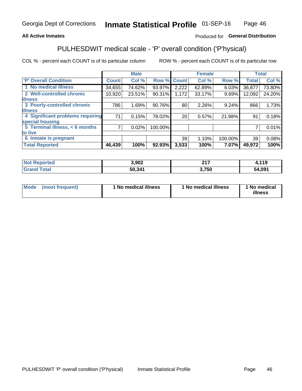### **All Active Inmates**

### Produced for General Distribution

# PULHESDWIT medical scale - 'P' overall condition ('P'hysical)

COL % - percent each COUNT is of its particular column

|                                  |              | <b>Male</b> |         |              | <b>Female</b> |         |              | <b>Total</b> |
|----------------------------------|--------------|-------------|---------|--------------|---------------|---------|--------------|--------------|
| 'P' Overall Condition            | <b>Count</b> | Col %       | Row %   | <b>Count</b> | Col %         | Row %   | <b>Total</b> | Col %        |
| 1 No medical illness             | 34,655       | 74.62%      | 93.97%  | 2,222        | 62.89%        | 6.03%   | 36,877       | 73.80%       |
| 2 Well-controlled chronic        | 10,920       | 23.51%      | 90.31%  | 1,172        | 33.17%        | 9.69%   | 12,092       | 24.20%       |
| <b>illness</b>                   |              |             |         |              |               |         |              |              |
| 3 Poorly-controlled chronic      | 786          | 1.69%       | 90.76%  | 80           | 2.26%         | 9.24%   | 866          | 1.73%        |
| <b>illness</b>                   |              |             |         |              |               |         |              |              |
| 4 Significant problems requiring | 71           | 0.15%       | 78.02%  | 20           | 0.57%         | 21.98%  | 91           | 0.18%        |
| special housing                  |              |             |         |              |               |         |              |              |
| 5 Terminal illness, < 6 months   | 7            | 0.02%       | 100.00% |              |               |         | 7            | 0.01%        |
| to live                          |              |             |         |              |               |         |              |              |
| 6 Inmate is pregnant             |              |             |         | 39           | 1.10%         | 100.00% | 39           | 0.08%        |
| <b>Total Reported</b>            | 46,439       | 100%        | 92.93%  | 3,533        | 100%          | 7.07%   | 49,972       | 100%         |

| <b>orted</b><br>NO: | 3,902  | 247  | 119    |
|---------------------|--------|------|--------|
| <b>ota</b>          | 50.341 | ,750 | 54.091 |

| Mode | (most frequent) | 1 No medical illness | 1 No medical illness | 1 No medical<br>illness |
|------|-----------------|----------------------|----------------------|-------------------------|
|------|-----------------|----------------------|----------------------|-------------------------|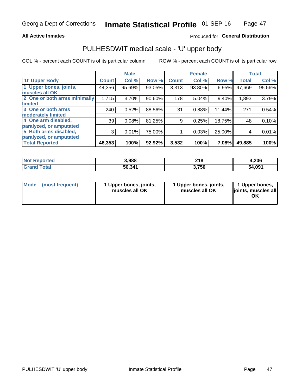#### **All Active Inmates**

### Produced for General Distribution

# PULHESDWIT medical scale - 'U' upper body

COL % - percent each COUNT is of its particular column

|                              |              | <b>Male</b> |        |              | <b>Female</b> |        |              | <b>Total</b> |
|------------------------------|--------------|-------------|--------|--------------|---------------|--------|--------------|--------------|
| <b>U' Upper Body</b>         | <b>Count</b> | Col %       | Row %  | <b>Count</b> | Col %         | Row %  | <b>Total</b> | Col %        |
| 1 Upper bones, joints,       | 44,356       | 95.69%      | 93.05% | 3,313        | 93.80%        | 6.95%  | 47,669       | 95.56%       |
| muscles all OK               |              |             |        |              |               |        |              |              |
| 2 One or both arms minimally | 1,715        | 3.70%       | 90.60% | 178          | 5.04%         | 9.40%  | 1,893        | 3.79%        |
| limited                      |              |             |        |              |               |        |              |              |
| 3 One or both arms           | 240          | 0.52%       | 88.56% | 31           | 0.88%         | 11.44% | 271          | 0.54%        |
| <b>moderately limited</b>    |              |             |        |              |               |        |              |              |
| 4 One arm disabled,          | 39           | 0.08%       | 81.25% | 9            | 0.25%         | 18.75% | 48           | 0.10%        |
| paralyzed, or amputated      |              |             |        |              |               |        |              |              |
| 5 Both arms disabled,        | 3            | 0.01%       | 75.00% |              | 0.03%         | 25.00% | 4            | 0.01%        |
| paralyzed, or amputated      |              |             |        |              |               |        |              |              |
| <b>Total Reported</b>        | 46,353       | 100%        | 92.92% | 3,532        | 100%          | 7.08%  | 49,885       | 100%         |

| <b>Not Reported</b> | 3,988  | 218   | 4,206  |
|---------------------|--------|-------|--------|
| <b>Grand Total</b>  | 50,341 | 3,750 | 54,091 |

| Mode (most frequent) | 1 Upper bones, joints,<br>muscles all OK | 1 Upper bones, joints,<br>muscles all OK | 1 Upper bones,<br>joints, muscles all<br>ΟK |
|----------------------|------------------------------------------|------------------------------------------|---------------------------------------------|
|----------------------|------------------------------------------|------------------------------------------|---------------------------------------------|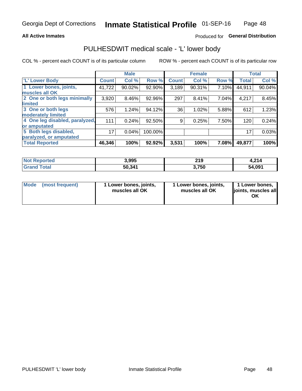#### **All Active Inmates**

### Produced for General Distribution

# PULHESDWIT medical scale - 'L' lower body

COL % - percent each COUNT is of its particular column

|                                |              | <b>Male</b> |         |              | <b>Female</b> |       |              | <b>Total</b> |
|--------------------------------|--------------|-------------|---------|--------------|---------------|-------|--------------|--------------|
| 'L' Lower Body                 | <b>Count</b> | Col %       | Row %   | <b>Count</b> | Col %         | Row % | <b>Total</b> | Col %        |
| 1 Lower bones, joints,         | 41,722       | 90.02%      | 92.90%  | 3,189        | 90.31%        | 7.10% | 44,911       | 90.04%       |
| muscles all OK                 |              |             |         |              |               |       |              |              |
| 2 One or both legs minimally   | 3,920        | 8.46%       | 92.96%  | 297          | 8.41%         | 7.04% | 4,217        | 8.45%        |
| limited                        |              |             |         |              |               |       |              |              |
| 3 One or both legs             | 576          | 1.24%       | 94.12%  | 36           | 1.02%         | 5.88% | 612          | 1.23%        |
| moderately limited             |              |             |         |              |               |       |              |              |
| 4 One leg disabled, paralyzed, | 111          | 0.24%       | 92.50%  | 9            | 0.25%         | 7.50% | 120          | 0.24%        |
| or amputated                   |              |             |         |              |               |       |              |              |
| 5 Both legs disabled,          | 17           | 0.04%       | 100.00% |              |               |       | 17           | 0.03%        |
| paralyzed, or amputated        |              |             |         |              |               |       |              |              |
| <b>Total Reported</b>          | 46,346       | 100%        | 92.92%  | 3,531        | 100%          | 7.08% | 49,877       | 100%         |

| <b>Not Reported</b>    | 3,995  | 219   | 1,214  |
|------------------------|--------|-------|--------|
| <b>Total</b><br>'Grand | 50,341 | 3,750 | 54,091 |

| Mode | (most frequent) | 1 Lower bones, joints,<br>muscles all OK | I Lower bones, joints,<br>muscles all OK | 1 Lower bones,<br>joints, muscles all<br>ΟK |
|------|-----------------|------------------------------------------|------------------------------------------|---------------------------------------------|
|------|-----------------|------------------------------------------|------------------------------------------|---------------------------------------------|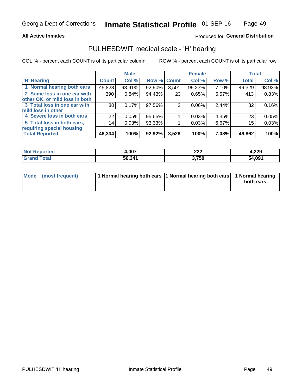#### **All Active Inmates**

### Produced for General Distribution

## PULHESDWIT medical scale - 'H' hearing

COL % - percent each COUNT is of its particular column

|                                |              | <b>Male</b> |                    |       | <b>Female</b> |       | <b>Total</b> |        |
|--------------------------------|--------------|-------------|--------------------|-------|---------------|-------|--------------|--------|
| <b>H' Hearing</b>              | <b>Count</b> | Col %       | <b>Row % Count</b> |       | Col %         | Row % | <b>Total</b> | Col %  |
| 1 Normal hearing both ears     | 45,828       | 98.91%      | 92.90%             | 3,501 | 99.23%        | 7.10% | 49,329       | 98.93% |
| 2 Some loss in one ear with    | 390          | 0.84%       | 94.43%             | 23    | 0.65%         | 5.57% | 413          | 0.83%  |
| other OK, or mild loss in both |              |             |                    |       |               |       |              |        |
| 3 Total loss in one ear with   | 80           | 0.17%       | 97.56%             | 2     | $0.06\%$      | 2.44% | 82           | 0.16%  |
| mild loss in other             |              |             |                    |       |               |       |              |        |
| 4 Severe loss in both ears     | 22           | 0.05%       | 95.65%             |       | 0.03%         | 4.35% | 23           | 0.05%  |
| 5 Total loss in both ears,     | 14           | 0.03%       | 93.33%             |       | 0.03%         | 6.67% | 15           | 0.03%  |
| requiring special housing      |              |             |                    |       |               |       |              |        |
| <b>Total Reported</b>          | 46,334       | 100%        | 92.92%             | 3,528 | 100%          | 7.08% | 49,862       | 100%   |

| <b>Not Renc</b> | <b>007</b> | ົດດຕ  | 4,229  |
|-----------------|------------|-------|--------|
| ≅norted i       | ו טעו      | LLL   |        |
| Total           | 50,341     | 3,750 | 54,091 |

| Mode (most frequent) | 1 Normal hearing both ears 11 Normal hearing both ears 1 Normal hearing | both ears |
|----------------------|-------------------------------------------------------------------------|-----------|
|                      |                                                                         |           |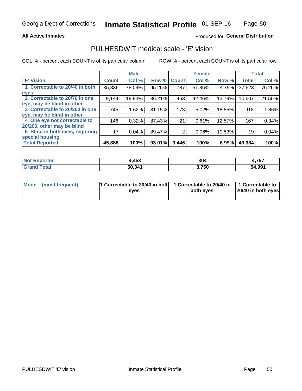### **All Active Inmates**

### Produced for General Distribution

## PULHESDWIT medical scale - 'E' vision

COL % - percent each COUNT is of its particular column

|                                 |              | <b>Male</b> |        |              | <b>Female</b> |        |              | <b>Total</b> |
|---------------------------------|--------------|-------------|--------|--------------|---------------|--------|--------------|--------------|
| <b>E' Vision</b>                | <b>Count</b> | Col %       | Row %  | <b>Count</b> | Col %         | Row %  | <b>Total</b> | Col %        |
| 1 Correctable to 20/40 in both  | 35,836       | 78.09%      | 95.25% | 1,787        | 51.86%        | 4.75%  | 37,623       | 76.26%       |
| eyes                            |              |             |        |              |               |        |              |              |
| 2 Correctable to 20/70 in one   | 9,144        | 19.93%      | 86.21% | 1,463        | 42.46%        | 13.79% | 10,607       | 21.50%       |
| eye, may be blind in other      |              |             |        |              |               |        |              |              |
| 3 Correctable to 20/200 in one  | 745          | 1.62%       | 81.15% | 173          | 5.02%         | 18.85% | 918          | 1.86%        |
| eye, may be blind in other      |              |             |        |              |               |        |              |              |
| 4 One eye not correctable to    | 146          | 0.32%       | 87.43% | 21           | 0.61%         | 12.57% | 167          | 0.34%        |
| 20/200, other may be blind      |              |             |        |              |               |        |              |              |
| 5 Blind in both eyes, requiring | 17           | 0.04%       | 89.47% | 2            | 0.06%         | 10.53% | 19           | 0.04%        |
| special housing                 |              |             |        |              |               |        |              |              |
| <b>Total Reported</b>           | 45,888       | 100%        | 93.01% | 3,446        | 100%          | 6.99%  | 49,334       | 100%         |

| <b>Not Reported</b> | 4,453  | 304   | 4,757  |
|---------------------|--------|-------|--------|
| <b>Grand Total</b>  | 50,341 | 3,750 | 54,091 |

| Mode (most frequent) | 1 Correctable to 20/40 in both<br>eves | 1 Correctable to 20/40 in   1 Correctable to  <br>both eves | 20/40 in both eyes |
|----------------------|----------------------------------------|-------------------------------------------------------------|--------------------|
|                      |                                        |                                                             |                    |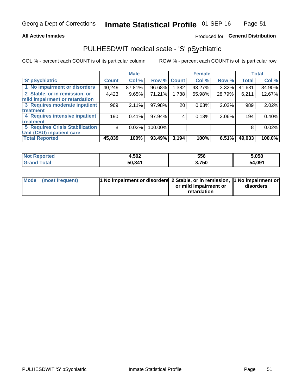### **All Active Inmates**

### Produced for General Distribution

# PULHESDWIT medical scale - 'S' pSychiatric

COL % - percent each COUNT is of its particular column

|                                        |              | <b>Male</b> |         |             | <b>Female</b> |        |              | <b>Total</b> |
|----------------------------------------|--------------|-------------|---------|-------------|---------------|--------|--------------|--------------|
| 'S' pSychiatric                        | <b>Count</b> | Col %       |         | Row % Count | Col %         | Row %  | <b>Total</b> | Col %        |
| 1 No impairment or disorders           | 40,249       | 87.81%      | 96.68%  | .382        | 43.27%        | 3.32%  | 41,631       | 84.90%       |
| 2 Stable, or in remission, or          | 4,423        | 9.65%       | 71.21%  | 1,788       | 55.98%        | 28.79% | 6,211        | 12.67%       |
| mild impairment or retardation         |              |             |         |             |               |        |              |              |
| 3 Requires moderate inpatient          | 969          | 2.11%       | 97.98%  | 20          | 0.63%         | 2.02%  | 989          | 2.02%        |
| treatment                              |              |             |         |             |               |        |              |              |
| 4 Requires intensive inpatient         | 190          | 0.41%       | 97.94%  |             | 0.13%         | 2.06%  | 194          | 0.40%        |
| treatment                              |              |             |         |             |               |        |              |              |
| <b>5 Requires Crisis Stabilization</b> | 8            | 0.02%       | 100.00% |             |               |        | 8            | 0.02%        |
| Unit (CSU) inpatient care              |              |             |         |             |               |        |              |              |
| <b>Total Reported</b>                  | 45,839       | 100%        | 93.49%  | 3,194       | 100%          | 6.51%  | 49,033       | 100.0%       |

| <b>Not Reported</b>   | 1,502  | 556   | 5,058  |
|-----------------------|--------|-------|--------|
| Total<br><b>Grand</b> | 50,341 | 3,750 | 54,091 |

| Mode (most frequent) | <b>1 No impairment or disorders 2 Stable, or in remission, 1 No impairment or</b> |                       |           |
|----------------------|-----------------------------------------------------------------------------------|-----------------------|-----------|
|                      |                                                                                   | or mild impairment or | disorders |
|                      |                                                                                   | retardation           |           |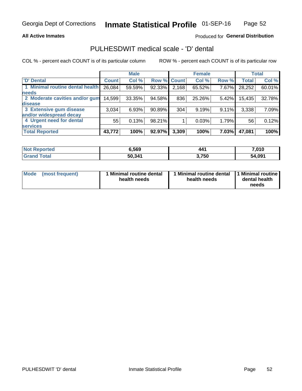### **All Active Inmates**

### Produced for General Distribution

# PULHESDWIT medical scale - 'D' dental

COL % - percent each COUNT is of its particular column

|                                 |              | <b>Male</b> |        |             | <b>Female</b> |       |              | <b>Total</b> |
|---------------------------------|--------------|-------------|--------|-------------|---------------|-------|--------------|--------------|
| <b>D'</b> Dental                | <b>Count</b> | Col %       |        | Row % Count | Col %         | Row % | <b>Total</b> | Col %        |
| 1 Minimal routine dental health | 26,084       | 59.59%      | 92.33% | 2,168       | 65.52%        | 7.67% | 28,252       | 60.01%       |
| <b>needs</b>                    |              |             |        |             |               |       |              |              |
| 2 Moderate cavities and/or gum  | 14,599       | 33.35%      | 94.58% | 836         | 25.26%        | 5.42% | 15,435       | 32.78%       |
| disease                         |              |             |        |             |               |       |              |              |
| 3 Extensive gum disease         | 3,034        | 6.93%       | 90.89% | 304         | 9.19%         | 9.11% | 3,338        | 7.09%        |
| and/or widespread decay         |              |             |        |             |               |       |              |              |
| 4 Urgent need for dental        | 55           | 0.13%       | 98.21% |             | 0.03%         | 1.79% | 56           | 0.12%        |
| <b>services</b>                 |              |             |        |             |               |       |              |              |
| <b>Total Reported</b>           | 43,772       | 100%        | 92.97% | 3,309       | 100%          | 7.03% | 47,081       | 100%         |

| <b>eported</b><br>NO. | 5.569 ق | 441   | 7,010  |
|-----------------------|---------|-------|--------|
| <b>otal</b><br>Gr     | 50,341  | 3,750 | 54,091 |

| <b>Mode</b> | (most frequent) | <b>Minimal routine dental</b><br>health needs | 1 Minimal routine dental   1 Minimal routine  <br>health needs | dental health<br>needs |
|-------------|-----------------|-----------------------------------------------|----------------------------------------------------------------|------------------------|
|-------------|-----------------|-----------------------------------------------|----------------------------------------------------------------|------------------------|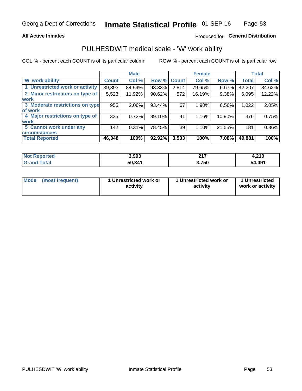### **All Active Inmates**

### Produced for General Distribution

# PULHESDWIT medical scale - 'W' work ability

COL % - percent each COUNT is of its particular column

|                                 |                    | <b>Male</b> |        |             | <b>Female</b> |        |              | <b>Total</b> |
|---------------------------------|--------------------|-------------|--------|-------------|---------------|--------|--------------|--------------|
| 'W' work ability                | Count <sup>1</sup> | Col %       |        | Row % Count | Col %         | Row %  | <b>Total</b> | Col %        |
| 1 Unrestricted work or activity | 39,393             | 84.99%      | 93.33% | 2,814       | 79.65%        | 6.67%  | 42,207       | 84.62%       |
| 2 Minor restrictions on type of | 5,523              | 11.92%      | 90.62% | 572         | 16.19%        | 9.38%  | 6,095        | 12.22%       |
| <b>work</b>                     |                    |             |        |             |               |        |              |              |
| 3 Moderate restrictions on type | 955                | $2.06\%$    | 93.44% | 67          | 1.90%         | 6.56%  | 1,022        | 2.05%        |
| lof work                        |                    |             |        |             |               |        |              |              |
| 4 Major restrictions on type of | 335                | 0.72%       | 89.10% | 41          | 1.16%         | 10.90% | 376          | 0.75%        |
| <b>work</b>                     |                    |             |        |             |               |        |              |              |
| 5 Cannot work under any         | 142                | 0.31%       | 78.45% | 39          | 1.10%         | 21.55% | 181          | 0.36%        |
| <b>circumstances</b>            |                    |             |        |             |               |        |              |              |
| <b>Total Reported</b>           | 46,348             | 100%        | 92.92% | 3,533       | 100%          | 7.08%  | 49,881       | 100%         |

| <b>Not Reported</b>    | 3,993  | 247<br>. | 240<br>4.Z I V |
|------------------------|--------|----------|----------------|
| <b>Total</b><br>'Grand | 50,341 | 3,750    | 54,091         |

| <b>Mode</b>     | 1 Unrestricted work or | 1 Unrestricted work or | 1 Unrestricted   |
|-----------------|------------------------|------------------------|------------------|
| (most frequent) | activity               | activity               | work or activity |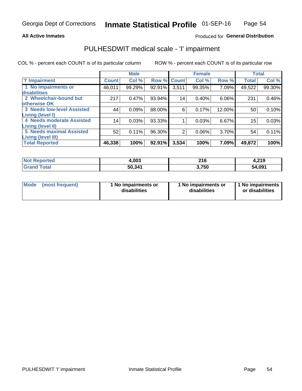### **All Active Inmates**

### Produced for General Distribution

# PULHESDWIT medical scale - 'I' impairment

COL % - percent each COUNT is of its particular column

|                                                              |              | <b>Male</b> |        |                 | <b>Female</b> |        |              | <b>Total</b> |
|--------------------------------------------------------------|--------------|-------------|--------|-----------------|---------------|--------|--------------|--------------|
| <b>T' Impairment</b>                                         | <b>Count</b> | Col %       |        | Row % Count     | Col %         | Row %  | <b>Total</b> | Col %        |
| 1 No impairments or<br>disabilities                          | 46,011       | 99.29%      | 92.91% | 3,511           | 99.35%        | 7.09%  | 49,522       | 99.30%       |
| 2 Wheelchair-bound but<br>otherwise OK                       | 217          | 0.47%       | 93.94% | 14 <sub>1</sub> | 0.40%         | 6.06%  | 231          | 0.46%        |
| <b>3 Needs low-level Assisted</b><br>Living (level I)        | 44           | 0.09%       | 88.00% | 6               | 0.17%         | 12.00% | 50           | 0.10%        |
| 4 Needs moderate Assisted<br><b>Living (level II)</b>        | 14           | 0.03%       | 93.33% |                 | 0.03%         | 6.67%  | 15           | 0.03%        |
| <b>5 Needs maximal Assisted</b><br><b>Living (level III)</b> | 52           | 0.11%       | 96.30% | 2               | 0.06%         | 3.70%  | 54           | 0.11%        |
| <b>Total Reported</b>                                        | 46,338       | 100%        | 92.91% | 3,534           | 100%          | 7.09%  | 49,872       | 100%         |

| $Not$<br>Reported | 1.003  | 216   | 4,219  |
|-------------------|--------|-------|--------|
| <i>i</i> otal     | 50,341 | 3.750 | 54,091 |

| Mode | (most frequent) | 1 No impairments or<br>disabilities | 1 No impairments or<br>disabilities | 1 No impairments<br>or disabilities |
|------|-----------------|-------------------------------------|-------------------------------------|-------------------------------------|
|------|-----------------|-------------------------------------|-------------------------------------|-------------------------------------|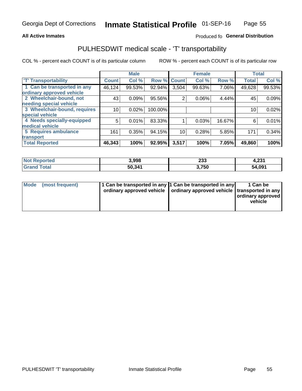### **All Active Inmates**

### Produced fo General Distribution

# PULHESDWIT medical scale - 'T' transportability

COL % - percent each COUNT is of its particular column

|                              |              | <b>Male</b> |         |              | <b>Female</b> |        |              | <b>Total</b> |
|------------------------------|--------------|-------------|---------|--------------|---------------|--------|--------------|--------------|
| <b>T' Transportability</b>   | <b>Count</b> | Col %       | Row %   | <b>Count</b> | Col %         | Row %  | <b>Total</b> | Col %        |
| 1 Can be transported in any  | 46,124       | 99.53%      | 92.94%  | 3,504        | 99.63%        | 7.06%  | 49,628       | 99.53%       |
| ordinary approved vehicle    |              |             |         |              |               |        |              |              |
| 2 Wheelchair-bound, not      | 43           | 0.09%       | 95.56%  | 2            | 0.06%         | 4.44%  | 45           | 0.09%        |
| needing special vehicle      |              |             |         |              |               |        |              |              |
| 3 Wheelchair-bound, requires | 10           | 0.02%       | 100.00% |              |               |        | 10           | 0.02%        |
| special vehicle              |              |             |         |              |               |        |              |              |
| 4 Needs specially-equipped   | 5            | 0.01%       | 83.33%  |              | 0.03%         | 16.67% | 6            | 0.01%        |
| medical vehicle              |              |             |         |              |               |        |              |              |
| <b>5 Requires ambulance</b>  | 161          | 0.35%       | 94.15%  | 10           | 0.28%         | 5.85%  | 171          | 0.34%        |
| transport                    |              |             |         |              |               |        |              |              |
| <b>Total Reported</b>        | 46,343       | 100%        | 92.95%  | 3,517        | 100%          | 7.05%  | 49,860       | 100%         |

| $^{\dagger}$ Not $\cdot$<br>Reported | 3,998  | 233   | - 224<br>4,23 . |
|--------------------------------------|--------|-------|-----------------|
| <b>Total</b><br>'Grand               | 50,341 | 3,750 | 54,091          |

|  | Mode (most frequent) | 1 Can be transported in any 1 Can be transported in any<br>ordinary approved vehicle   ordinary approved vehicle   transported in any |  | 1 Can be<br>  ordinary approved  <br>vehicle |
|--|----------------------|---------------------------------------------------------------------------------------------------------------------------------------|--|----------------------------------------------|
|--|----------------------|---------------------------------------------------------------------------------------------------------------------------------------|--|----------------------------------------------|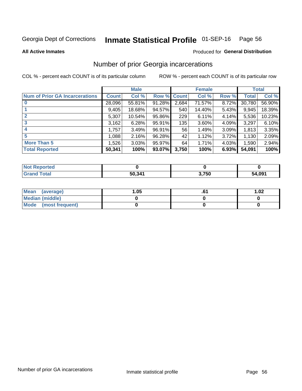#### Inmate Statistical Profile 01-SEP-16 Page 56

**All Active Inmates** 

#### Produced for General Distribution

## Number of prior Georgia incarcerations

COL % - percent each COUNT is of its particular column

|                                       |              | <b>Male</b> |                    |       | <b>Female</b> |       |        | <b>Total</b> |
|---------------------------------------|--------------|-------------|--------------------|-------|---------------|-------|--------|--------------|
| <b>Num of Prior GA Incarcerations</b> | <b>Count</b> | Col %       | <b>Row % Count</b> |       | Col %         | Row % | Total  | Col %        |
| $\bf{0}$                              | 28,096       | 55.81%      | 91.28%             | 2,684 | 71.57%        | 8.72% | 30,780 | 56.90%       |
|                                       | 9,405        | 18.68%      | 94.57%             | 540   | 14.40%        | 5.43% | 9,945  | 18.39%       |
|                                       | 5,307        | 10.54%      | 95.86%             | 229   | 6.11%         | 4.14% | 5,536  | 10.23%       |
| 3                                     | 3,162        | 6.28%       | 95.91%             | 135   | 3.60%         | 4.09% | 3,297  | 6.10%        |
|                                       | 1,757        | 3.49%       | 96.91%             | 56    | 1.49%         | 3.09% | 1,813  | 3.35%        |
| 5                                     | 1,088        | 2.16%       | 96.28%             | 42    | 1.12%         | 3.72% | 1,130  | 2.09%        |
| <b>More Than 5</b>                    | 1,526        | 3.03%       | 95.97%             | 64    | 1.71%         | 4.03% | 1,590  | 2.94%        |
| <b>Total Reported</b>                 | 50,341       | 100%        | 93.07%             | 3,750 | 100%          | 6.93% | 54,091 | 100%         |

| <b>Not</b><br>Reported |        |       |        |
|------------------------|--------|-------|--------|
| Total<br>'Grand        | 50,341 | 3,750 | 54,091 |

| Mean (average)       | .05 | 1.02 |
|----------------------|-----|------|
| Median (middle)      |     |      |
| Mode (most frequent) |     |      |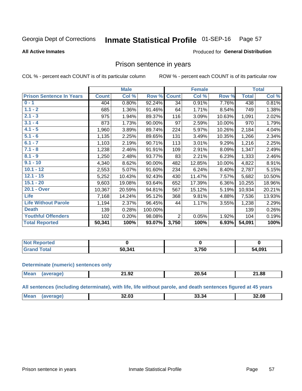#### Inmate Statistical Profile 01-SEP-16 Page 57

#### **All Active Inmates**

#### Produced for General Distribution

### Prison sentence in years

COL % - percent each COUNT is of its particular column

ROW % - percent each COUNT is of its particular row

|                                 |              | <b>Male</b> |         |                | <b>Female</b> |          |              | <b>Total</b> |
|---------------------------------|--------------|-------------|---------|----------------|---------------|----------|--------------|--------------|
| <b>Prison Sentence In Years</b> | <b>Count</b> | Col %       | Row %   | <b>Count</b>   | Col %         | Row %    | <b>Total</b> | Col %        |
| $0 - 1$                         | 404          | 0.80%       | 92.24%  | 34             | 0.91%         | 7.76%    | 438          | 0.81%        |
| $1.1 - 2$                       | 685          | 1.36%       | 91.46%  | 64             | 1.71%         | 8.54%    | 749          | 1.38%        |
| $2.1 - 3$                       | 975          | 1.94%       | 89.37%  | 116            | 3.09%         | 10.63%   | 1,091        | 2.02%        |
| $3.1 - 4$                       | 873          | 1.73%       | 90.00%  | 97             | 2.59%         | 10.00%   | 970          | 1.79%        |
| $4.1 - 5$                       | 1,960        | 3.89%       | 89.74%  | 224            | 5.97%         | 10.26%   | 2,184        | 4.04%        |
| $5.1 - 6$                       | 1,135        | 2.25%       | 89.65%  | 131            | 3.49%         | 10.35%   | 1,266        | 2.34%        |
| $6.1 - 7$                       | 1,103        | 2.19%       | 90.71%  | 113            | 3.01%         | 9.29%    | 1,216        | 2.25%        |
| $7.1 - 8$                       | 1,238        | 2.46%       | 91.91%  | 109            | 2.91%         | 8.09%    | 1,347        | 2.49%        |
| $8.1 - 9$                       | 1,250        | 2.48%       | 93.77%  | 83             | 2.21%         | 6.23%    | 1,333        | 2.46%        |
| $9.1 - 10$                      | 4,340        | 8.62%       | 90.00%  | 482            | 12.85%        | 10.00%   | 4,822        | 8.91%        |
| $10.1 - 12$                     | 2,553        | 5.07%       | 91.60%  | 234            | 6.24%         | 8.40%    | 2,787        | 5.15%        |
| $12.1 - 15$                     | 5,252        | 10.43%      | 92.43%  | 430            | 11.47%        | 7.57%    | 5,682        | 10.50%       |
| $15.1 - 20$                     | 9,603        | 19.08%      | 93.64%  | 652            | 17.39%        | $6.36\%$ | 10,255       | 18.96%       |
| 20.1 - Over                     | 10,367       | 20.59%      | 94.81%  | 567            | 15.12%        | 5.19%    | 10,934       | 20.21%       |
| <b>Life</b>                     | 7,168        | 14.24%      | 95.12%  | 368            | 9.81%         | 4.88%    | 7,536        | 13.93%       |
| <b>Life Without Parole</b>      | 1,194        | 2.37%       | 96.45%  | 44             | 1.17%         | 3.55%    | 1,238        | 2.29%        |
| <b>Death</b>                    | 139          | 0.28%       | 100.00% |                |               |          | 139          | 0.26%        |
| <b>Youthful Offenders</b>       | 102          | 0.20%       | 98.08%  | $\overline{2}$ | 0.05%         | 1.92%    | 104          | 0.19%        |
| <b>Total Reported</b>           | 50,341       | 100%        | 93.07%  | 3,750          | 100%          | 6.93%    | 54,091       | 100%         |

| <b>Not Reported</b> |        |       |        |
|---------------------|--------|-------|--------|
| $\sim$<br>. Crs     | 50.341 | 3,750 | 54,091 |

#### **Determinate (numeric) sentences only**

| <b>Mear</b> | .<br>. .<br>41.JZ | <b>20.34</b> | 21.88 |
|-------------|-------------------|--------------|-------|
|             |                   |              |       |

All sentences (including determinate), with life, life without parole, and death sentences figured at 45 years

| <b>Mean</b><br><br>32.08<br>-15.50<br>2.UJ |  |  |  |
|--------------------------------------------|--|--|--|
|                                            |  |  |  |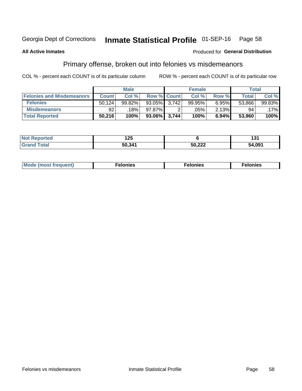#### Inmate Statistical Profile 01-SEP-16 Page 58

### **All Active Inmates**

#### Produced for General Distribution

# Primary offense, broken out into felonies vs misdemeanors

COL % - percent each COUNT is of its particular column

|                                  |              | <b>Male</b> |              |                    | <b>Female</b> |       | Total  |        |
|----------------------------------|--------------|-------------|--------------|--------------------|---------------|-------|--------|--------|
| <b>Felonies and Misdemeanors</b> | <b>Count</b> | Col%        |              | <b>Row % Count</b> | Col%          | Row % | Total, | Col %  |
| <b>Felonies</b>                  | 50.124       | 99.82%      | 93.05%       | 3.742              | 99.95%        | 6.95% | 53,866 | 99.83% |
| <b>Misdemeanors</b>              | 92           | 18%         | 97.87%       |                    | .05%          | 2.13% | 94     | .17%   |
| <b>Total Reported</b>            | 50,216       | 100%        | 93.06% 3,744 |                    | 100%          | 6.94% | 53.960 | 100%   |

| <b>Reported</b><br><b>Not</b> | .<br>$\sim$ |                    | 1 J I  |
|-------------------------------|-------------|--------------------|--------|
| ™otar<br><b>Gran</b>          | 50.341      | $E = 25$<br>JU,ZZZ | 54,091 |

| Me | . | . | піех<br>. |
|----|---|---|-----------|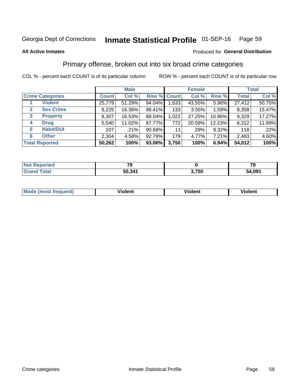#### Inmate Statistical Profile 01-SEP-16 Page 59

#### **All Active Inmates**

### **Produced for General Distribution**

## Primary offense, broken out into six broad crime categories

COL % - percent each COUNT is of its particular column

|                                  | <b>Male</b>  |        |           |             | <b>Female</b> |        | <b>Total</b> |        |  |
|----------------------------------|--------------|--------|-----------|-------------|---------------|--------|--------------|--------|--|
| <b>Crime Categories</b>          | <b>Count</b> | Col %  |           | Row % Count | Col %         | Row %  | <b>Total</b> | Col %  |  |
| <b>Violent</b>                   | 25,779       | 51.29% | 94.04%    | 1,633       | 43.55%        | 5.96%  | 27,412       | 50.75% |  |
| <b>Sex Crime</b><br>$\mathbf{2}$ | 8,225        | 16.36% | 98.41%    | 133         | 3.55%         | 1.59%  | 8,358        | 15.47% |  |
| 3<br><b>Property</b>             | 8,307        | 16.53% | 89.04%    | 1,022       | 27.25%        | 10.96% | 9,329        | 17.27% |  |
| <b>Drug</b><br>4                 | 5,540        | 11.02% | 87.77%    | 772         | 20.59%        | 12.23% | 6,312        | 11.69% |  |
| <b>Habit/DUI</b><br>5            | 107          | .21%   | $90.68\%$ | 11          | .29%          | 9.32%  | 118          | .22%   |  |
| <b>Other</b><br>6                | 2,304        | 4.58%  | 92.79%    | 179         | 4.77%         | 7.21%  | 2,483        | 4.60%  |  |
| <b>Total Reported</b>            | 50,262       | 100%   | $93.06\%$ | 3,750       | 100%          | 6.94%  | 54,012       | 100%   |  |

| <b>rortea</b><br>NOT |        |       | 70<br>- 3 |
|----------------------|--------|-------|-----------|
| Eatal                | 50,341 | האד י | 91,091    |
| . Gr                 |        | . JL  | 54        |

| Mo<br>uent)<br>nos | .<br>/iolent | <br>Violent | - --<br><b>Tiolent</b> |
|--------------------|--------------|-------------|------------------------|
|                    |              |             |                        |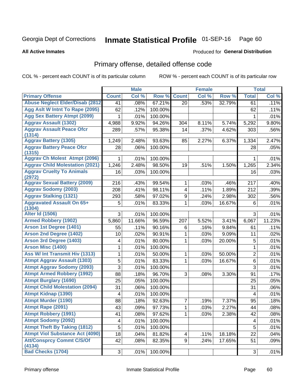#### Inmate Statistical Profile 01-SEP-16 Page 60

**All Active Inmates** 

#### Produced for General Distribution

# Primary offense, detailed offense code

COL % - percent each COUNT is of its particular column

|                                            |                         | <b>Male</b> |         |              | <b>Female</b> |        |                  | <b>Total</b> |
|--------------------------------------------|-------------------------|-------------|---------|--------------|---------------|--------|------------------|--------------|
| <b>Primary Offense</b>                     | <b>Count</b>            | Col %       | Row %   | <b>Count</b> | Col %         | Row %  | <b>Total</b>     | Col %        |
| <b>Abuse Neglect Elder/Disab (2812)</b>    | 41                      | .08%        | 67.21%  | 20           | .53%          | 32.79% | 61               | .11%         |
| Agg Aslt W Intnt To Rape (2095)            | 62                      | .12%        | 100.00% |              |               |        | 62               | .11%         |
| <b>Agg Sex Battery Atmpt (2099)</b>        | 1                       | .01%        | 100.00% |              |               |        | 1                | .01%         |
| <b>Aggrav Assault (1302)</b>               | 4,988                   | 9.92%       | 94.26%  | 304          | 8.11%         | 5.74%  | 5,292            | 9.80%        |
| <b>Aggrav Assault Peace Ofcr</b><br>(1314) | 289                     | .57%        | 95.38%  | 14           | .37%          | 4.62%  | 303              | .56%         |
| <b>Aggrav Battery (1305)</b>               | 1,249                   | 2.48%       | 93.63%  | 85           | 2.27%         | 6.37%  | 1,334            | 2.47%        |
| <b>Aggrav Battery Peace Ofcr</b><br>(1315) | 28                      | .06%        | 100.00% |              |               |        | 28               | .05%         |
| <b>Aggrav Ch Molest Atmpt (2096)</b>       | 1                       | .01%        | 100.00% |              |               |        | 1                | .01%         |
| <b>Aggrav Child Molestation (2021)</b>     | 1,246                   | 2.48%       | 98.50%  | 19           | .51%          | 1.50%  | 1,265            | 2.34%        |
| <b>Aggrav Cruelty To Animals</b><br>(2972) | 16                      | .03%        | 100.00% |              |               |        | 16               | .03%         |
| <b>Aggrav Sexual Battery (2009)</b>        | 216                     | .43%        | 99.54%  | 1            | .03%          | .46%   | 217              | .40%         |
| <b>Aggrav Sodomy (2003)</b>                | 208                     | .41%        | 98.11%  | 4            | .11%          | 1.89%  | $\overline{212}$ | .39%         |
| <b>Aggrav Stalking (1321)</b>              | 293                     | .58%        | 97.02%  | 9            | .24%          | 2.98%  | 302              | .56%         |
| <b>Aggravated Assault On 65+</b><br>(1304) | 5                       | .01%        | 83.33%  | 1            | .03%          | 16.67% | 6                | .01%         |
| <b>Alter Id (1506)</b>                     | 3                       | .01%        | 100.00% |              |               |        | 3                | .01%         |
| <b>Armed Robbery (1902)</b>                | 5,860                   | 11.66%      | 96.59%  | 207          | 5.52%         | 3.41%  | 6,067            | 11.23%       |
| Arson 1st Degree (1401)                    | 55                      | .11%        | 90.16%  | 6            | .16%          | 9.84%  | 61               | .11%         |
| <b>Arson 2nd Degree (1402)</b>             | 10                      | .02%        | 90.91%  | 1            | .03%          | 9.09%  | 11               | .02%         |
| <b>Arson 3rd Degree (1403)</b>             | 4                       | .01%        | 80.00%  | 1            | .03%          | 20.00% | 5                | .01%         |
| <b>Arson Misc (1400)</b>                   | 1                       | .01%        | 100.00% |              |               |        | 1                | .01%         |
| <b>Ass W/ Int Transmit Hiv (1313)</b>      | 1                       | .01%        | 50.00%  | 1            | .03%          | 50.00% | $\overline{2}$   | .01%         |
| <b>Atmpt Aggrav Assault (1303)</b>         | 5                       | .01%        | 83.33%  | 1            | .03%          | 16.67% | 6                | .01%         |
| <b>Atmpt Aggrav Sodomy (2093)</b>          | $\overline{3}$          | .01%        | 100.00% |              |               |        | $\overline{3}$   | .01%         |
| <b>Atmpt Armed Robbery (1992)</b>          | 88                      | .18%        | 96.70%  | 3            | .08%          | 3.30%  | 91               | .17%         |
| <b>Atmpt Burglary (1690)</b>               | 25                      | .05%        | 100.00% |              |               |        | 25               | .05%         |
| <b>Atmpt Child Molestation (2094)</b>      | 31                      | .06%        | 100.00% |              |               |        | 31               | .06%         |
| <b>Atmpt Kidnap (1390)</b>                 | 4                       | .01%        | 100.00% |              |               |        | 4                | .01%         |
| <b>Atmpt Murder (1190)</b>                 | 88                      | .18%        | 92.63%  | 7            | .19%          | 7.37%  | 95               | .18%         |
| Atmpt Rape (2091)                          | 43                      | .09%        | 97.73%  | $\mathbf{1}$ | .03%          | 2.27%  | 44               | .08%         |
| <b>Atmpt Robbery (1991)</b>                | 41                      | .08%        | 97.62%  | 1            | .03%          | 2.38%  | 42               | .08%         |
| <b>Atmpt Sodomy (2092)</b>                 | $\overline{\mathbf{4}}$ | .01%        | 100.00% |              |               |        | 4                | .01%         |
| <b>Atmpt Theft By Taking (1812)</b>        | 5                       | .01%        | 100.00% |              |               |        | 5                | .01%         |
| <b>Atmpt Viol Substance Act (4090)</b>     | 18                      | .04%        | 81.82%  | 4            | .11%          | 18.18% | 22               | .04%         |
| <b>Att/Consprcy Commt C/S/Of</b><br>(4134) | 42                      | .08%        | 82.35%  | 9            | .24%          | 17.65% | 51               | .09%         |
| <b>Bad Checks (1704)</b>                   | 3 <sup>1</sup>          | .01%        | 100.00% |              |               |        | 3                | .01%         |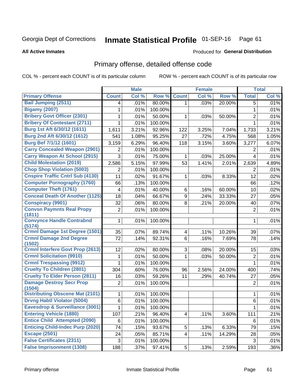#### Inmate Statistical Profile 01-SEP-16 Page 61

#### **All Active Inmates**

# Produced for General Distribution

# Primary offense, detailed offense code

COL % - percent each COUNT is of its particular column

|                                            |                | <b>Male</b> |         |                         | <b>Female</b> |        |                | <b>Total</b> |
|--------------------------------------------|----------------|-------------|---------|-------------------------|---------------|--------|----------------|--------------|
| <b>Primary Offense</b>                     | <b>Count</b>   | Col %       | Row %   | <b>Count</b>            | Col %         | Row %  | <b>Total</b>   | Col %        |
| <b>Bail Jumping (2511)</b>                 | 4              | .01%        | 80.00%  | 1.                      | .03%          | 20.00% | 5              | .01%         |
| <b>Bigamy (2007)</b>                       | 1              | .01%        | 100.00% |                         |               |        | 1              | .01%         |
| <b>Bribery Govt Officer (2301)</b>         | 1              | .01%        | 50.00%  | 1                       | .03%          | 50.00% | $\overline{2}$ | .01%         |
| <b>Bribery Of Contestant (2711)</b>        | 1              | .01%        | 100.00% |                         |               |        | 1              | .01%         |
| Burg 1st Aft 6/30/12 (1611)                | 1,611          | 3.21%       | 92.96%  | 122                     | 3.25%         | 7.04%  | 1,733          | 3.21%        |
| Burg 2nd Aft 6/30/12 (1612)                | 541            | 1.08%       | 95.25%  | 27                      | .72%          | 4.75%  | 568            | 1.05%        |
| Burg Bef 7/1/12 (1601)                     | 3,159          | 6.29%       | 96.40%  | 118                     | 3.15%         | 3.60%  | 3,277          | 6.07%        |
| <b>Carry Concealed Weapon (2901)</b>       | 2              | .01%        | 100.00% |                         |               |        | 2              | .01%         |
| <b>Carry Weapon At School (2915)</b>       | 3              | .01%        | 75.00%  | 1                       | .03%          | 25.00% | $\overline{4}$ | .01%         |
| <b>Child Molestation (2019)</b>            | 2,586          | 5.15%       | 97.99%  | 53                      | 1.41%         | 2.01%  | 2,639          | 4.89%        |
| <b>Chop Shop Violation (5003)</b>          | 2              | .01%        | 100.00% |                         |               |        | 2              | .01%         |
| <b>Cnspire Traffic Cntrl Sub (4130)</b>    | 11             | .02%        | 91.67%  | 1                       | .03%          | 8.33%  | 12             | .02%         |
| <b>Computer Pornography (1760)</b>         | 66             | .13%        | 100.00% |                         |               |        | 66             | .12%         |
| <b>Computer Theft (1761)</b>               | 4              | .01%        | 40.00%  | 6                       | .16%          | 60.00% | 10             | .02%         |
| <b>Conceal Death Of Another (1125)</b>     | 18             | .04%        | 66.67%  | 9                       | .24%          | 33.33% | 27             | .05%         |
| <b>Conspiracy (9901)</b>                   | 32             | .06%        | 80.00%  | 8                       | .21%          | 20.00% | 40             | .07%         |
| <b>Convsn Paymnts Real Propy</b><br>(1811) | $\overline{2}$ | .01%        | 100.00% |                         |               |        | $\overline{2}$ | .01%         |
| <b>Convynce Handle Contrabnd</b><br>(5174) | 1              | .01%        | 100.00% |                         |               |        | 1              | .01%         |
| <b>Crmnl Damage 1st Degree (1501)</b>      | 35             | .07%        | 89.74%  | 4                       | .11%          | 10.26% | 39             | .07%         |
| <b>Crmnl Damage 2nd Degree</b><br>(1502)   | 72             | .14%        | 92.31%  | 6                       | .16%          | 7.69%  | 78             | .14%         |
| <b>Crmnl Interfere Govt Prop (2613)</b>    | 12             | .02%        | 80.00%  | 3                       | .08%          | 20.00% | 15             | .03%         |
| <b>Crmnl Solicitation (9910)</b>           | 1              | .01%        | 50.00%  | 1                       | .03%          | 50.00% | $\overline{2}$ | .01%         |
| <b>Crmnl Trespassing (9912)</b>            | 1              | .01%        | 100.00% |                         |               |        | $\mathbf{1}$   | .01%         |
| <b>Cruelty To Children (2801)</b>          | 304            | .60%        | 76.00%  | 96                      | 2.56%         | 24.00% | 400            | .74%         |
| <b>Cruelty To Elder Person (2811)</b>      | 16             | .03%        | 59.26%  | 11                      | .29%          | 40.74% | 27             | .05%         |
| <b>Damage Destroy Secr Prop</b><br>(1504)  | $\overline{2}$ | .01%        | 100.00% |                         |               |        | $\overline{2}$ | .01%         |
| <b>Distributing Obscene Mat (2101)</b>     | 1              | .01%        | 100.00% |                         |               |        | 1              | .01%         |
| <b>Drvng Habtl Violator (5004)</b>         | 6              | .01%        | 100.00% |                         |               |        | 6              | .01%         |
| Eavesdrop & Surveillance (3001)            | 1              | .01%        | 100.00% |                         |               |        | $\mathbf{1}$   | .01%         |
| <b>Entering Vehicle (1880)</b>             | 107            | .21%        | 96.40%  | $\overline{4}$          | .11%          | 3.60%  | 111            | .21%         |
| <b>Entice Child Attempted (2090)</b>       | 6              | .01%        | 100.00% |                         |               |        | 6              | .01%         |
| <b>Enticing Child-Indec Purp (2020)</b>    | 74             | .15%        | 93.67%  | 5                       | .13%          | 6.33%  | 79             | .15%         |
| <b>Escape (2501)</b>                       | 24             | .05%        | 85.71%  | $\overline{\mathbf{4}}$ | .11%          | 14.29% | 28             | .05%         |
| <b>False Certificates (2311)</b>           | $\sqrt{3}$     | .01%        | 100.00% |                         |               |        | 3              | .01%         |
| <b>False Imprisonment (1308)</b>           | 188            | .37%        | 97.41%  | 5 <sup>1</sup>          | .13%          | 2.59%  | 193            | $.36\%$      |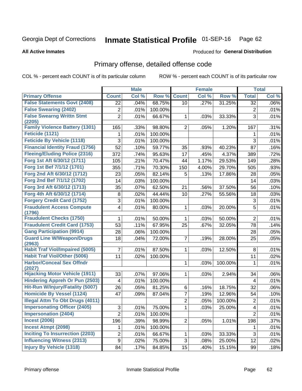#### Inmate Statistical Profile 01-SEP-16 Page 62

#### **All Active Inmates**

### **Produced for General Distribution**

## Primary offense, detailed offense code

COL % - percent each COUNT is of its particular column

|                                            |                          | <b>Male</b> |         |                 | <b>Female</b> |         |                         | <b>Total</b> |
|--------------------------------------------|--------------------------|-------------|---------|-----------------|---------------|---------|-------------------------|--------------|
| <b>Primary Offense</b>                     | <b>Count</b>             | Col %       | Row %   | <b>Count</b>    | Col %         | Row %   | <b>Total</b>            | Col %        |
| <b>False Statements Govt (2408)</b>        | 22                       | .04%        | 68.75%  | 10 <sup>1</sup> | .27%          | 31.25%  | 32                      | .06%         |
| <b>False Swearing (2402)</b>               | 2                        | .01%        | 100.00% |                 |               |         | $\overline{2}$          | .01%         |
| <b>False Swearng Writtn Stmt</b>           | $\overline{2}$           | .01%        | 66.67%  | $\mathbf 1$     | .03%          | 33.33%  | 3                       | .01%         |
| (2205)                                     |                          |             |         |                 |               |         |                         |              |
| <b>Family Violence Battery (1301)</b>      | 165                      | .33%        | 98.80%  | $\overline{2}$  | .05%          | 1.20%   | 167                     | .31%         |
| Feticide (1121)                            | 1                        | .01%        | 100.00% |                 |               |         | 1                       | .01%         |
| <b>Feticide By Vehicle (1118)</b>          | 3                        | .01%        | 100.00% |                 |               |         | 3                       | .01%         |
| <b>Financial Identity Fraud (1756)</b>     | 52                       | .10%        | 59.77%  | 35              | .93%          | 40.23%  | 87                      | .16%         |
| <b>Fleeing/Eluding Police (2316)</b>       | 372                      | .74%        | 95.63%  | 17              | .45%          | 4.37%   | 389                     | .72%         |
| Forg 1st Aft 6/30/12 (1711)                | 105                      | .21%        | 70.47%  | 44              | 1.17%         | 29.53%  | 149                     | .28%         |
| Forg 1st Bef 7/1/12 (1701)                 | 355                      | .71%        | 70.30%  | 150             | 4.00%         | 29.70%  | 505                     | .93%         |
| Forg 2nd Aft 6/30/12 (1712)                | 23                       | .05%        | 82.14%  | 5               | .13%          | 17.86%  | 28                      | .05%         |
| Forg 2nd Bef 7/1/12 (1702)                 | 14                       | .03%        | 100.00% |                 |               |         | 14                      | .03%         |
| Forg 3rd Aft 6/30/12 (1713)                | 35                       | .07%        | 62.50%  | 21              | .56%          | 37.50%  | 56                      | .10%         |
| Forg 4th Aft 6/30/12 (1714)                | 8                        | .02%        | 44.44%  | 10              | .27%          | 55.56%  | 18                      | .03%         |
| <b>Forgery Credit Card (1752)</b>          | 3                        | .01%        | 100.00% |                 |               |         | 3                       | .01%         |
| <b>Fraudulent Access Compute</b>           | $\overline{\mathbf{4}}$  | .01%        | 80.00%  | 1               | .03%          | 20.00%  | 5                       | .01%         |
| (1796)                                     |                          |             |         |                 |               |         |                         |              |
| <b>Fraudulent Checks (1750)</b>            | 1                        | .01%        | 50.00%  | 1               | .03%          | 50.00%  | $\overline{2}$          | .01%         |
| <b>Fraudulent Credit Card (1753)</b>       | 53                       | .11%        | 67.95%  | 25              | .67%          | 32.05%  | 78                      | .14%         |
| <b>Gang Participation (9914)</b>           | 28                       | .06%        | 100.00% |                 |               |         | 28                      | .05%         |
| <b>Guard Line W/Weapon/Drugs</b><br>(2963) | 18                       | .04%        | 72.00%  | $\overline{7}$  | .19%          | 28.00%  | 25                      | .05%         |
| <b>Habit Traf Viol/Impaired (5005)</b>     | 7                        | .01%        | 87.50%  | 1               | .03%          | 12.50%  | 8                       | .01%         |
| <b>Habit Traf Viol/Other (5006)</b>        | 11                       | .02%        | 100.00% |                 |               |         | 11                      | .02%         |
| <b>Harbor/Conceal Sex Offndr</b>           |                          |             |         | 1               | .03%          | 100.00% | 1                       | .01%         |
| (2027)                                     |                          |             |         |                 |               |         |                         |              |
| <b>Hijacking Motor Vehicle (1911)</b>      | 33                       | .07%        | 97.06%  | 1               | .03%          | 2.94%   | 34                      | .06%         |
| <b>Hindering Appreh Or Pun (2503)</b>      | $\overline{\mathcal{A}}$ | .01%        | 100.00% |                 |               |         | 4                       | .01%         |
| Hit-Run W/Injury/Fatality (5007)           | 26                       | .05%        | 81.25%  | 6               | .16%          | 18.75%  | 32                      | .06%         |
| <b>Homicide By Vessel (1124)</b>           | 47                       | .09%        | 87.04%  | $\overline{7}$  | .19%          | 12.96%  | 54                      | .10%         |
| <b>Illegal Attm To Obt Drugs (4011)</b>    |                          |             |         | $\overline{2}$  | .05%          | 100.00% | $\overline{c}$          | .01%         |
| <b>Impersonating Officer (2405)</b>        | 3                        | .01%        | 75.00%  | 1               | .03%          | 25.00%  | $\overline{\mathbf{4}}$ | .01%         |
| <b>Impersonation (2404)</b>                | $\overline{2}$           | .01%        | 100.00% |                 |               |         | $\overline{2}$          | .01%         |
| <b>Incest (2006)</b>                       | 196                      | .39%        | 98.99%  | $\overline{2}$  | .05%          | 1.01%   | 198                     | .37%         |
| <b>Incest Atmpt (2098)</b>                 | 1                        | .01%        | 100.00% |                 |               |         | 1                       | .01%         |
| <b>Inciting To Insurrection (2203)</b>     | $\overline{c}$           | .01%        | 66.67%  | 1               | .03%          | 33.33%  | 3                       | .01%         |
| <b>Influencing Witness (2313)</b>          | 9                        | .02%        | 75.00%  | 3               | .08%          | 25.00%  | 12                      | .02%         |
| <b>Injury By Vehicle (1318)</b>            | 84                       | .17%        | 84.85%  | 15              | .40%          | 15.15%  | 99                      | .18%         |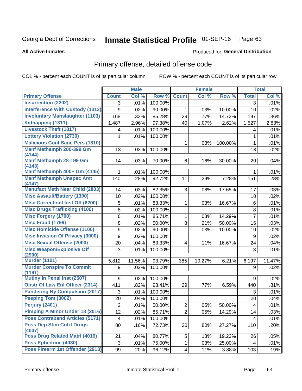#### Inmate Statistical Profile 01-SEP-16 Page 63

#### **All Active Inmates**

#### Produced for General Distribution

# Primary offense, detailed offense code

COL % - percent each COUNT is of its particular column

|                                            |                           | <b>Male</b> |         |                         | <b>Female</b> |         |              | <b>Total</b> |
|--------------------------------------------|---------------------------|-------------|---------|-------------------------|---------------|---------|--------------|--------------|
| <b>Primary Offense</b>                     | <b>Count</b>              | Col %       | Row %   | <b>Count</b>            | Col %         | Row %   | <b>Total</b> | Col %        |
| <b>Insurrection (2202)</b>                 | 3                         | .01%        | 100.00% |                         |               |         | 3            | .01%         |
| <b>Interference With Custody (1312)</b>    | 9                         | .02%        | 90.00%  | 1                       | .03%          | 10.00%  | 10           | .02%         |
| <b>Involuntary Manslaughter (1103)</b>     | 168                       | .33%        | 85.28%  | 29                      | .77%          | 14.72%  | 197          | .36%         |
| Kidnapping (1311)                          | 1,487                     | 2.96%       | 97.38%  | 40                      | 1.07%         | 2.62%   | 1,527        | 2.83%        |
| <b>Livestock Theft (1817)</b>              | 4                         | .01%        | 100.00% |                         |               |         | 4            | .01%         |
| <b>Lottery Violation (2730)</b>            | 1                         | .01%        | 100.00% |                         |               |         | 1            | .01%         |
| <b>Malicious Conf Sane Pers (1310)</b>     |                           |             |         | 1                       | .03%          | 100.00% | $\mathbf{1}$ | .01%         |
| Manf Methamph 200-399 Gm<br>(4144)         | 13                        | .03%        | 100.00% |                         |               |         | 13           | .02%         |
| Manf Methamph 28-199 Gm<br>(4143)          | 14                        | .03%        | 70.00%  | 6                       | .16%          | 30.00%  | 20           | .04%         |
| Manf Methamph 400+ Gm (4145)               | 1                         | .01%        | 100.00% |                         |               |         | 1            | .01%         |
| <b>Manf Methamph Unspec Amt</b><br>(4147)  | 140                       | .28%        | 92.72%  | 11                      | .29%          | 7.28%   | 151          | .28%         |
| <b>Manufact Meth Near Child (2803)</b>     | 14                        | .03%        | 82.35%  | 3                       | .08%          | 17.65%  | 17           | .03%         |
| <b>Misc Assault/Battery (1300)</b>         | 10                        | .02%        | 100.00% |                         |               |         | 10           | .02%         |
| <b>Misc Correctionl Inst Off (6200)</b>    | 5                         | .01%        | 83.33%  | $\mathbf 1$             | .03%          | 16.67%  | $\,6$        | .01%         |
| <b>Misc Drugs Trafficking (4100)</b>       | 8                         | .02%        | 100.00% |                         |               |         | $\,8\,$      | .01%         |
| <b>Misc Forgery (1700)</b>                 | $\,6$                     | .01%        | 85.71%  | $\mathbf{1}$            | .03%          | 14.29%  | 7            | .01%         |
| <b>Misc Fraud (1799)</b>                   | $\bf 8$                   | .02%        | 50.00%  | 8                       | .21%          | 50.00%  | 16           | .03%         |
| <b>Misc Homicide Offense (1100)</b>        | 9                         | .02%        | 90.00%  | 1                       | .03%          | 10.00%  | 10           | .02%         |
| <b>Misc Invasion Of Privacy (3000)</b>     | 9                         | .02%        | 100.00% |                         |               |         | 9            | .02%         |
| <b>Misc Sexual Offense (2000)</b>          | 20                        | .04%        | 83.33%  | $\overline{\mathbf{4}}$ | .11%          | 16.67%  | 24           | .04%         |
| <b>Misc Weapon/Explosive Off</b><br>(2900) | 3                         | .01%        | 100.00% |                         |               |         | $\mathbf{3}$ | .01%         |
| <b>Murder (1101)</b>                       | 5,812                     | 11.56%      | 93.79%  | 385                     | 10.27%        | 6.21%   | 6,197        | 11.47%       |
| <b>Murder Conspire To Commit</b><br>(1191) | 9                         | .02%        | 100.00% |                         |               |         | 9            | .02%         |
| <b>Mutiny In Penal Inst (2507)</b>         | 9                         | .02%        | 100.00% |                         |               |         | 9            | .02%         |
| <b>Obstr Of Law Enf Officer (2314)</b>     | 411                       | .82%        | 93.41%  | 29                      | .77%          | 6.59%   | 440          | .81%         |
| <b>Pandering By Compulsion (2017)</b>      | 3                         | .01%        | 100.00% |                         |               |         | 3            | .01%         |
| Peeping Tom (3002)                         | 20                        | .04%        | 100.00% |                         |               |         | 20           | .04%         |
| Perjury (2401)                             | $\overline{2}$            | .01%        | 50.00%  | $\overline{2}$          | .05%          | 50.00%  | 4            | .01%         |
| <b>Pimping A Minor Under 18 (2016)</b>     | 12                        | .02%        | 85.71%  | $\overline{2}$          | .05%          | 14.29%  | 14           | .03%         |
| <b>Poss Contraband Articles (5171)</b>     | $\overline{4}$            | .01%        | 100.00% |                         |               |         | 4            | .01%         |
| <b>Poss Dep Stim Cntrf Drugs</b><br>(4007) | 80                        | .16%        | 72.73%  | 30                      | .80%          | 27.27%  | 110          | .20%         |
| <b>Poss Drug Related Matri (4016)</b>      | 21                        | .04%        | 80.77%  | 5                       | .13%          | 19.23%  | 26           | .05%         |
| Poss Ephedrine (4030)                      | $\ensuremath{\mathsf{3}}$ | .01%        | 75.00%  | $\mathbf{1}$            | .03%          | 25.00%  | 4            | .01%         |
| Poss Firearm 1st Offender (2913)           | 99                        | .20%        | 96.12%  | $\vert 4 \vert$         | .11%          | 3.88%   | 103          | .19%         |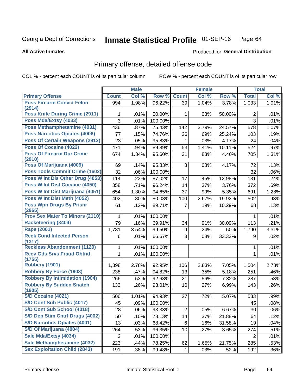# Inmate Statistical Profile 01-SEP-16 Page 64

#### **All Active Inmates**

#### Produced for General Distribution

# Primary offense, detailed offense code

COL % - percent each COUNT is of its particular column

|                                            |              | <b>Male</b> |         |                 | <b>Female</b> |        |                | <b>Total</b> |
|--------------------------------------------|--------------|-------------|---------|-----------------|---------------|--------|----------------|--------------|
| <b>Primary Offense</b>                     | <b>Count</b> | Col %       | Row %   | <b>Count</b>    | Col %         | Row %  | <b>Total</b>   | Col %        |
| <b>Poss Firearm Convct Felon</b>           | 994          | 1.98%       | 96.22%  | 39              | 1.04%         | 3.78%  | 1,033          | 1.91%        |
| (2914)<br>Poss Knife During Crime (2911)   |              |             |         |                 |               |        |                |              |
|                                            | 1            | .01%        | 50.00%  | $\mathbf 1$     | .03%          | 50.00% | $\overline{2}$ | .01%         |
| Poss Mda/Extsy (4033)                      | 3            | .01%        | 100.00% |                 |               |        | 3              | .01%         |
| Poss Methamphetamine (4031)                | 436          | .87%        | 75.43%  | 142             | 3.79%         | 24.57% | 578            | 1.07%        |
| <b>Poss Narcotics Opiates (4006)</b>       | 77           | .15%        | 74.76%  | 26              | .69%          | 25.24% | 103            | .19%         |
| <b>Poss Of Certain Weapons (2912)</b>      | 23           | .05%        | 95.83%  | 1               | .03%          | 4.17%  | 24             | .04%         |
| Poss Of Cocaine (4022)                     | 471          | .94%        | 89.89%  | 53              | 1.41%         | 10.11% | 524            | .97%         |
| <b>Poss Of Firearm Dur Crime</b>           | 674          | 1.34%       | 95.60%  | 31              | .83%          | 4.40%  | 705            | 1.31%        |
| (2910)                                     |              |             |         |                 |               |        |                |              |
| Poss Of Marijuana (4009)                   | 69           | .14%        | 95.83%  | 3               | .08%          | 4.17%  | 72             | .13%         |
| Poss Tools Commit Crime (1602)             | 32           | .06%        | 100.00% |                 |               |        | 32             | .06%         |
| Poss W Int Dis Other Drug (4053)           | 114          | .23%        | 87.02%  | 17              | .45%          | 12.98% | 131            | .24%         |
| Poss W Int Dist Cocaine (4050)             | 358          | .71%        | 96.24%  | 14              | .37%          | 3.76%  | 372            | .69%         |
| Poss W Int Dist Marijuana (4051)           | 654          | 1.30%       | 94.65%  | 37              | .99%          | 5.35%  | 691            | 1.28%        |
| Poss W Int Dist Meth (4052)                | 402          | .80%        | 80.08%  | 100             | 2.67%         | 19.92% | 502            | .93%         |
| <b>Poss Wpn Drugs By Prisnr</b><br>(2965)  | 61           | .12%        | 89.71%  | $\overline{7}$  | .19%          | 10.29% | 68             | .13%         |
| <b>Prov Sex Mater To Minors (2110)</b>     | 1            | .01%        | 100.00% |                 |               |        | 1              | .01%         |
| <b>Racketeering (3404)</b>                 | 79           | .16%        | 69.91%  | 34              | .91%          | 30.09% | 113            | .21%         |
| <b>Rape (2001)</b>                         | 1,781        | 3.54%       | 99.50%  | 9               | .24%          | .50%   | 1,790          | 3.31%        |
| <b>Reck Cond Infected Person</b>           | 6            | .01%        | 66.67%  | 3               | .08%          | 33.33% | 9              | .02%         |
| (1317)                                     |              |             |         |                 |               |        |                |              |
| <b>Reckless Abandonment (1120)</b>         | 1            | .01%        | 100.00% |                 |               |        | 1              | .01%         |
| <b>Recv Gds Srvs Fraud Obtnd</b><br>(1755) | $\mathbf{1}$ | .01%        | 100.00% |                 |               |        | $\mathbf{1}$   | .01%         |
| <b>Robbery (1901)</b>                      | 1,398        | 2.78%       | 92.95%  | 106             | 2.83%         | 7.05%  | 1,504          | 2.78%        |
| <b>Robbery By Force (1903)</b>             | 238          | .47%        | 94.82%  | 13              | .35%          | 5.18%  | 251            | .46%         |
| <b>Robbery By Intimidation (1904)</b>      | 266          | .53%        | 92.68%  | 21              | .56%          | 7.32%  | 287            | .53%         |
| <b>Robbery By Sudden Snatch</b>            | 133          | .26%        | 93.01%  | 10              | .27%          | 6.99%  | 143            | .26%         |
| (1905)                                     |              |             |         |                 |               |        |                |              |
| S/D Cocaine (4021)                         | 506          | 1.01%       | 94.93%  | 27              | .72%          | 5.07%  | 533            | .99%         |
| S/D Cont Sub Public (4017)                 | 45           | .09%        | 100.00% |                 |               |        | 45             | .08%         |
| <b>S/D Cont Sub School (4018)</b>          | 28           | .06%        | 93.33%  | $\overline{2}$  | .05%          | 6.67%  | 30             | $.06\%$      |
| S/D Dep Stim Cntrf Drugs (4002)            | 50           | .10%        | 78.13%  | 14              | .37%          | 21.88% | 64             | .12%         |
| <b>S/D Narcotics Opiates (4001)</b>        | 13           | .03%        | 68.42%  | 6               | .16%          | 31.58% | 19             | .04%         |
| S/D Of Marijuana (4004)                    | 264          | .53%        | 96.35%  | 10 <sub>1</sub> | .27%          | 3.65%  | 274            | .51%         |
| Sale Mda/Extsy (4034)                      | 2            | .01%        | 100.00% |                 |               |        | 2              | .01%         |
| Sale Methamphetamine (4032)                | 223          | .44%        | 78.25%  | 62              | 1.65%         | 21.75% | 285            | .53%         |
| <b>Sex Exploitation Child (2843)</b>       | 191          | .38%        | 99.48%  | $\mathbf{1}$    | .03%          | .52%   | 192            | $.36\%$      |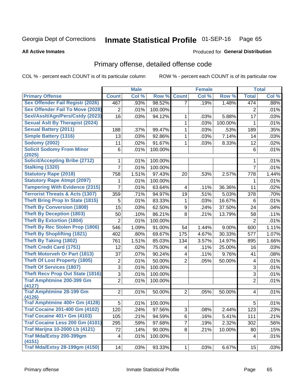# Inmate Statistical Profile 01-SEP-16 Page 65

**All Active Inmates** 

### **Produced for General Distribution**

# Primary offense, detailed offense code

COL % - percent each COUNT is of its particular column

|                                            |                  | <b>Male</b> |         |                         | <b>Female</b> |         |                | <b>Total</b> |
|--------------------------------------------|------------------|-------------|---------|-------------------------|---------------|---------|----------------|--------------|
| <b>Primary Offense</b>                     | <b>Count</b>     | Col %       | Row %   | <b>Count</b>            | Col %         | Row %   | <b>Total</b>   | Col %        |
| <b>Sex Offender Fail Registr (2026)</b>    | 467              | .93%        | 98.52%  | $\overline{7}$          | .19%          | 1.48%   | 474            | .88%         |
| <b>Sex Offender Fail To Move (2028)</b>    | $\overline{2}$   | .01%        | 100.00% |                         |               |         | $\overline{2}$ | .01%         |
| Sexl/Asslt/Agn/Pers/Cstdy (2023)           | 16               | .03%        | 94.12%  | 1                       | .03%          | 5.88%   | 17             | .03%         |
| <b>Sexual Aslt By Therapist (2024)</b>     |                  |             |         | 1                       | .03%          | 100.00% | 1              | .01%         |
| <b>Sexual Battery (2011)</b>               | 188              | .37%        | 99.47%  | 1                       | .03%          | .53%    | 189            | .35%         |
| <b>Simple Battery (1316)</b>               | 13               | .03%        | 92.86%  | 1                       | .03%          | 7.14%   | 14             | .03%         |
| <b>Sodomy (2002)</b>                       | 11               | .02%        | 91.67%  | 1                       | .03%          | 8.33%   | 12             | .02%         |
| <b>Solicit Sodomy From Minor</b><br>(2025) | 6                | .01%        | 100.00% |                         |               |         | 6              | .01%         |
| <b>Solicit/Accepting Bribe (2712)</b>      | 1                | .01%        | 100.00% |                         |               |         | 1              | .01%         |
| <b>Stalking (1320)</b>                     | $\overline{7}$   | .01%        | 100.00% |                         |               |         | $\overline{7}$ | .01%         |
| <b>Statutory Rape (2018)</b>               | 758              | 1.51%       | 97.43%  | 20                      | .53%          | 2.57%   | 778            | 1.44%        |
| <b>Statutory Rape Atmpt (2097)</b>         | 1                | .01%        | 100.00% |                         |               |         | 1              | .01%         |
| <b>Tampering With Evidence (2315)</b>      | 7                | .01%        | 63.64%  | 4                       | .11%          | 36.36%  | 11             | .02%         |
| <b>Terrorist Threats &amp; Acts (1307)</b> | 359              | .71%        | 94.97%  | 19                      | .51%          | 5.03%   | 378            | .70%         |
| <b>Theft Bring Prop In State (1815)</b>    | 5                | .01%        | 83.33%  | 1                       | .03%          | 16.67%  | 6              | .01%         |
| <b>Theft By Conversion (1808)</b>          | 15               | .03%        | 62.50%  | 9                       | .24%          | 37.50%  | 24             | .04%         |
| <b>Theft By Deception (1803)</b>           | 50               | .10%        | 86.21%  | 8                       | .21%          | 13.79%  | 58             | .11%         |
| <b>Theft By Extortion (1804)</b>           | $\overline{2}$   | .01%        | 100.00% |                         |               |         | $\overline{2}$ | .01%         |
| <b>Theft By Rec Stolen Prop (1806)</b>     | 546              | 1.09%       | 91.00%  | 54                      | 1.44%         | 9.00%   | 600            | 1.11%        |
| <b>Theft By Shoplifting (1821)</b>         | 402              | .80%        | 69.67%  | 175                     | 4.67%         | 30.33%  | 577            | 1.07%        |
| <b>Theft By Taking (1802)</b>              | 761              | 1.51%       | 85.03%  | 134                     | 3.57%         | 14.97%  | 895            | 1.66%        |
| <b>Theft Credit Card (1751)</b>            | 12               | .02%        | 75.00%  | $\overline{\mathbf{4}}$ | .11%          | 25.00%  | 16             | .03%         |
| <b>Theft Motorveh Or Part (1813)</b>       | 37               | .07%        | 90.24%  | $\overline{\mathbf{4}}$ | .11%          | 9.76%   | 41             | .08%         |
| <b>Theft Of Lost Property (1805)</b>       | $\boldsymbol{2}$ | .01%        | 50.00%  | $\overline{2}$          | .05%          | 50.00%  | 4              | .01%         |
| <b>Theft Of Services (1807)</b>            | $\overline{3}$   | .01%        | 100.00% |                         |               |         | 3              | .01%         |
| <b>Theft Recv Prop Out State (1816)</b>    | 3                | .01%        | 100.00% |                         |               |         | 3              | .01%         |
| <b>Traf Amphtmine 200-399 Gm</b><br>(4127) | $\overline{2}$   | .01%        | 100.00% |                         |               |         | $\overline{2}$ | .01%         |
| <b>Traf Amphtmine 28-199 Gm</b><br>(4126)  | $\overline{2}$   | .01%        | 50.00%  | $\overline{2}$          | .05%          | 50.00%  | 4              | .01%         |
| Traf Amphtmine 400+ Gm (4128)              | 5                | .01%        | 100.00% |                         |               |         | 5              | .01%         |
| <b>Traf Cocaine 201-400 Gm (4102)</b>      | 120              | .24%        | 97.56%  | 3                       | .08%          | 2.44%   | 123            | .23%         |
| <b>Traf Cocaine 401+ Gm (4103)</b>         | 105              | .21%        | 94.59%  | 6                       | .16%          | 5.41%   | 111            | .21%         |
| Traf Cocaine Less 200 Gm (4101)            | 295              | .59%        | 97.68%  | 7                       | .19%          | 2.32%   | 302            | .56%         |
| <b>Traf Marijna 10-2000 Lb (4121)</b>      | 72               | .14%        | 90.00%  | 8                       | .21%          | 10.00%  | 80             | .15%         |
| Traf Mda/Extsy 200-399gm<br>(4151)         | 4                | .01%        | 100.00% |                         |               |         | 4              | .01%         |
| <b>Traf Mda/Extsy 28-199gm (4150)</b>      | 14               | .03%        | 93.33%  | 1                       | .03%          | 6.67%   | 15             | .03%         |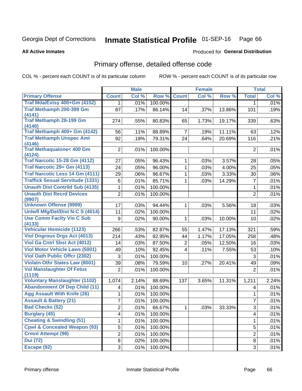# Inmate Statistical Profile 01-SEP-16 Page 66

**All Active Inmates** 

#### Produced for General Distribution

# Primary offense, detailed offense code

COL % - percent each COUNT is of its particular column

|                                               |                         | <b>Male</b> |         |                         | <b>Female</b> |        |                | <b>Total</b>        |
|-----------------------------------------------|-------------------------|-------------|---------|-------------------------|---------------|--------|----------------|---------------------|
| <b>Primary Offense</b>                        | <b>Count</b>            | Col %       | Row %   | <b>Count</b>            | Col %         | Row %  | <b>Total</b>   | Col %               |
| Traf Mda/Extsy 400+Gm (4152)                  | 1.                      | .01%        | 100.00% |                         |               |        | 1              | .01%                |
| <b>Traf Methamph 200-399 Gm</b><br>(4141)     | 87                      | .17%        | 86.14%  | 14                      | .37%          | 13.86% | 101            | .19%                |
| <b>Traf Methamph 28-199 Gm</b><br>(4140)      | 274                     | .55%        | 80.83%  | 65                      | 1.73%         | 19.17% | 339            | .63%                |
| Traf Methamph 400+ Gm (4142)                  | 56                      | .11%        | 88.89%  | $\overline{7}$          | .19%          | 11.11% | 63             | .12%                |
| <b>Traf Methamph Unspec Amt</b><br>(4146)     | 92                      | .18%        | 79.31%  | 24                      | .64%          | 20.69% | 116            | .21%                |
| <b>Traf Methaqualone&lt; 400 Gm</b><br>(4124) | $\overline{2}$          | .01%        | 100.00% |                         |               |        | $\overline{2}$ | .01%                |
| <b>Traf Narcotic 15-28 Gm (4112)</b>          | 27                      | .05%        | 96.43%  | 1                       | .03%          | 3.57%  | 28             | .05%                |
| Traf Narcotic 29+ Gm (4113)                   | 24                      | .05%        | 96.00%  | 1                       | .03%          | 4.00%  | 25             | .05%                |
| Traf Narcotic Less 14 Gm (4111)               | 29                      | .06%        | 96.67%  | 1                       | .03%          | 3.33%  | 30             | $.06\%$             |
| <b>Traffick Sexual Servitude (1331)</b>       | 6                       | .01%        | 85.71%  | 1                       | .03%          | 14.29% | $\overline{7}$ | .01%                |
| <b>Unauth Dist Contrild Sub (4135)</b>        | 1                       | .01%        | 100.00% |                         |               |        | $\mathbf 1$    | .01%                |
| <b>Unauth Dist Recrd Devices</b><br>(9907)    | $\overline{2}$          | .01%        | 100.00% |                         |               |        | $\overline{2}$ | .01%                |
| <b>Unknown Offense (9999)</b>                 | 17                      | .03%        | 94.44%  | 1                       | .03%          | 5.56%  | 18             | .03%                |
| Uniwfl Mfg/Del/Dist N-C S (4014)              | 11                      | .02%        | 100.00% |                         |               |        | 11             | .02%                |
| <b>Use Comm Facity Vio C Sub</b>              | 9                       | .02%        | 90.00%  | 1                       | .03%          | 10.00% | 10             | .02%                |
| (4133)                                        |                         |             |         |                         |               |        |                |                     |
| <b>Vehicular Homicide (1123)</b>              | 266                     | .53%        | 82.87%  | 55                      | 1.47%         | 17.13% | 321            | .59%                |
| <b>Viol Dngrous Drgs Act (4013)</b>           | 214                     | .43%        | 82.95%  | 44                      | 1.17%         | 17.05% | 258            | .48%                |
| Viol Ga Cntrl Sbst Act (4012)                 | 14                      | .03%        | 87.50%  | $\overline{2}$          | .05%          | 12.50% | 16             | .03%                |
| <b>Viol Motor Vehicle Laws (5001)</b>         | 49                      | .10%        | 92.45%  | $\overline{\mathbf{4}}$ | .11%          | 7.55%  | 53             | .10%                |
| <b>Viol Oath Public Offcr (2302)</b>          | 3                       | .01%        | 100.00% |                         |               |        | 3              | .01%                |
| <b>Violatn Othr States Law (8001)</b>         | 39                      | .08%        | 79.59%  | 10                      | .27%          | 20.41% | 49             | .09%                |
| <b>Vol Manslaughter Of Fetus</b><br>(1119)    | 2                       | .01%        | 100.00% |                         |               |        | $\overline{2}$ | .01%                |
| <b>Voluntary Manslaughter (1102)</b>          | 1,074                   | 2.14%       | 88.69%  | 137                     | 3.65%         | 11.31% | 1,211          | $\overline{2.24\%}$ |
| <b>Abandonment Of Dep Child (11)</b>          | $\overline{\mathbf{4}}$ | .01%        | 100.00% |                         |               |        | 4              | .01%                |
| <b>Agg Assault With Knife (26)</b>            | 1                       | .01%        | 100.00% |                         |               |        | 1              | .01%                |
| <b>Assault &amp; Battery (21)</b>             | 7                       | .01%        | 100.00% |                         |               |        | 7              | .01%                |
| <b>Bad Checks (52)</b>                        | $\overline{2}$          | .01%        | 66.67%  | $\mathbf 1$             | .03%          | 33.33% | 3              | .01%                |
| <b>Burglary (45)</b>                          | $\overline{\mathbf{4}}$ | .01%        | 100.00% |                         |               |        | 4              | .01%                |
| <b>Cheating &amp; Swindling (51)</b>          | 1                       | .01%        | 100.00% |                         |               |        | 1              | .01%                |
| <b>Cpwl &amp; Concealed Weapon (93)</b>       | 5                       | .01%        | 100.00% |                         |               |        | 5              | .01%                |
| <b>Crmnl Attempt (98)</b>                     | $\overline{2}$          | .01%        | 100.00% |                         |               |        | $\overline{2}$ | .01%                |
| <b>Dui</b> (72)                               | 8                       | .02%        | 100.00% |                         |               |        | 8              | .01%                |
| Escape (92)                                   | $\overline{3}$          | .01%        | 100.00% |                         |               |        | 3              | .01%                |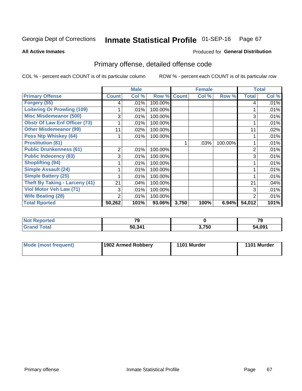#### Inmate Statistical Profile 01-SEP-16 Page 67

**All Active Inmates** 

### **Produced for General Distribution**

# Primary offense, detailed offense code

COL % - percent each COUNT is of its particular column

|                                       |              | <b>Male</b> |         |              | <b>Female</b> |          |              | <b>Total</b> |
|---------------------------------------|--------------|-------------|---------|--------------|---------------|----------|--------------|--------------|
| <b>Primary Offense</b>                | <b>Count</b> | Col %       | Row %   | <b>Count</b> | Col %         | Row %    | <b>Total</b> | Col %        |
| Forgery (55)                          | 4            | .01%        | 100.00% |              |               |          | 4            | .01%         |
| <b>Loitering Or Prowling (109)</b>    |              | .01%        | 100.00% |              |               |          |              | .01%         |
| <b>Misc Misdemeanor (500)</b>         | 3            | .01%        | 100.00% |              |               |          | 3            | .01%         |
| <b>Obstr Of Law Enf Officer (73)</b>  |              | .01%        | 100.00% |              |               |          |              | .01%         |
| <b>Other Misdemeanor (99)</b>         | 11           | .02%        | 100.00% |              |               |          | 11           | .02%         |
| <b>Poss Ntp Whiskey (64)</b>          |              | .01%        | 100.00% |              |               |          |              | .01%         |
| <b>Prostitution (81)</b>              |              |             |         |              | .03%          | 100.00%  |              | .01%         |
| <b>Public Drunkenness (61)</b>        | 2            | .01%        | 100.00% |              |               |          | 2            | .01%         |
| <b>Public Indecency (83)</b>          | 3            | .01%        | 100.00% |              |               |          | 3            | .01%         |
| <b>Shoplifting (94)</b>               |              | $.01\%$     | 100.00% |              |               |          |              | .01%         |
| <b>Simple Assault (24)</b>            |              | $.01\%$     | 100.00% |              |               |          |              | .01%         |
| <b>Simple Battery (25)</b>            |              | .01%        | 100.00% |              |               |          |              | .01%         |
| <b>Theft By Taking - Larceny (41)</b> | 21           | $.04\%$     | 100.00% |              |               |          | 21           | .04%         |
| Viol Motor Veh Law (71)               | 3            | .01%        | 100.00% |              |               |          | 3            | .01%         |
| <b>Wife Beating (28)</b>              | 2            | .01%        | 100.00% |              |               |          | 2            | .01%         |
| <b>Total Rported</b>                  | 50,262       | 101%        | 93.06%  | 3,750        | 100%          | $6.94\%$ | 54,012       | 101%         |

| тео | $\mathbf{z}$ |       | $\overline{\phantom{a}}$<br>79 |
|-----|--------------|-------|--------------------------------|
|     | 50,341       | 3,750 | 54,091                         |

| Mode (most frequent) | 1902 Armed Robbery | 1101 Murder | 1101 Murder |
|----------------------|--------------------|-------------|-------------|
|                      |                    |             |             |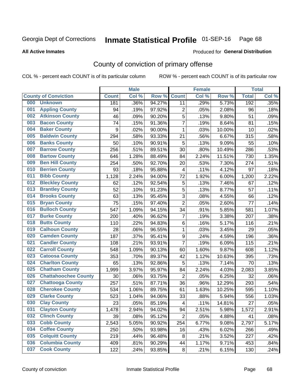# Inmate Statistical Profile 01-SEP-16 Page 68

**All Active Inmates** 

### **Produced for General Distribution**

# County of conviction of primary offense

COL % - percent each COUNT is of its particular column

|     |                             |              | <b>Male</b> |        |                          | <b>Female</b> |        |              | <b>Total</b> |
|-----|-----------------------------|--------------|-------------|--------|--------------------------|---------------|--------|--------------|--------------|
|     | <b>County of Conviction</b> | <b>Count</b> | Col %       | Row %  | <b>Count</b>             | Col %         | Row %  | <b>Total</b> | Col %        |
| 000 | <b>Unknown</b>              | 181          | .36%        | 94.27% | 11                       | .29%          | 5.73%  | 192          | .35%         |
| 001 | <b>Appling County</b>       | 94           | .19%        | 97.92% | 2                        | .05%          | 2.08%  | 96           | .18%         |
| 002 | <b>Atkinson County</b>      | 46           | .09%        | 90.20% | 5                        | .13%          | 9.80%  | 51           | .09%         |
| 003 | <b>Bacon County</b>         | 74           | .15%        | 91.36% | $\overline{7}$           | .19%          | 8.64%  | 81           | .15%         |
| 004 | <b>Baker County</b>         | 9            | .02%        | 90.00% | $\mathbf{1}$             | .03%          | 10.00% | 10           | .02%         |
| 005 | <b>Baldwin County</b>       | 294          | .58%        | 93.33% | 21                       | .56%          | 6.67%  | 315          | .58%         |
| 006 | <b>Banks County</b>         | 50           | .10%        | 90.91% | 5                        | .13%          | 9.09%  | 55           | .10%         |
| 007 | <b>Barrow County</b>        | 256          | .51%        | 89.51% | 30                       | .80%          | 10.49% | 286          | .53%         |
| 008 | <b>Bartow County</b>        | 646          | 1.28%       | 88.49% | 84                       | 2.24%         | 11.51% | 730          | 1.35%        |
| 009 | <b>Ben Hill County</b>      | 254          | .50%        | 92.70% | 20                       | .53%          | 7.30%  | 274          | .51%         |
| 010 | <b>Berrien County</b>       | 93           | .18%        | 95.88% | $\overline{\mathbf{4}}$  | .11%          | 4.12%  | 97           | .18%         |
| 011 | <b>Bibb County</b>          | 1,128        | 2.24%       | 94.00% | 72                       | 1.92%         | 6.00%  | 1,200        | 2.22%        |
| 012 | <b>Bleckley County</b>      | 62           | .12%        | 92.54% | $\sqrt{5}$               | .13%          | 7.46%  | 67           | .12%         |
| 013 | <b>Brantley County</b>      | 52           | .10%        | 91.23% | 5                        | .13%          | 8.77%  | 57           | .11%         |
| 014 | <b>Brooks County</b>        | 63           | .13%        | 95.45% | $\overline{3}$           | .08%          | 4.55%  | 66           | .12%         |
| 015 | <b>Bryan County</b>         | 75           | .15%        | 97.40% | $\overline{2}$           | .05%          | 2.60%  | 77           | .14%         |
| 016 | <b>Bulloch County</b>       | 547          | 1.09%       | 94.15% | 34                       | .91%          | 5.85%  | 581          | 1.07%        |
| 017 | <b>Burke County</b>         | 200          | .40%        | 96.62% | $\overline{7}$           | .19%          | 3.38%  | 207          | .38%         |
| 018 | <b>Butts County</b>         | 110          | .22%        | 94.83% | 6                        | .16%          | 5.17%  | 116          | .21%         |
| 019 | <b>Calhoun County</b>       | 28           | .06%        | 96.55% | $\mathbf{1}$             | .03%          | 3.45%  | 29           | .05%         |
| 020 | <b>Camden County</b>        | 187          | .37%        | 95.41% | $\boldsymbol{9}$         | .24%          | 4.59%  | 196          | .36%         |
| 021 | <b>Candler County</b>       | 108          | .21%        | 93.91% | $\overline{7}$           | .19%          | 6.09%  | 115          | .21%         |
| 022 | <b>Carroll County</b>       | 548          | 1.09%       | 90.13% | 60                       | 1.60%         | 9.87%  | 608          | 1.12%        |
| 023 | <b>Catoosa County</b>       | 353          | .70%        | 89.37% | 42                       | 1.12%         | 10.63% | 395          | .73%         |
| 024 | <b>Charlton County</b>      | 65           | .13%        | 92.86% | 5                        | .13%          | 7.14%  | 70           | .13%         |
| 025 | <b>Chatham County</b>       | 1,999        | 3.97%       | 95.97% | 84                       | 2.24%         | 4.03%  | 2,083        | 3.85%        |
| 026 | <b>Chattahoochee County</b> | 30           | .06%        | 93.75% | $\overline{2}$           | .05%          | 6.25%  | 32           | .06%         |
| 027 | <b>Chattooga County</b>     | 257          | .51%        | 87.71% | 36                       | .96%          | 12.29% | 293          | .54%         |
| 028 | <b>Cherokee County</b>      | 534          | 1.06%       | 89.75% | 61                       | 1.63%         | 10.25% | 595          | 1.10%        |
| 029 | <b>Clarke County</b>        | 523          | 1.04%       | 94.06% | 33                       | .88%          | 5.94%  | 556          | 1.03%        |
| 030 | <b>Clay County</b>          | 23           | .05%        | 85.19% | $\overline{\mathcal{A}}$ | .11%          | 14.81% | 27           | .05%         |
| 031 | <b>Clayton County</b>       | 1,478        | 2.94%       | 94.02% | 94                       | 2.51%         | 5.98%  | 1,572        | 2.91%        |
| 032 | <b>Clinch County</b>        | 39           | .08%        | 95.12% | $\overline{2}$           | .05%          | 4.88%  | 41           | .08%         |
| 033 | <b>Cobb County</b>          | 2,543        | 5.05%       | 90.92% | 254                      | 6.77%         | 9.08%  | 2,797        | 5.17%        |
| 034 | <b>Coffee County</b>        | 250          | .50%        | 93.98% | 16                       | .43%          | 6.02%  | 266          | .49%         |
| 035 | <b>Colquitt County</b>      | 219          | .44%        | 96.48% | 8                        | .21%          | 3.52%  | 227          | .42%         |
| 036 | <b>Columbia County</b>      | 409          | .81%        | 90.29% | 44                       | 1.17%         | 9.71%  | 453          | .84%         |
| 037 | <b>Cook County</b>          | 122          | .24%        | 93.85% | 8                        | .21%          | 6.15%  | 130          | .24%         |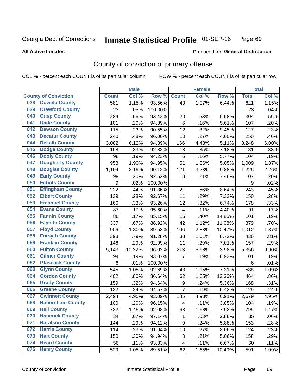# Inmate Statistical Profile 01-SEP-16 Page 69

**All Active Inmates** 

#### Produced for General Distribution

# County of conviction of primary offense

COL % - percent each COUNT is of its particular column

|                                |              | <b>Male</b> |         |                | <b>Female</b> |        |              | <b>Total</b> |
|--------------------------------|--------------|-------------|---------|----------------|---------------|--------|--------------|--------------|
| <b>County of Conviction</b>    | <b>Count</b> | Col %       | Row %   | <b>Count</b>   | Col %         | Row %  | <b>Total</b> | Col %        |
| <b>Coweta County</b><br>038    | 581          | 1.15%       | 93.56%  | 40             | 1.07%         | 6.44%  | 621          | 1.15%        |
| <b>Crawford County</b><br>039  | 23           | .05%        | 100.00% |                |               |        | 23           | .04%         |
| <b>Crisp County</b><br>040     | 284          | .56%        | 93.42%  | 20             | .53%          | 6.58%  | 304          | .56%         |
| <b>Dade County</b><br>041      | 101          | .20%        | 94.39%  | $\,6$          | .16%          | 5.61%  | 107          | .20%         |
| <b>Dawson County</b><br>042    | 115          | .23%        | 90.55%  | 12             | .32%          | 9.45%  | 127          | .23%         |
| <b>Decatur County</b><br>043   | 240          | .48%        | 96.00%  | 10             | .27%          | 4.00%  | 250          | .46%         |
| <b>Dekalb County</b><br>044    | 3,082        | 6.12%       | 94.89%  | 166            | 4.43%         | 5.11%  | 3,248        | 6.00%        |
| <b>Dodge County</b><br>045     | 168          | .33%        | 92.82%  | 13             | .35%          | 7.18%  | 181          | .33%         |
| <b>Dooly County</b><br>046     | 98           | .19%        | 94.23%  | 6              | .16%          | 5.77%  | 104          | .19%         |
| 047<br><b>Dougherty County</b> | 958          | 1.90%       | 94.95%  | 51             | 1.36%         | 5.05%  | 1,009        | 1.87%        |
| <b>Douglas County</b><br>048   | 1,104        | 2.19%       | 90.12%  | 121            | 3.23%         | 9.88%  | 1,225        | 2.26%        |
| <b>Early County</b><br>049     | 99           | .20%        | 92.52%  | 8              | .21%          | 7.48%  | 107          | .20%         |
| <b>Echols County</b><br>050    | 9            | .02%        | 100.00% |                |               |        | 9            | .02%         |
| 051<br><b>Effingham County</b> | 222          | .44%        | 91.36%  | 21             | .56%          | 8.64%  | 243          | .45%         |
| <b>Elbert County</b><br>052    | 139          | .28%        | 92.67%  | 11             | .29%          | 7.33%  | 150          | .28%         |
| <b>Emanuel County</b><br>053   | 166          | .33%        | 93.26%  | 12             | .32%          | 6.74%  | 178          | .33%         |
| <b>Evans County</b><br>054     | 87           | .17%        | 95.60%  | $\overline{4}$ | .11%          | 4.40%  | 91           | .17%         |
| <b>Fannin County</b><br>055    | 86           | .17%        | 85.15%  | 15             | .40%          | 14.85% | 101          | .19%         |
| <b>Fayette County</b><br>056   | 337          | .67%        | 88.92%  | 42             | 1.12%         | 11.08% | 379          | .70%         |
| <b>Floyd County</b><br>057     | 906          | 1.80%       | 89.53%  | 106            | 2.83%         | 10.47% | 1,012        | 1.87%        |
| <b>Forsyth County</b><br>058   | 398          | .79%        | 91.28%  | 38             | 1.01%         | 8.72%  | 436          | .81%         |
| <b>Franklin County</b><br>059  | 146          | .29%        | 92.99%  | 11             | .29%          | 7.01%  | 157          | .29%         |
| <b>Fulton County</b><br>060    | 5,143        | 10.22%      | 96.02%  | 213            | 5.68%         | 3.98%  | 5,356        | 9.90%        |
| <b>Gilmer County</b><br>061    | 94           | .19%        | 93.07%  | 7              | .19%          | 6.93%  | 101          | .19%         |
| <b>Glascock County</b><br>062  | 6            | .01%        | 100.00% |                |               |        | 6            | .01%         |
| <b>Glynn County</b><br>063     | 545          | 1.08%       | 92.69%  | 43             | 1.15%         | 7.31%  | 588          | 1.09%        |
| <b>Gordon County</b><br>064    | 402          | .80%        | 86.64%  | 62             | 1.65%         | 13.36% | 464          | .86%         |
| <b>Grady County</b><br>065     | 159          | .32%        | 94.64%  | 9              | .24%          | 5.36%  | 168          | .31%         |
| <b>Greene County</b><br>066    | 122          | .24%        | 94.57%  | $\overline{7}$ | .19%          | 5.43%  | 129          | .24%         |
| <b>Gwinnett County</b><br>067  | 2,494        | 4.95%       | 93.09%  | 185            | 4.93%         | 6.91%  | 2,679        | 4.95%        |
| <b>Habersham County</b><br>068 | 100          | .20%        | 96.15%  | 4              | .11%          | 3.85%  | 104          | .19%         |
| 069<br><b>Hall County</b>      | 732          | 1.45%       | 92.08%  | 63             | 1.68%         | 7.92%  | 795          | 1.47%        |
| <b>Hancock County</b><br>070   | 34           | .07%        | 97.14%  | 1              | .03%          | 2.86%  | 35           | .06%         |
| <b>Haralson County</b><br>071  | 144          | .29%        | 94.12%  | 9              | .24%          | 5.88%  | 153          | .28%         |
| <b>Harris County</b><br>072    | 114          | .23%        | 91.94%  | 10             | .27%          | 8.06%  | 124          | .23%         |
| <b>Hart County</b><br>073      | 150          | .30%        | 94.94%  | 8              | .21%          | 5.06%  | 158          | .29%         |
| <b>Heard County</b><br>074     | 56           | .11%        | 93.33%  | 4              | .11%          | 6.67%  | 60           | .11%         |
| <b>Henry County</b><br>075     | 529          | 1.05%       | 89.51%  | 62             | 1.65%         | 10.49% | 591          | 1.09%        |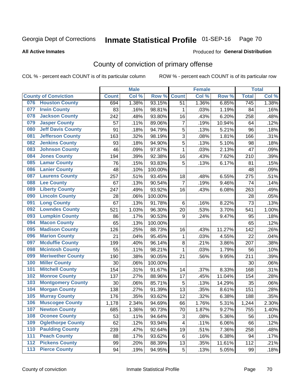# Inmate Statistical Profile 01-SEP-16 Page 70

Produced for General Distribution

#### **All Active Inmates**

# County of conviction of primary offense

COL % - percent each COUNT is of its particular column

|                                 |              | <b>Male</b> |         |                | <b>Female</b> |        |                  | <b>Total</b> |
|---------------------------------|--------------|-------------|---------|----------------|---------------|--------|------------------|--------------|
| <b>County of Conviction</b>     | <b>Count</b> | Col %       | Row %   | <b>Count</b>   | Col %         | Row %  | <b>Total</b>     | Col %        |
| <b>Houston County</b><br>076    | 694          | 1.38%       | 93.15%  | 51             | 1.36%         | 6.85%  | $\overline{745}$ | 1.38%        |
| <b>Irwin County</b><br>077      | 83           | .16%        | 98.81%  | 1              | .03%          | 1.19%  | 84               | .16%         |
| <b>Jackson County</b><br>078    | 242          | .48%        | 93.80%  | 16             | .43%          | 6.20%  | 258              | .48%         |
| <b>Jasper County</b><br>079     | 57           | .11%        | 89.06%  | 7              | .19%          | 10.94% | 64               | .12%         |
| <b>Jeff Davis County</b><br>080 | 91           | .18%        | 94.79%  | 5              | .13%          | 5.21%  | 96               | .18%         |
| 081<br><b>Jefferson County</b>  | 163          | .32%        | 98.19%  | 3              | .08%          | 1.81%  | 166              | .31%         |
| <b>Jenkins County</b><br>082    | 93           | .18%        | 94.90%  | 5              | .13%          | 5.10%  | 98               | .18%         |
| <b>Johnson County</b><br>083    | 46           | .09%        | 97.87%  | 1              | .03%          | 2.13%  | 47               | .09%         |
| <b>Jones County</b><br>084      | 194          | .39%        | 92.38%  | 16             | .43%          | 7.62%  | 210              | .39%         |
| <b>Lamar County</b><br>085      | 76           | .15%        | 93.83%  | 5              | .13%          | 6.17%  | 81               | .15%         |
| <b>Lanier County</b><br>086     | 48           | .10%        | 100.00% |                |               |        | 48               | .09%         |
| <b>Laurens County</b><br>087    | 257          | .51%        | 93.45%  | 18             | .48%          | 6.55%  | 275              | .51%         |
| <b>Lee County</b><br>088        | 67           | .13%        | 90.54%  | $\overline{7}$ | .19%          | 9.46%  | 74               | .14%         |
| <b>Liberty County</b><br>089    | 247          | .49%        | 93.92%  | 16             | .43%          | 6.08%  | 263              | .49%         |
| <b>Lincoln County</b><br>090    | 28           | .06%        | 100.00% |                |               |        | 28               | .05%         |
| <b>Long County</b><br>091       | 67           | .13%        | 91.78%  | 6              | .16%          | 8.22%  | 73               | .13%         |
| <b>Lowndes County</b><br>092    | 521          | 1.03%       | 96.30%  | 20             | .53%          | 3.70%  | 541              | 1.00%        |
| <b>Lumpkin County</b><br>093    | 86           | .17%        | 90.53%  | 9              | .24%          | 9.47%  | 95               | .18%         |
| <b>Macon County</b><br>094      | 65           | .13%        | 100.00% |                |               |        | 65               | .12%         |
| <b>Madison County</b><br>095    | 126          | .25%        | 88.73%  | 16             | .43%          | 11.27% | 142              | .26%         |
| <b>Marion County</b><br>096     | 21           | .04%        | 95.45%  | $\mathbf{1}$   | .03%          | 4.55%  | 22               | .04%         |
| <b>Mcduffie County</b><br>097   | 199          | .40%        | 96.14%  | 8              | .21%          | 3.86%  | 207              | .38%         |
| <b>Mcintosh County</b><br>098   | 55           | .11%        | 98.21%  | 1              | .03%          | 1.79%  | 56               | .10%         |
| <b>Meriwether County</b><br>099 | 190          | .38%        | 90.05%  | 21             | .56%          | 9.95%  | 211              | .39%         |
| <b>Miller County</b><br>100     | 30           | .06%        | 100.00% |                |               |        | 30               | .06%         |
| <b>Mitchell County</b><br>101   | 154          | .31%        | 91.67%  | 14             | .37%          | 8.33%  | 168              | .31%         |
| <b>Monroe County</b><br>102     | 137          | .27%        | 88.96%  | 17             | .45%          | 11.04% | 154              | .28%         |
| <b>Montgomery County</b><br>103 | 30           | .06%        | 85.71%  | $\overline{5}$ | .13%          | 14.29% | 35               | .06%         |
| <b>Morgan County</b><br>104     | 138          | .27%        | 91.39%  | 13             | .35%          | 8.61%  | 151              | .28%         |
| <b>Murray County</b><br>105     | 176          | .35%        | 93.62%  | 12             | .32%          | 6.38%  | 188              | .35%         |
| <b>Muscogee County</b><br>106   | 1,178        | 2.34%       | 94.69%  | 66             | 1.76%         | 5.31%  | 1,244            | 2.30%        |
| 107<br><b>Newton County</b>     | 685          | 1.36%       | 90.73%  | 70             | 1.87%         | 9.27%  | 755              | 1.40%        |
| <b>Oconee County</b><br>108     | 53           | .11%        | 94.64%  | 3              | .08%          | 5.36%  | 56               | .10%         |
| <b>Oglethorpe County</b><br>109 | 62           | .12%        | 93.94%  | 4              | .11%          | 6.06%  | 66               | .12%         |
| <b>Paulding County</b><br>110   | 239          | .47%        | 92.64%  | 19             | .51%          | 7.36%  | 258              | .48%         |
| <b>Peach County</b><br>111      | 88           | .17%        | 93.62%  | 6              | .16%          | 6.38%  | 94               | .17%         |
| <b>Pickens County</b><br>$112$  | 99           | .20%        | 88.39%  | 13             | .35%          | 11.61% | 112              | .21%         |
| <b>Pierce County</b><br>$113$   | 94           | .19%        | 94.95%  | 5              | .13%          | 5.05%  | 99               | .18%         |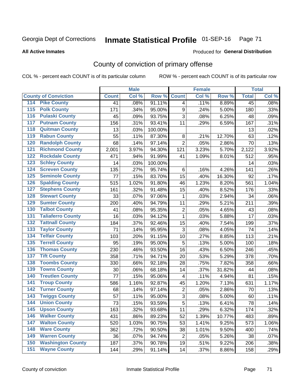# Inmate Statistical Profile 01-SEP-16 Page 71

**All Active Inmates** 

#### Produced for General Distribution

# County of conviction of primary offense

COL % - percent each COUNT is of its particular column

|                                          |              | <b>Male</b> |         |                         | <b>Female</b> |        |              | <b>Total</b> |
|------------------------------------------|--------------|-------------|---------|-------------------------|---------------|--------|--------------|--------------|
| <b>County of Conviction</b>              | <b>Count</b> | Col %       | Row %   | <b>Count</b>            | Col %         | Row %  | <b>Total</b> | Col %        |
| 114 Pike County                          | 41           | .08%        | 91.11%  | $\overline{4}$          | .11%          | 8.89%  | 45           | .08%         |
| <b>Polk County</b><br>$\overline{115}$   | 171          | .34%        | 95.00%  | $\boldsymbol{9}$        | .24%          | 5.00%  | 180          | .33%         |
| <b>Pulaski County</b><br>116             | 45           | .09%        | 93.75%  | 3                       | .08%          | 6.25%  | 48           | .09%         |
| 117<br><b>Putnam County</b>              | 156          | .31%        | 93.41%  | 11                      | .29%          | 6.59%  | 167          | .31%         |
| <b>Quitman County</b><br>118             | 13           | .03%        | 100.00% |                         |               |        | 13           | .02%         |
| <b>Rabun County</b><br>119               | 55           | .11%        | 87.30%  | 8                       | .21%          | 12.70% | 63           | .12%         |
| <b>Randolph County</b><br>120            | 68           | .14%        | 97.14%  | $\overline{2}$          | .05%          | 2.86%  | 70           | .13%         |
| <b>Richmond County</b><br>121            | 2,001        | 3.97%       | 94.30%  | 121                     | 3.23%         | 5.70%  | 2,122        | 3.92%        |
| <b>Rockdale County</b><br>122            | 471          | .94%        | 91.99%  | 41                      | 1.09%         | 8.01%  | 512          | .95%         |
| <b>Schley County</b><br>123              | 14           | .03%        | 100.00% |                         |               |        | 14           | .03%         |
| <b>Screven County</b><br>124             | 135          | .27%        | 95.74%  | $\,6$                   | .16%          | 4.26%  | 141          | .26%         |
| <b>Seminole County</b><br>125            | 77           | .15%        | 83.70%  | 15                      | .40%          | 16.30% | 92           | .17%         |
| <b>Spalding County</b><br>126            | 515          | 1.02%       | 91.80%  | 46                      | 1.23%         | 8.20%  | 561          | 1.04%        |
| <b>Stephens County</b><br>127            | 161          | .32%        | 91.48%  | 15                      | .40%          | 8.52%  | 176          | .33%         |
| <b>Stewart County</b><br>128             | 33           | .07%        | 97.06%  | $\mathbf{1}$            | .03%          | 2.94%  | 34           | .06%         |
| <b>Sumter County</b><br>129              | 200          | .40%        | 94.79%  | 11                      | .29%          | 5.21%  | 211          | .39%         |
| <b>Talbot County</b><br>130              | 41           | .08%        | 95.35%  | $\overline{2}$          | .05%          | 4.65%  | 43           | .08%         |
| <b>Taliaferro County</b><br>131          | 16           | .03%        | 94.12%  | $\mathbf{1}$            | .03%          | 5.88%  | 17           | .03%         |
| <b>Tattnall County</b><br>132            | 184          | .37%        | 92.46%  | 15                      | .40%          | 7.54%  | 199          | .37%         |
| <b>Taylor County</b><br>133              | 71           | .14%        | 95.95%  | 3                       | .08%          | 4.05%  | 74           | .14%         |
| <b>Telfair County</b><br>134             | 103          | .20%        | 91.15%  | 10                      | .27%          | 8.85%  | 113          | .21%         |
| <b>Terrell County</b><br>135             | 95           | .19%        | 95.00%  | 5                       | .13%          | 5.00%  | 100          | .18%         |
| <b>Thomas County</b><br>136              | 230          | .46%        | 93.50%  | 16                      | .43%          | 6.50%  | 246          | .45%         |
| <b>Tift County</b><br>137                | 358          | .71%        | 94.71%  | 20                      | .53%          | 5.29%  | 378          | .70%         |
| <b>Toombs County</b><br>138              | 330          | .66%        | 92.18%  | 28                      | .75%          | 7.82%  | 358          | .66%         |
| <b>Towns County</b><br>139               | 30           | .06%        | 68.18%  | 14                      | .37%          | 31.82% | 44           | .08%         |
| <b>Treutlen County</b><br>140            | 77           | .15%        | 95.06%  | $\overline{\mathbf{4}}$ | .11%          | 4.94%  | 81           | .15%         |
| <b>Troup County</b><br>141               | 586          | 1.16%       | 92.87%  | 45                      | 1.20%         | 7.13%  | 631          | 1.17%        |
| <b>Turner County</b><br>142              | 68           | .14%        | 97.14%  | $\boldsymbol{2}$        | .05%          | 2.86%  | 70           | .13%         |
| <b>Twiggs County</b><br>$\overline{143}$ | 57           | .11%        | 95.00%  | $\sqrt{3}$              | .08%          | 5.00%  | 60           | .11%         |
| <b>Union County</b><br>144               | 73           | .15%        | 93.59%  | $\overline{5}$          | .13%          | 6.41%  | 78           | .14%         |
| 145<br><b>Upson County</b>               | 163          | .32%        | 93.68%  | 11                      | .29%          | 6.32%  | 174          | .32%         |
| <b>Walker County</b><br>146              | 431          | .86%        | 89.23%  | 52                      | 1.39%         | 10.77% | 483          | .89%         |
| <b>Walton County</b><br>147              | 520          | 1.03%       | 90.75%  | 53                      | 1.41%         | 9.25%  | 573          | 1.06%        |
| <b>Ware County</b><br>148                | 362          | .72%        | 90.50%  | 38                      | 1.01%         | 9.50%  | 400          | .74%         |
| <b>Warren County</b><br>149              | 36           | .07%        | 94.74%  | $\overline{2}$          | .05%          | 5.26%  | 38           | .07%         |
| <b>Washington County</b><br>150          | 187          | .37%        | 90.78%  | 19                      | .51%          | 9.22%  | 206          | .38%         |
| <b>Wayne County</b><br>151               | 144          | .29%        | 91.14%  | 14                      | .37%          | 8.86%  | 158          | .29%         |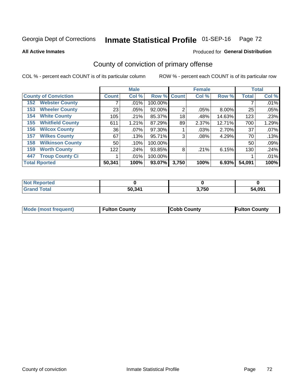# Inmate Statistical Profile 01-SEP-16 Page 72

**All Active Inmates** 

#### Produced for General Distribution

# County of conviction of primary offense

COL % - percent each COUNT is of its particular column

|                                |              | <b>Male</b> |             |       | <b>Female</b> |        |              | <b>Total</b> |
|--------------------------------|--------------|-------------|-------------|-------|---------------|--------|--------------|--------------|
| <b>County of Conviction</b>    | <b>Count</b> | Col %       | Row % Count |       | Col %         | Row %  | <b>Total</b> | Col %        |
| <b>Webster County</b><br>152   |              | $.01\%$     | 100.00%     |       |               |        |              | .01%         |
| <b>Wheeler County</b><br>153   | 23           | .05%        | 92.00%      | 2     | .05%          | 8.00%  | 25           | .05%         |
| <b>White County</b><br>154     | 105          | .21%        | 85.37%      | 18    | .48%          | 14.63% | 123          | .23%         |
| <b>Whitfield County</b><br>155 | 611          | 1.21%       | 87.29%      | 89    | 2.37%         | 12.71% | 700          | 1.29%        |
| <b>Wilcox County</b><br>156    | 36           | $.07\%$     | 97.30%      |       | .03%          | 2.70%  | 37           | .07%         |
| <b>Wilkes County</b><br>157    | 67           | .13%        | 95.71%      | 3     | .08%          | 4.29%  | 70           | .13%         |
| <b>Wilkinson County</b><br>158 | 50           | .10%        | 100.00%     |       |               |        | 50           | .09%         |
| <b>Worth County</b><br>159     | 122          | .24%        | 93.85%      | 8     | .21%          | 6.15%  | 130          | .24%         |
| <b>Troup County Ci</b><br>447  |              | $.01\%$     | 100.00%     |       |               |        |              | .01%         |
| <b>Total Rported</b>           | 50,341       | 100%        | 93.07%      | 3,750 | 100%          | 6.93%  | 54,091       | 100%         |

| <b>Not Reported</b> |        |       |        |
|---------------------|--------|-------|--------|
| <b>Grand Total</b>  | 50,341 | 3,750 | 54,091 |

|  | <b>Mode (most frequent)</b> | <b>Fulton County</b> | <b>Cobb County</b> | <b>Fulton County</b> |
|--|-----------------------------|----------------------|--------------------|----------------------|
|--|-----------------------------|----------------------|--------------------|----------------------|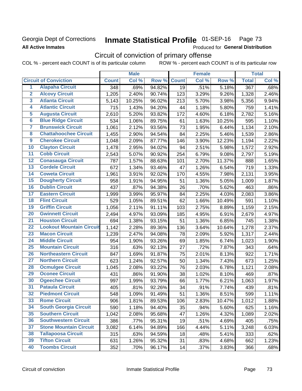## Georgia Dept of Corrections **All Active Inmates**

#### Inmate Statistical Profile 01-SEP-16 Page 73

Produced for General Distribution

# Circuit of conviction of primary offense

COL % - percent each COUNT is of its particular column ROW % - percent each COUNT is of its particular row

|                         |                                 |              | <b>Male</b> |        |              | <b>Female</b> |        |                  | <b>Total</b> |
|-------------------------|---------------------------------|--------------|-------------|--------|--------------|---------------|--------|------------------|--------------|
|                         | <b>Circuit of Conviction</b>    | <b>Count</b> | Col %       | Row %  | <b>Count</b> | Col %         | Row %  | <b>Total</b>     | Col %        |
| 1                       | <b>Alapaha Circuit</b>          | 348          | .69%        | 94.82% | 19           | .51%          | 5.18%  | $\overline{367}$ | .68%         |
| $\overline{2}$          | <b>Alcovy Circuit</b>           | 1,205        | 2.40%       | 90.74% | 123          | 3.29%         | 9.26%  | 1,328            | 2.46%        |
| $\overline{\mathbf{3}}$ | <b>Atlanta Circuit</b>          | 5,143        | 10.25%      | 96.02% | 213          | 5.70%         | 3.98%  | 5,356            | 9.94%        |
| 4                       | <b>Atlantic Circuit</b>         | 715          | 1.43%       | 94.20% | 44           | 1.18%         | 5.80%  | 759              | 1.41%        |
| 5                       | <b>Augusta Circuit</b>          | 2,610        | 5.20%       | 93.82% | 172          | 4.60%         | 6.18%  | 2,782            | 5.16%        |
| $\overline{6}$          | <b>Blue Ridge Circuit</b>       | 534          | 1.06%       | 89.75% | 61           | 1.63%         | 10.25% | 595              | 1.10%        |
| $\overline{\mathbf{7}}$ | <b>Brunswick Circuit</b>        | 1,061        | 2.12%       | 93.56% | 73           | 1.95%         | 6.44%  | 1,134            | 2.10%        |
| 8                       | <b>Chattahoochee Circuit</b>    | 1,455        | 2.90%       | 94.54% | 84           | 2.25%         | 5.46%  | 1,539            | 2.86%        |
| $\overline{9}$          | <b>Cherokee Circuit</b>         | 1,048        | 2.09%       | 87.77% | 146          | 3.90%         | 12.23% | 1,194            | 2.22%        |
| 10                      | <b>Clayton Circuit</b>          | 1,478        | 2.95%       | 94.02% | 94           | 2.51%         | 5.98%  | 1,572            | 2.92%        |
| $\overline{11}$         | <b>Cobb Circuit</b>             | 2,543        | 5.07%       | 90.92% | 254          | 6.79%         | 9.08%  | 2,797            | 5.19%        |
| $\overline{12}$         | <b>Conasauga Circuit</b>        | 787          | 1.57%       | 88.63% | 101          | 2.70%         | 11.37% | 888              | 1.65%        |
| $\overline{13}$         | <b>Cordele Circuit</b>          | 672          | 1.34%       | 93.46% | 47           | 1.26%         | 6.54%  | 719              | 1.33%        |
| $\overline{14}$         | <b>Coweta Circuit</b>           | 1,961        | 3.91%       | 92.02% | 170          | 4.55%         | 7.98%  | 2,131            | 3.95%        |
| $\overline{15}$         | <b>Dougherty Circuit</b>        | 958          | 1.91%       | 94.95% | 51           | 1.36%         | 5.05%  | 1,009            | 1.87%        |
| 16                      | <b>Dublin Circuit</b>           | 437          | .87%        | 94.38% | 26           | .70%          | 5.62%  | 463              | .86%         |
| $\overline{17}$         | <b>Eastern Circuit</b>          | 1,999        | 3.99%       | 95.97% | 84           | 2.25%         | 4.03%  | 2,083            | 3.86%        |
| $\overline{18}$         | <b>Flint Circuit</b>            | 529          | 1.05%       | 89.51% | 62           | 1.66%         | 10.49% | 591              | 1.10%        |
| 19                      | <b>Griffin Circuit</b>          | 1,056        | 2.11%       | 91.11% | 103          | 2.75%         | 8.89%  | 1,159            | 2.15%        |
| 20                      | <b>Gwinnett Circuit</b>         | 2,494        | 4.97%       | 93.09% | 185          | 4.95%         | 6.91%  | 2,679            | 4.97%        |
| $\overline{21}$         | <b>Houston Circuit</b>          | 694          | 1.38%       | 93.15% | 51           | 1.36%         | 6.85%  | 745              | 1.38%        |
| $\overline{22}$         | <b>Lookout Mountain Circuit</b> | 1,142        | 2.28%       | 89.36% | 136          | 3.64%         | 10.64% | 1,278            | 2.37%        |
| 23                      | <b>Macon Circuit</b>            | 1,239        | 2.47%       | 94.08% | 78           | 2.09%         | 5.92%  | 1,317            | 2.44%        |
| 24                      | <b>Middle Circuit</b>           | 954          | 1.90%       | 93.26% | 69           | 1.85%         | 6.74%  | 1,023            | 1.90%        |
| $\overline{25}$         | <b>Mountain Circuit</b>         | 316          | .63%        | 92.13% | 27           | .72%          | 7.87%  | 343              | .64%         |
| 26                      | <b>Northeastern Circuit</b>     | 847          | 1.69%       | 91.87% | 75           | 2.01%         | 8.13%  | 922              | 1.71%        |
| $\overline{27}$         | <b>Northern Circuit</b>         | 623          | 1.24%       | 92.57% | 50           | 1.34%         | 7.43%  | 673              | 1.25%        |
| 28                      | <b>Ocmulgee Circuit</b>         | 1,045        | 2.08%       | 93.22% | 76           | 2.03%         | 6.78%  | 1,121            | 2.08%        |
| 29                      | <b>Oconee Circuit</b>           | 431          | .86%        | 91.90% | 38           | 1.02%         | 8.10%  | 469              | .87%         |
| 30                      | <b>Ogeechee Circuit</b>         | 997          | 1.99%       | 93.79% | 66           | 1.77%         | 6.21%  | 1,063            | 1.97%        |
| $\overline{31}$         | <b>Pataula Circuit</b>          | 405          | .81%        | 92.26% | 34           | .91%          | 7.74%  | 439              | .81%         |
| 32                      | <b>Piedmont Circuit</b>         | 548          | 1.09%       | 91.49% | 51           | 1.36%         | 8.51%  | 599              | 1.11%        |
| 33                      | <b>Rome Circuit</b>             | 906          | 1.81%       | 89.53% | 106          | 2.83%         | 10.47% | 1,012            | 1.88%        |
| 34                      | <b>South Georgia Circuit</b>    | 590          | 1.18%       | 94.40% | 35           | .94%          | 5.60%  | 625              | 1.16%        |
| 35                      | <b>Southern Circuit</b>         | 1,042        | 2.08%       | 95.68% | 47           | 1.26%         | 4.32%  | 1,089            | 2.02%        |
| 36                      | <b>Southwestern Circuit</b>     | 386          | .77%        | 95.31% | 19           | .51%          | 4.69%  | 405              | .75%         |
| 37                      | <b>Stone Mountain Circuit</b>   | 3,082        | 6.14%       | 94.89% | 166          | 4.44%         | 5.11%  | 3,248            | 6.03%        |
| 38                      | <b>Tallapoosa Circuit</b>       | 315          | .63%        | 94.59% | 18           | .48%          | 5.41%  | 333              | .62%         |
| 39                      | <b>Tifton Circuit</b>           | 631          | 1.26%       | 95.32% | 31           | .83%          | 4.68%  | 662              | 1.23%        |
| 40                      | <b>Toombs Circuit</b>           | 352          | .70%        | 96.17% | 14           | .37%          | 3.83%  | 366              | .68%         |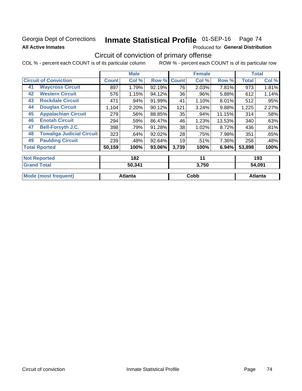# Georgia Dept of Corrections **All Active Inmates**

# Inmate Statistical Profile 01-SEP-16 Page 74

Produced for General Distribution

# Circuit of conviction of primary offense

COL % - percent each COUNT is of its particular column ROW % - percent each COUNT is of its particular row

|                                        |              | <b>Male</b> |        |              | <b>Female</b> |        |              | <b>Total</b> |
|----------------------------------------|--------------|-------------|--------|--------------|---------------|--------|--------------|--------------|
| <b>Circuit of Conviction</b>           | <b>Count</b> | Col %       | Row %  | <b>Count</b> | Col %         | Row %  | <b>Total</b> | Col %        |
| <b>Waycross Circuit</b><br>41          | 897          | 1.79%       | 92.19% | 76           | 2.03%         | 7.81%  | 973          | 1.81%        |
| <b>Western Circuit</b><br>42           | 576          | 1.15%       | 94.12% | 36           | .96%          | 5.88%  | 612          | 1.14%        |
| <b>Rockdale Circuit</b><br>43          | 471          | .94%        | 91.99% | 41           | 1.10%         | 8.01%  | 512          | .95%         |
| <b>Douglas Circuit</b><br>44           | 1,104        | 2.20%       | 90.12% | 121          | 3.24%         | 9.88%  | 1,225        | 2.27%        |
| <b>Appalachian Circuit</b><br>45       | 279          | .56%        | 88.85% | 35           | .94%          | 11.15% | 314          | .58%         |
| <b>Enotah Circuit</b><br>46            | 294          | .59%        | 86.47% | 46           | 1.23%         | 13.53% | 340          | .63%         |
| <b>Bell-Forsyth J.C.</b><br>47         | 398          | .79%        | 91.28% | 38           | 1.02%         | 8.72%  | 436          | .81%         |
| <b>Towaliga Judicial Circuit</b><br>48 | 323          | .64%        | 92.02% | 28           | .75%          | 7.98%  | 351          | .65%         |
| <b>Paulding Circuit</b><br>49          | 239          | .48%        | 92.64% | 19           | .51%          | 7.36%  | 258          | .48%         |
| <b>Total Rported</b>                   | 50,159       | 100%        | 93.06% | 3,739        | 100%          | 6.94%  | 53,898       | 100%         |
| <b>Not Reported</b>                    |              | 182         |        |              | 11            |        |              | 193          |
| <b>Grand Total</b>                     |              | 50 341      |        |              | 3750          |        |              | 54 091       |

| Gran<br>Total               | 50,341  | 3,750 | 54,091  |
|-----------------------------|---------|-------|---------|
| <b>Mode (most frequent)</b> | Atlanta | Cobb  | Atlanta |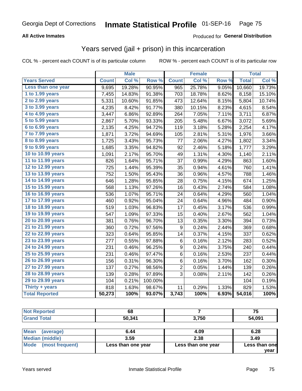### **All Active Inmates**

### Produced for **General Distribution**

# Years served (jail + prison) in this incarceration

|                       |              | <b>Male</b> |                  |                  | <b>Female</b> |       |              | <b>Total</b> |
|-----------------------|--------------|-------------|------------------|------------------|---------------|-------|--------------|--------------|
| <b>Years Served</b>   | <b>Count</b> | Col %       | Row <sup>%</sup> | <b>Count</b>     | Col %         | Row % | <b>Total</b> | Col %        |
| Less than one year    | 9,695        | 19.28%      | 90.95%           | 965              | 25.78%        | 9.05% | 10,660       | 19.73%       |
| 1 to 1.99 years       | 7,455        | 14.83%      | 91.38%           | 703              | 18.78%        | 8.62% | 8,158        | 15.10%       |
| 2 to 2.99 years       | 5,331        | 10.60%      | 91.85%           | 473              | 12.64%        | 8.15% | 5,804        | 10.74%       |
| $3$ to $3.99$ years   | 4,235        | 8.42%       | 91.77%           | 380              | 10.15%        | 8.23% | 4,615        | 8.54%        |
| 4 to 4.99 years       | 3,447        | 6.86%       | 92.89%           | 264              | 7.05%         | 7.11% | 3,711        | 6.87%        |
| 5 to 5.99 years       | 2,867        | 5.70%       | 93.33%           | 205              | 5.48%         | 6.67% | 3,072        | 5.69%        |
| 6 to 6.99 years       | 2,135        | 4.25%       | 94.72%           | 119              | 3.18%         | 5.28% | 2,254        | 4.17%        |
| 7 to 7.99 years       | 1,871        | 3.72%       | 94.69%           | 105              | 2.81%         | 5.31% | 1,976        | 3.66%        |
| 8 to 8.99 years       | 1,725        | 3.43%       | 95.73%           | 77               | 2.06%         | 4.27% | 1,802        | 3.34%        |
| 9 to 9.99 years       | 1,685        | 3.35%       | 94.82%           | 92               | 2.46%         | 5.18% | 1,777        | 3.29%        |
| 10 to 10.99 years     | 1,091        | 2.17%       | 95.70%           | 49               | 1.31%         | 4.30% | 1,140        | 2.11%        |
| 11 to 11.99 years     | 826          | 1.64%       | 95.71%           | 37               | 0.99%         | 4.29% | 863          | 1.60%        |
| 12 to 12.99 years     | 725          | 1.44%       | 95.39%           | 35               | 0.94%         | 4.61% | 760          | 1.41%        |
| 13 to 13.99 years     | 752          | 1.50%       | 95.43%           | 36               | 0.96%         | 4.57% | 788          | 1.46%        |
| 14 to 14.99 years     | 646          | 1.28%       | 95.85%           | 28               | 0.75%         | 4.15% | 674          | 1.25%        |
| 15 to 15.99 years     | 568          | 1.13%       | 97.26%           | 16               | 0.43%         | 2.74% | 584          | 1.08%        |
| 16 to 16.99 years     | 536          | 1.07%       | 95.71%           | 24               | 0.64%         | 4.29% | 560          | 1.04%        |
| 17 to 17.99 years     | 460          | 0.92%       | 95.04%           | 24               | 0.64%         | 4.96% | 484          | 0.90%        |
| 18 to 18.99 years     | 519          | 1.03%       | 96.83%           | 17               | 0.45%         | 3.17% | 536          | 0.99%        |
| 19 to 19.99 years     | 547          | 1.09%       | 97.33%           | 15               | 0.40%         | 2.67% | 562          | 1.04%        |
| 20 to 20.99 years     | 381          | 0.76%       | 96.70%           | 13               | 0.35%         | 3.30% | 394          | 0.73%        |
| 21 to 21.99 years     | 360          | 0.72%       | 97.56%           | 9                | 0.24%         | 2.44% | 369          | 0.68%        |
| 22 to 22.99 years     | 323          | 0.64%       | 95.85%           | 14               | 0.37%         | 4.15% | 337          | 0.62%        |
| 23 to 23.99 years     | 277          | 0.55%       | 97.88%           | $\,6$            | 0.16%         | 2.12% | 283          | 0.52%        |
| 24 to 24.99 years     | 231          | 0.46%       | 96.25%           | $\boldsymbol{9}$ | 0.24%         | 3.75% | 240          | 0.44%        |
| 25 to 25.99 years     | 231          | 0.46%       | 97.47%           | 6                | 0.16%         | 2.53% | 237          | 0.44%        |
| 26 to 26.99 years     | 156          | 0.31%       | 96.30%           | 6                | 0.16%         | 3.70% | 162          | 0.30%        |
| 27 to 27.99 years     | 137          | 0.27%       | 98.56%           | 2                | 0.05%         | 1.44% | 139          | 0.26%        |
| 28 to 28.99 years     | 139          | 0.28%       | 97.89%           | 3                | 0.08%         | 2.11% | 142          | 0.26%        |
| 29 to 29.99 years     | 104          | 0.21%       | 100.00%          |                  |               |       | 104          | 0.19%        |
| Thirty + years        | 818          | 1.63%       | 98.67%           | 11               | 0.29%         | 1.33% | 829          | 1.53%        |
| <b>Total Reported</b> | 50,273       | 100%        | 93.07%           | 3,743            | 100%          | 6.93% | 54,016       | 100%         |

| $\sim$ $\sim$<br>υo |             | フロ<br>. J        |
|---------------------|-------------|------------------|
| <b>50 341</b>       | 3750<br>טעי | <b>001</b><br>ັບ |

| ∣Mean<br>(average)   | 6.44               | 4.09               | 6.28          |
|----------------------|--------------------|--------------------|---------------|
| Median (middle)      | 3.59               | 2.38               | 3.49          |
| Mode (most frequent) | Less than one year | Less than one year | Less than one |
|                      |                    |                    | vear          |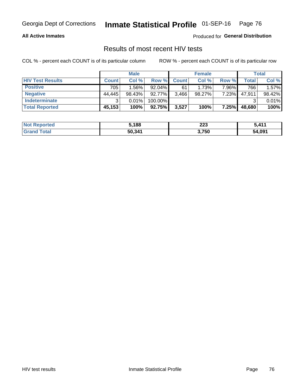### **All Active Inmates**

Produced for **General Distribution**

## Results of most recent HIV tests

|                         |              | <b>Male</b> |         |              | <b>Female</b> |       |        | Total  |
|-------------------------|--------------|-------------|---------|--------------|---------------|-------|--------|--------|
| <b>HIV Test Results</b> | <b>Count</b> | Col%        | Row %I  | <b>Count</b> | Col %         | Row % | Total  | Col %  |
| <b>Positive</b>         | 705          | $1.56\%$    | 92.04%  | 61           | 1.73%         | 7.96% | 766    | 1.57%  |
| <b>Negative</b>         | 44,445       | 98.43%      | 92.77%  | 3,466        | $98.27\%$     | 7.23% | 47,911 | 98.42% |
| Indeterminate           | ົ            | 0.01%       | 100.00% |              |               |       |        | 0.01%  |
| <b>Total Reported</b>   | 45,153       | 100%        | 92.75%  | 3,527        | 100%          | 7.25% | 48,680 | 100%   |

| <b>Not Reported</b>     | 5,188  | 223   | $3.41^{4}$ |
|-------------------------|--------|-------|------------|
| <b>Total</b><br>' Grand | 50,341 | 3,750 | 54,091     |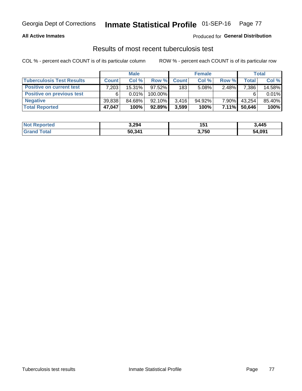### **All Active Inmates**

## Produced for **General Distribution**

## Results of most recent tuberculosis test

|                                  | <b>Male</b>  |           |           | <b>Female</b> |           |          | Total  |        |
|----------------------------------|--------------|-----------|-----------|---------------|-----------|----------|--------|--------|
| <b>Tuberculosis Test Results</b> | <b>Count</b> | Col%      | Row %     | <b>Count</b>  | Col %     | Row %    | Total  | Col %  |
| <b>Positive on current test</b>  | 7,203        | $15.31\%$ | $97.52\%$ | 183           | 5.08%     | 2.48%    | 7,386  | 14.58% |
| <b>Positive on previous test</b> | 6            | $0.01\%$  | 100.00%   |               |           |          |        | 0.01%  |
| <b>Negative</b>                  | 39,838       | 84.68%    | $92.10\%$ | 3.416         | $94.92\%$ | $7.90\%$ | 43,254 | 85.40% |
| <b>Total Reported</b>            | 47,047       | 100%      | $92.89\%$ | 3,599         | 100%      | $7.11\%$ | 50,646 | 100%   |

| <b>Not Reported</b> | 3,294  | 151   | 3,445  |
|---------------------|--------|-------|--------|
| <b>Grand Total</b>  | 50,341 | 3,750 | 54,091 |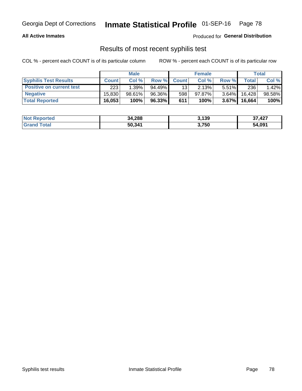### **All Active Inmates**

Produced for **General Distribution**

## Results of most recent syphilis test

|                                 | <b>Male</b>  |        |        | <b>Female</b> |           |          | Total   |        |
|---------------------------------|--------------|--------|--------|---------------|-----------|----------|---------|--------|
| <b>Syphilis Test Results</b>    | <b>Count</b> | Col%   | Row %I | <b>Count</b>  | Col %     | Row %    | Total I | Col %  |
| <b>Positive on current test</b> | 223          | 1.39%  | 94.49% | 13            | 2.13%     | $5.51\%$ | 236     | 1.42%  |
| <b>Negative</b>                 | 15.830       | 98.61% | 96.36% | 598           | $97.87\%$ | 3.64%    | 16.428  | 98.58% |
| <b>Total Reported</b>           | 16,053       | 100%   | 96.33% | 611           | 100%      | $3.67\%$ | 16,664  | 100%   |

| <b>Not Reported</b> | 34,288 | 3,139 | ,427<br>J۱. |
|---------------------|--------|-------|-------------|
| <b>Grand Total</b>  | 50,341 | 3,750 | 54,091      |